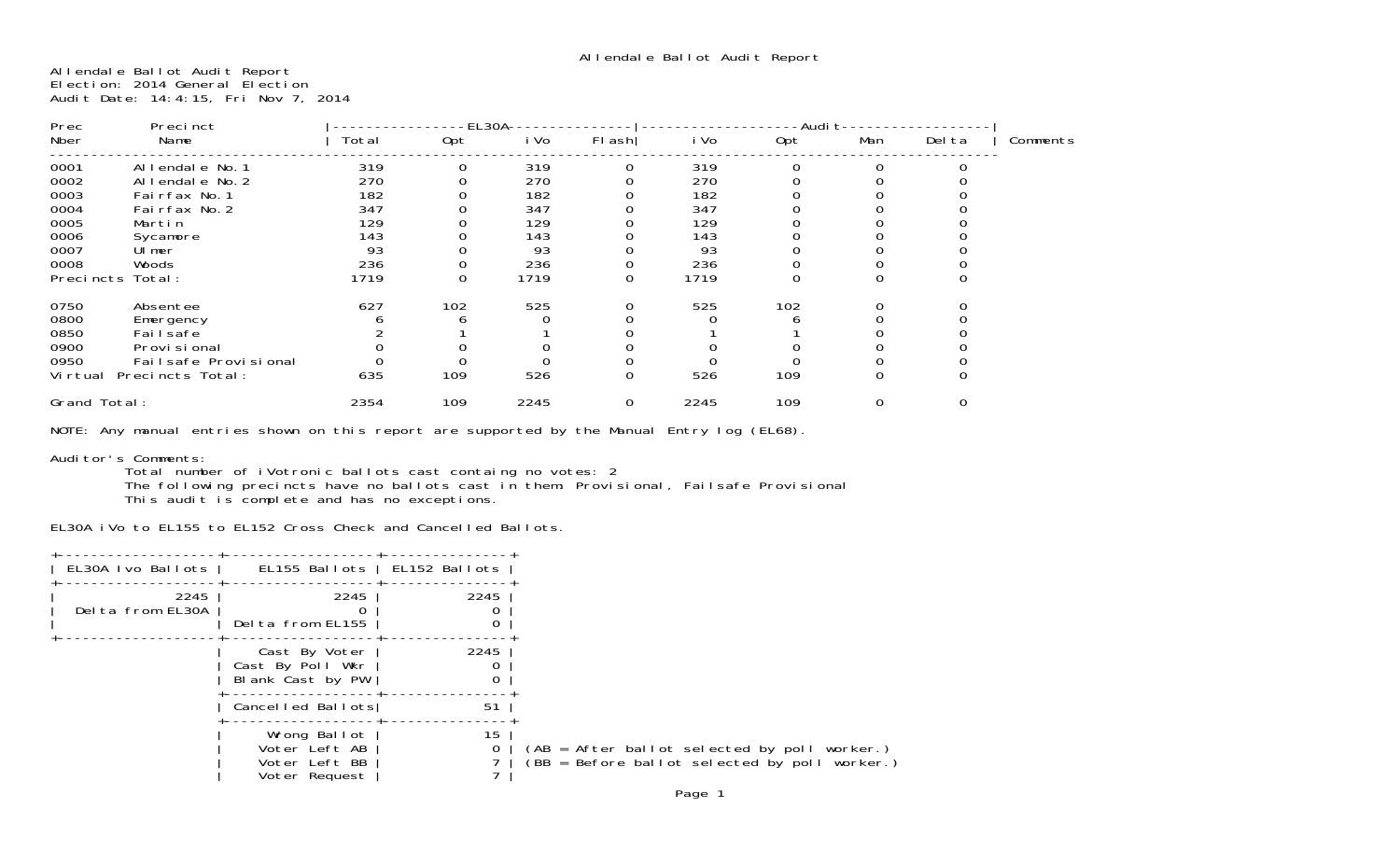Allendale Ballot Audit Report Election: 2014 General Election Audit Date: 14:4:15, Fri Nov 7, 2014

| Prec<br>Precinct |                         |       | EL30A |      |        | - Audi. |          |     |                |          |
|------------------|-------------------------|-------|-------|------|--------|---------|----------|-----|----------------|----------|
| Nber             | Name                    | Total | 0pt   | i Vo | FI ash | i Vo    | 0pt      | Man | Del ta         | Comments |
| 0001             | Al I endal e No. 1      | 319   | 0     | 319  | 0      | 319     | $\Omega$ |     |                |          |
| 0002             | Allendale No. 2         | 270   |       | 270  |        | 270     |          |     |                |          |
| 0003             | Fairfax No. 1           | 182   |       | 182  |        | 182     |          |     |                |          |
| 0004             | Fairfax No. 2           | 347   |       | 347  |        | 347     |          |     |                |          |
| 0005             | Martin                  | 129   |       | 129  |        | 129     |          |     |                |          |
| 0006             | Sycamore                | 143   |       | 143  |        | 143     |          |     |                |          |
| 0007             | Ulmer                   | 93    |       | 93   |        | 93      |          |     |                |          |
| 0008             | Woods                   | 236   |       | 236  |        | 236     |          |     |                |          |
|                  | Precincts Total:        | 1719  | 0     | 1719 | 0      | 1719    |          |     |                |          |
| 0750             | Absentee                | 627   | 102   | 525  |        | 525     | 102      |     |                |          |
| 0800             | Emergency               |       |       |      |        |         |          |     |                |          |
| 0850             | Fai I safe              |       |       |      |        |         |          |     |                |          |
| 0900             | Provi si onal           |       |       |      |        |         |          |     |                |          |
| 0950             | Fail safe Provi si onal |       |       |      |        |         |          |     |                |          |
| Vi rtual         | Precincts Total:        | 635   | 109   | 526  | 0      | 526     | 109      | 0   | 0              |          |
| Grand Total:     |                         | 2354  | 109   | 2245 | 0      | 2245    | 109      | 0   | $\overline{0}$ |          |

NOTE: Any manual entries shown on this report are supported by the Manual Entry log (EL68).

Auditor's Comments:

 Total number of iVotronic ballots cast containg no votes: 2 The following precincts have no ballots cast in them: Provisional, Failsafe Provisional

This audit is complete and has no exceptions.

EL30A iVo to EL155 to EL152 Cross Check and Cancelled Ballots.

| EL30A Ivo Ballots        | EL155 Ballots   EL152 Ballots                                   |         |
|--------------------------|-----------------------------------------------------------------|---------|
| 2245<br>Delta from EL30A | 2245<br>Delta from EL155                                        | 2245    |
|                          | Cast By Voter<br>Cast By Poll Wkr<br>Blank Cast by PW           | 2245    |
|                          | Cancelled Ballots                                               | 51      |
|                          | Wrong Ballot<br>Voter Left AB<br>Voter Left BB<br>Voter Request | 15<br>0 |
|                          |                                                                 |         |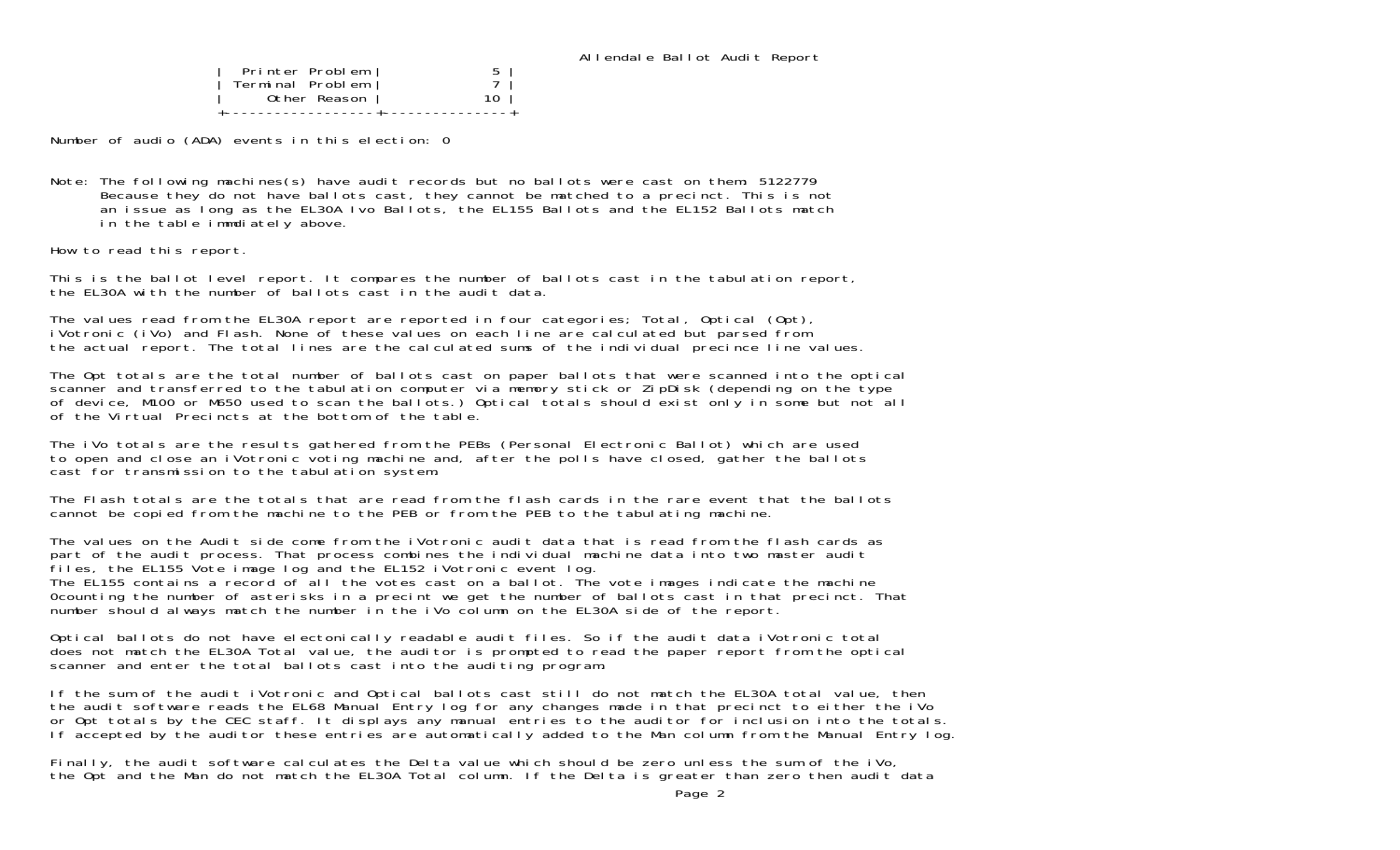| Printer Problem  |  |
|------------------|--|
| Terminal Problem |  |
| Other Reason     |  |
|                  |  |

Number of audio (ADA) events in this election: 0

Note: The following machines(s) have audit records but no ballots were cast on them: 5122779 Because they do not have ballots cast, they cannot be matched to a precinct. This is not an issue as long as the EL30A Ivo Ballots, the EL155 Ballots and the EL152 Ballots match in the table immdiately above.

How to read this report.

This is the ballot level report. It compares the number of ballots cast in the tabulation report, the EL30A with the number of ballots cast in the audit data.

The values read from the EL30A report are reported in four categories; Total, Optical (Opt), iVotronic (iVo) and Flash. None of these values on each line are calculated but parsed from the actual report. The total lines are the calculated sums of the individual precince line values.

The Opt totals are the total number of ballots cast on paper ballots that were scanned into the optical scanner and transferred to the tabulation computer via memory stick or ZipDisk (depending on the type of device, M100 or M650 used to scan the ballots.) Optical totals should exist only in some but not all of the Virtual Precincts at the bottom of the table.

The iVo totals are the results gathered from the PEBs (Personal Electronic Ballot) which are used to open and close an iVotronic voting machine and, after the polls have closed, gather the ballots cast for transmission to the tabulation system.

The Flash totals are the totals that are read from the flash cards in the rare event that the ballots cannot be copied from the machine to the PEB or from the PEB to the tabulating machine.

The values on the Audit side come from the iVotronic audit data that is read from the flash cards as part of the audit process. That process combines the individual machine data into two master audit files, the EL155 Vote image log and the EL152 iVotronic event log. The EL155 contains a record of all the votes cast on a ballot. The vote images indicate the machine

0counting the number of asterisks in a precint we get the number of ballots cast in that precinct. That number should always match the number in the iVo column on the EL30A side of the report.

Optical ballots do not have electonically readable audit files. So if the audit data iVotronic total does not match the EL30A Total value, the auditor is prompted to read the paper report from the optical scanner and enter the total ballots cast into the auditing program.

If the sum of the audit iVotronic and Optical ballots cast still do not match the EL30A total value, then the audit software reads the EL68 Manual Entry log for any changes made in that precinct to either the iVo or Opt totals by the CEC staff. It displays any manual entries to the auditor for inclusion into the totals. If accepted by the auditor these entries are automatically added to the Man column from the Manual Entry log.

Finally, the audit software calculates the Delta value which should be zero unless the sum of the iVo, the Opt and the Man do not match the EL30A Total column. If the Delta is greater than zero then audit data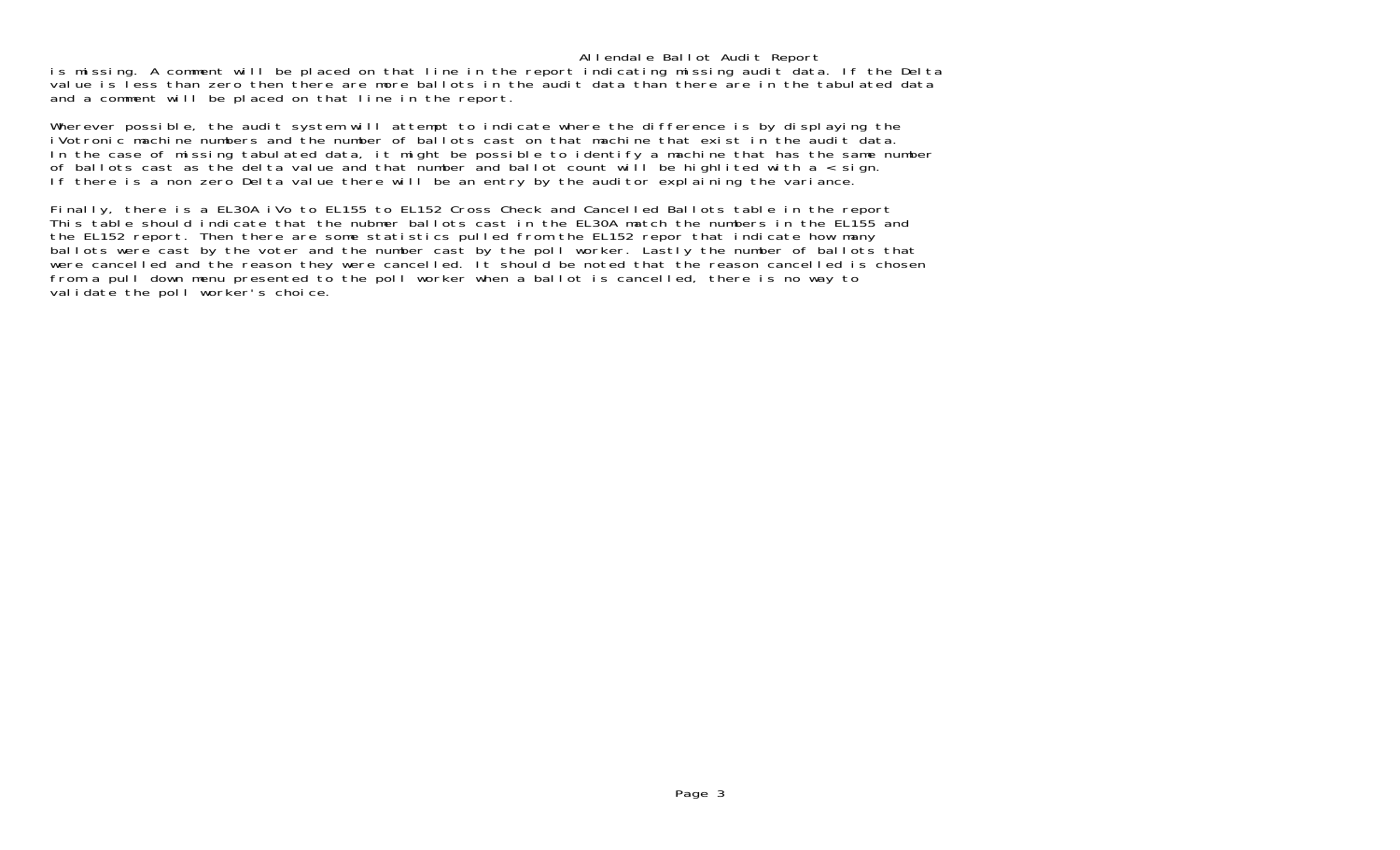#### Allendale Ballot Audit Report

is missing. A comment will be placed on that line in the report indicating missing audit data. If the Delta value is less than zero then there are more ballots in the audit data than there are in the tabulated data and a comment will be placed on that line in the report.

Wherever possible, the audit system will attempt to indicate where the difference is by displaying the iVotronic machine numbers and the number of ballots cast on that machine that exist in the audit data.In the case of missing tabulated data, it might be possible to identify a machine that has the same number of ballots cast as the delta value and that number and ballot count will be highlited with  $a <$  sign. If there is a non zero Delta value there will be an entry by the auditor explaining the variance.

Finally, there is a EL30A iVo to EL155 to EL152 Cross Check and Cancelled Ballots table in the report This table should indicate that the nubmer ballots cast in the EL30A match the numbers in the EL155 and the EL152 report. Then there are some statistics pulled from the EL152 repor that indicate how many ballots were cast by the voter and the number cast by the poll worker. Lastly the number of ballots that were cancelled and the reason they were cancelled. It should be noted that the reason cancelled is chosen from a pull down menu presented to the poll worker when a ballot is cancelled, there is no way to validate the poll worker's choice.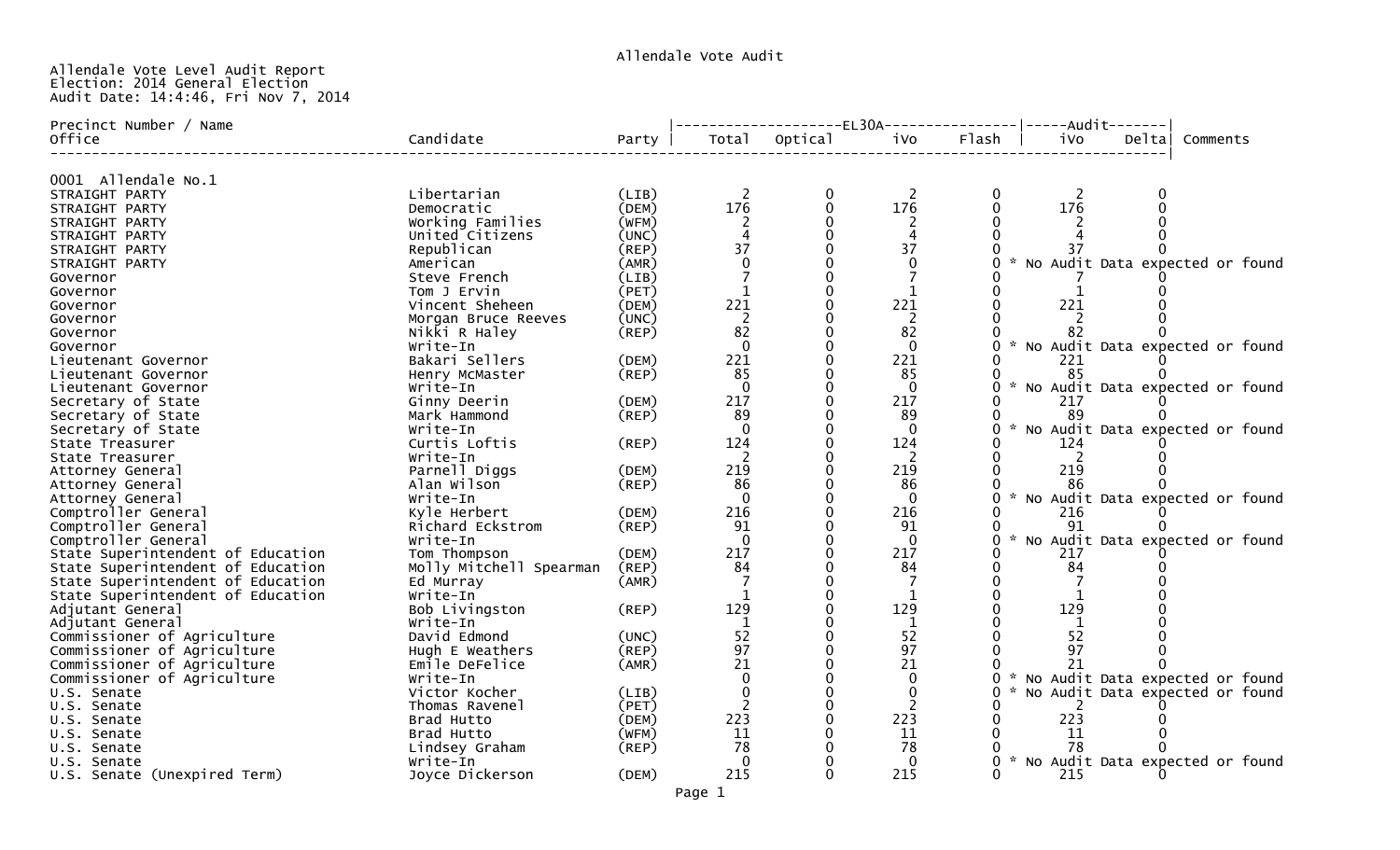# Allendale Vote Level Audit Report Election: 2014 General Election Audit Date: 14:4:46, Fri Nov 7, 2014

| Precinct Number / Name            |                         |             |                | ---------------EL30A---------------- -----Audit------- |                |       |              |        |                                   |
|-----------------------------------|-------------------------|-------------|----------------|--------------------------------------------------------|----------------|-------|--------------|--------|-----------------------------------|
| Office                            | Candidate               | Party       | Total          | Optical                                                | iVo            | Flash | ivo          | Deltal | Comments                          |
| 0001 Allendale No.1               |                         |             |                |                                                        |                |       |              |        |                                   |
| STRAIGHT PARTY                    | Libertarian             | (LIB)       | -2             | 0                                                      | -2             |       | <sup>2</sup> |        |                                   |
| STRAIGHT PARTY                    | Democratic              | (DEM)       | 176            | 0                                                      | 176            |       | 176          |        |                                   |
| STRAIGHT PARTY                    | Working Families        | (WFM)       |                |                                                        |                |       |              |        |                                   |
| STRAIGHT PARTY                    | United Citizens         | (UNC)       |                |                                                        |                |       |              |        |                                   |
| STRAIGHT PARTY                    | Republican              | (REP)       | 37             |                                                        | 37             |       |              |        |                                   |
| STRAIGHT PARTY                    | American                | (AMR)       |                |                                                        | $\Omega$       |       |              |        | * No Audit Data expected or found |
| Governor                          | Steve French            | (LIB)       |                |                                                        |                |       |              |        |                                   |
| Governor                          | Tom J Ervin             | (PET)       | $\mathbf{1}$   |                                                        | 1              |       |              |        |                                   |
| Governor                          | Vincent Sheheen         | (DEM)       | 221            |                                                        | 221            |       | 221          |        |                                   |
| Governor                          | Morgan Bruce Reeves     | (UNC)       | $\overline{2}$ |                                                        | <sup>2</sup>   |       | 2            |        |                                   |
| Governor                          | Nikki R Haley           | $($ REP $)$ | 82             |                                                        | 82             |       | 82           |        |                                   |
| Governor                          | Write-In                |             | $\Omega$       |                                                        | $\Omega$       |       |              |        | * No Audit Data expected or found |
| Lieutenant Governor               | Bakari Sellers          | (DEM)       | 221            |                                                        | 221            |       | 221          |        |                                   |
| Lieutenant Governor               | Henry McMaster          | (REP)       | 85             |                                                        | 85             |       | 85           |        |                                   |
| Lieutenant Governor               | Write-In                |             | $\Omega$       |                                                        | $\Omega$       |       |              |        | * No Audit Data expected or found |
| Secretary of State                | Ginny Deerin            | (DEM)       | 217            |                                                        | 217            |       | 217          |        |                                   |
| Secretary of State                | Mark Hammond            | (REP)       | 89             |                                                        | 89             |       |              |        |                                   |
| Secretary of State                | Write-In                |             | $\Omega$       |                                                        | $\mathbf{0}$   |       |              |        | * No Audit Data expected or found |
| State Treasurer                   | Curtis Loftis           | (REP)       | 124            |                                                        | 124            |       | 124          |        |                                   |
| State Treasurer                   | Write-In                |             | <sup>2</sup>   |                                                        | <sup>2</sup>   |       | 2            |        |                                   |
| Attorney General                  | Parnell Diggs           | (DEM)       | 219            |                                                        | 219            |       | 219          |        |                                   |
| Attorney General                  | Alan Wilson             | (REP)       | 86             |                                                        | 86             |       | 86           |        |                                   |
| Attorney General                  | Write-In                |             | $\Omega$       |                                                        | $\Omega$       |       |              |        | * No Audit Data expected or found |
| Comptroller General               | Kyle Herbert            | (DEM)       | 216            |                                                        | 216            |       | 216          |        |                                   |
| Comptroller General               | Richard Eckstrom        | (REP)       | 91             |                                                        | 91             |       | 91           |        |                                   |
| Comptroller General               | Write-In                |             | $\Omega$       |                                                        | $\Omega$       |       |              |        | * No Audit Data expected or found |
| State Superintendent of Education | Tom Thompson            | (DEM)       | 217            |                                                        | 217            |       | 217          |        |                                   |
| State Superintendent of Education | Molly Mitchell Spearman | (REP)       | 84             |                                                        | 84             |       | 84           |        |                                   |
| State Superintendent of Education | Ed Murray               | (AMR)       |                |                                                        |                |       |              |        |                                   |
| State Superintendent of Education | Write-In                |             |                |                                                        |                |       |              |        |                                   |
| Adjutant General                  | Bob Livingston          | (REP)       | 129            |                                                        | 129            |       | 129          |        |                                   |
| Adjutant General                  | Write-In                |             |                |                                                        | 1              |       |              |        |                                   |
| Commissioner of Agriculture       | David Edmond            | (UNC)       | 52             |                                                        | 52             |       | 52           |        |                                   |
| Commissioner of Agriculture       | Hugh E Weathers         | (REP)       | 97             |                                                        | 97             |       | 97           |        |                                   |
| Commissioner of Agriculture       | Emile DeFelice          | (AMR)       | 21             |                                                        | 21             |       | 21           |        |                                   |
| Commissioner of Agriculture       | Write-In                |             | $\Omega$       |                                                        | $\mathbf{0}$   |       |              |        | * No Audit Data expected or found |
| U.S. Senate                       | Victor Kocher           | (LIB)       |                |                                                        | 0              |       |              |        | * No Audit Data expected or found |
| U.S. Senate                       | Thomas Ravenel          | (PET)       | 2              |                                                        | $\overline{2}$ |       | 2            |        |                                   |
| U.S. Senate                       | Brad Hutto              | (DEM)       | 223            |                                                        | 223            |       | 223          |        |                                   |
| U.S. Senate                       | Brad Hutto              | (WFM)       | 11             |                                                        | 11             |       | 11           |        |                                   |
| U.S. Senate                       | Lindsey Graham          | (REP)       | 78             |                                                        | 78             |       | 78           |        |                                   |
| U.S. Senate                       | Write-In                |             | $\Omega$       |                                                        | 0              |       |              |        | * No Audit Data expected or found |
| U.S. Senate (Unexpired Term)      | Joyce Dickerson         | (DEM)       | 215            |                                                        | 215            |       | 215          |        |                                   |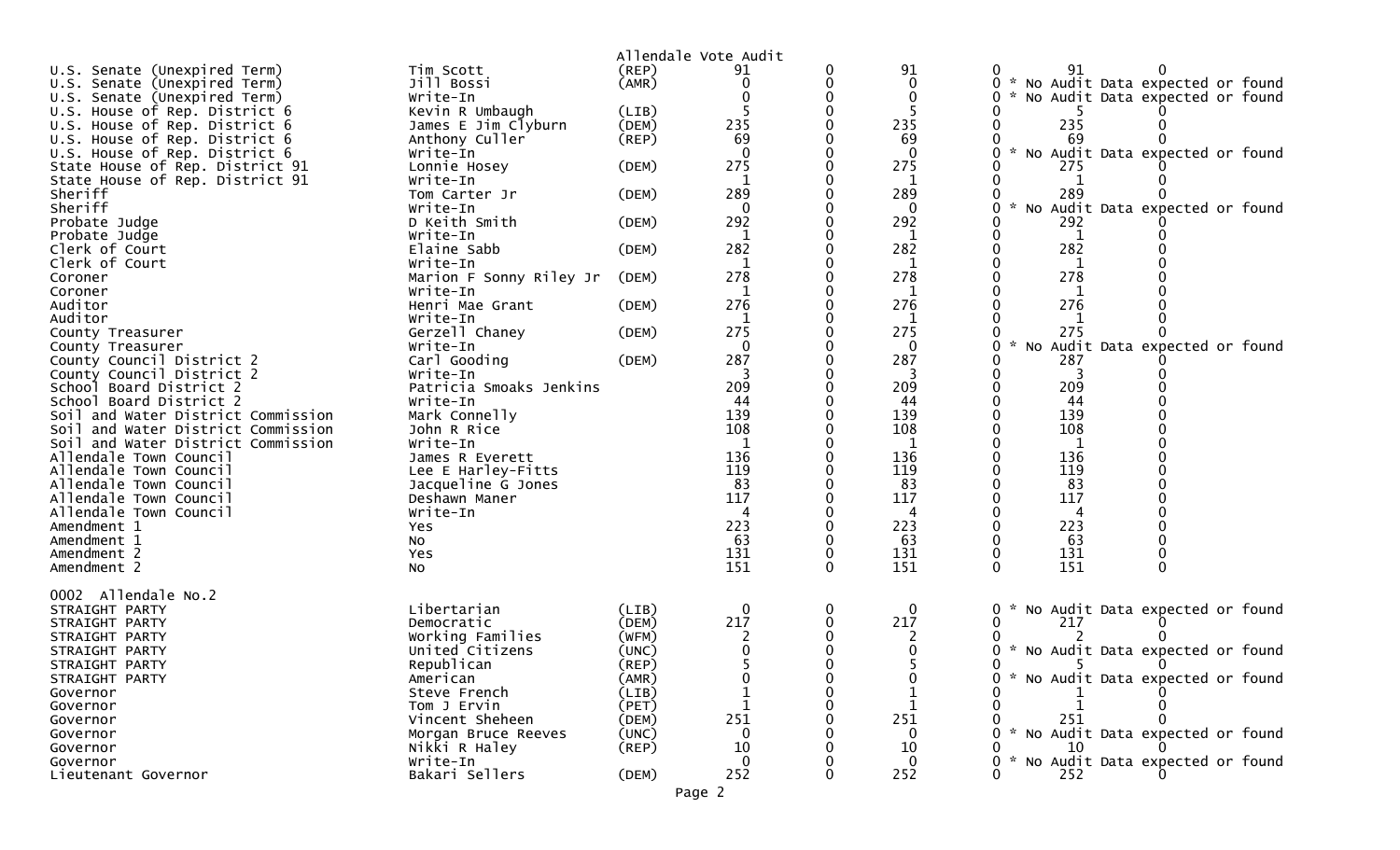|                                                    |                                     |             | Allendale Vote Audit |          |             |                                                  |
|----------------------------------------------------|-------------------------------------|-------------|----------------------|----------|-------------|--------------------------------------------------|
| U.S. Senate (Unexpired Term)                       | Tim Scott                           | $($ REP $)$ | 91                   |          | 91          | 0<br>91                                          |
| U.S. Senate (Unexpired Term)                       | Jill Bossi                          | (AMR)       | 0                    |          | 0           | * No Audit Data expected or found                |
| U.S. Senate (Unexpired Term)                       | Write-In                            |             |                      |          | $\mathbf 0$ | * No Audit Data expected or found<br>0           |
| U.S. House of Rep. District 6                      | Kevin R Umbaugh                     | (LIB)       |                      |          | -5          |                                                  |
| U.S. House of Rep. District 6                      | James E Jim Clyburn                 | (DEM)       | 235                  |          | 235         | 235                                              |
| U.S. House of Rep. District 6                      | Anthony Culler                      | $($ REP $)$ | 69                   |          | 69          | 69                                               |
| U.S. House of Rep. District 6                      | Write-In                            |             |                      |          | $\Omega$    | * No Audit Data expected or found                |
| State House of Rep. District 91                    | Lonnie Hosey                        | (DEM)       | 275                  |          | 275         | 275                                              |
| State House of Rep. District 91                    | Write-In                            |             | 1                    |          | 1           | 1                                                |
| Sheriff                                            | Tom Carter Jr                       | (DEM)       | 289                  |          | 289         | 289                                              |
| Sheriff                                            | Write-In                            |             |                      |          |             | $\mathcal{H}$<br>No Audit Data expected or found |
| Probate Judge                                      | D Keith Smith                       | (DEM)       | 292                  |          | 292         | 292                                              |
| Probate Judge                                      | Write-In                            |             | 1                    |          | 1           | 1                                                |
| Clerk of Court                                     | Elaine Sabb                         | (DEM)       | 282                  |          | 282         | 282                                              |
| Clerk of Court                                     | Write-In                            |             | 1                    |          | $\mathbf 1$ | 1                                                |
| Coroner                                            | Marion F Sonny Riley Jr             | (DEM)       | 278                  |          | 278         | 278                                              |
| Coroner                                            | Write-In                            |             |                      |          |             |                                                  |
| Auditor                                            | Henri Mae Grant                     | (DEM)       | 276                  |          | 276         | 276                                              |
| Auditor                                            | Write-In                            |             | 1                    |          | 1           |                                                  |
| County Treasurer                                   | Gerzell Chaney                      | (DEM)       | 275                  |          | 275         | 275                                              |
| County Treasurer                                   | Write-In                            |             | $\mathbf 0$          |          | $\mathbf 0$ | * No Audit Data expected or found<br>0           |
| County Council District 2                          | Carl Gooding                        | (DEM)       | 287                  |          | 287         | 287                                              |
| County Council District 2                          | Write-In<br>Patricia Smoaks Jenkins |             | 209                  |          | 209         | 209                                              |
| School Board District 2<br>School Board District 2 | Write-In                            |             | 44                   |          | 44          | 44                                               |
| Soil and Water District Commission                 | Mark Connelly                       |             | 139                  |          | 139         | 139                                              |
| Soil and Water District Commission                 | John R Rice                         |             | 108                  |          | 108         | 108                                              |
| Soil and Water District Commission                 | Write-In                            |             |                      |          | 1           | 1                                                |
| Allendale Town Council                             | James R Everett                     |             | 136                  |          | 136         | 136                                              |
| Allendale Town Council                             | Lee E Harley-Fitts                  |             | 119                  |          | 119         | 119                                              |
| Allendale Town Council                             | Jacqueline G Jones                  |             | 83                   |          | 83          | 83                                               |
| Allendale Town Council                             | Deshawn Maner                       |             | 117                  |          | 117         | 117                                              |
| Allendale Town Council                             | Write-In                            |             | 4                    |          | 4           | 4                                                |
| Amendment 1                                        | Yes                                 |             | 223                  |          | 223         | 223                                              |
| Amendment 1                                        | NO.                                 |             | 63                   |          | 63          | 63                                               |
| Amendment 2                                        | Yes                                 |             | 131                  |          | 131         | 131                                              |
| Amendment 2                                        | <b>NO</b>                           |             | 151                  | $\Omega$ | 151         | 151<br>0                                         |
|                                                    |                                     |             |                      |          |             |                                                  |
| 0002 Allendale No.2                                |                                     |             |                      |          |             |                                                  |
| STRAIGHT PARTY                                     | Libertarian                         | (LIB)       | 0                    | 0        | $\bf{0}$    | No Audit Data expected or found<br>0<br>*        |
| STRAIGHT PARTY                                     | Democratic                          | (DEM)       | 217                  |          | 217         | 217                                              |
| STRAIGHT PARTY                                     | Working Families                    | (WFM)       |                      |          | 2           |                                                  |
| STRAIGHT PARTY                                     | United Citizens                     | (UNC)       |                      |          |             | * No Audit Data expected or found                |
| STRAIGHT PARTY                                     | Republican                          | (REP)       |                      |          |             |                                                  |
| STRAIGHT PARTY                                     | American                            | (AMR)       |                      |          |             | * No Audit Data expected or found                |
| Governor                                           | Steve French                        | (LIB)       |                      |          |             |                                                  |
| Governor                                           | Tom J Ervin                         | (PET)       |                      |          |             |                                                  |
| Governor                                           | Vincent Sheheen                     | (DEM)       | 251                  |          | 251         | 251                                              |
| Governor                                           | Morgan Bruce Reeves                 | (UNC)       |                      |          |             | * No Audit Data expected or found                |
| Governor                                           | Nikki R Haley                       | $($ REP $)$ | 10                   |          | 10          | 10                                               |
| Governor                                           | Write-In                            |             | $\Omega$             |          | $\Omega$    | * No Audit Data expected or found                |
| Lieutenant Governor                                | Bakari Sellers                      | (DEM)       | 252                  |          | 252         | 252                                              |

Page 2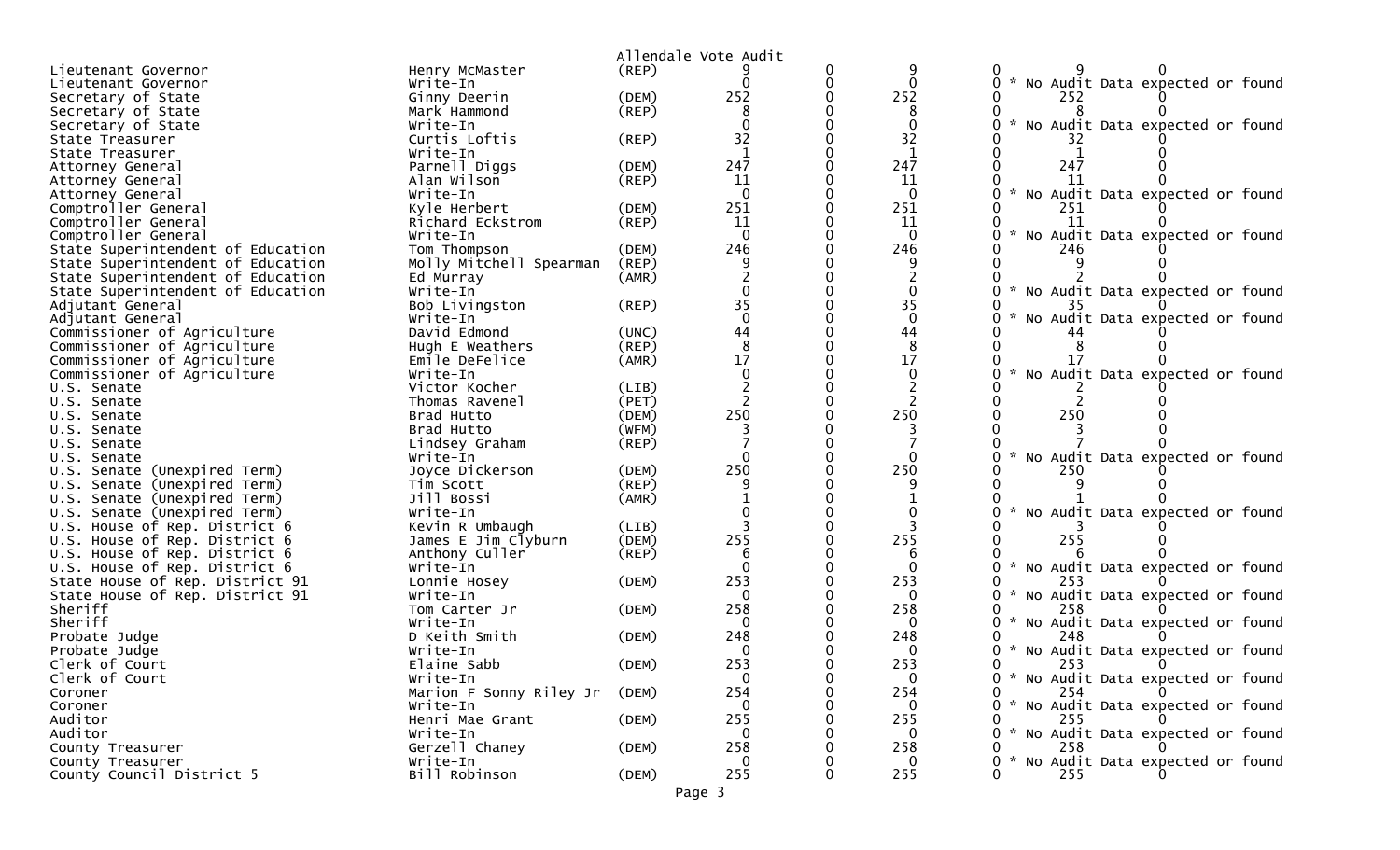|                                   |                         |             | Allendale Vote Audit |              |                                           |
|-----------------------------------|-------------------------|-------------|----------------------|--------------|-------------------------------------------|
| Lieutenant Governor               | Henry McMaster          | (REP)       |                      |              |                                           |
| Lieutenant Governor               | Write-In                |             |                      |              | No Audit Data expected or found           |
| Secretary of State                | Ginny Deerin            | (DEM)       | 252                  | 252          | 252                                       |
| Secretary of State                | Mark Hammond            | (REP)       |                      | 8            |                                           |
| Secretary of State                | Write-In                |             |                      |              | $\sim$<br>No Audit Data expected or found |
| State Treasurer                   | Curtis Loftis           | $($ REP $)$ | 32                   | 32           |                                           |
| State Treasurer                   | Write-In                |             |                      | $\mathbf{1}$ |                                           |
| Attorney General                  | Parnell Diggs           | (DEM)       | 247                  | 247          | 247                                       |
| Attorney General                  | Alan Wilson             | (REP)       | 11                   | 11           | 11                                        |
| Attorney General                  | Write-In                |             | $\Omega$             | $\mathbf{0}$ | * No Audit Data expected or found         |
| Comptroller General               | Kyle Herbert            | (DEM)       | 251                  | 251          | 251                                       |
| Comptroller General               | Richard Eckstrom        | $($ REP $)$ | 11                   | 11           | 11                                        |
| Comptroller General               | Write-In                |             | $\Omega$             | $\Omega$     | No Audit Data expected or found           |
| State Superintendent of Education | Tom Thompson            | (DEM)       | 246                  | 246          | 246                                       |
| State Superintendent of Education | Molly Mitchell Spearman | (REP)       |                      |              |                                           |
| State Superintendent of Education | Ed Murray               | (AMR)       |                      |              |                                           |
| State Superintendent of Education | Write-In                |             |                      |              | * No Audit Data expected or found         |
| Adjutant General                  | Bob Livingston          | $($ REP $)$ | 35                   | 35           |                                           |
| Adjutant General                  | Write-In                |             | $\Omega$             | $\mathbf 0$  | No Audit Data expected or found           |
| Commissioner of Agriculture       | David Edmond            | (UNC)       | 44                   | 44           |                                           |
| Commissioner of Agriculture       | Hugh E Weathers         | (REP)       | 8                    | 8            |                                           |
| Commissioner of Agriculture       | Emile DeFelice          | (AMR)       | 17                   | 17           | 17                                        |
| Commissioner of Agriculture       | Write-In                |             |                      |              | $\sim$<br>No Audit Data expected or found |
| U.S. Senate                       | Victor Kocher           | (LIB)       |                      |              |                                           |
| U.S. Senate                       | Thomas Ravenel          | (PET)       |                      | 2            |                                           |
| U.S. Senate                       | Brad Hutto              | (DEM)       | 250                  | 250          | 250                                       |
| U.S. Senate                       | Brad Hutto              | (WFM)       |                      |              |                                           |
| U.S. Senate                       | Lindsey Graham          | $($ REP $)$ |                      |              |                                           |
| U.S. Senate                       | Write-In                |             |                      |              | No Audit Data expected or found           |
| U.S. Senate (Unexpired Term)      | Joyce Dickerson         | (DEM)       | 250                  | 250          | 250                                       |
| U.S. Senate (Unexpired Term)      | Tim Scott               | $($ REP $)$ |                      |              |                                           |
| U.S. Senate (Unexpired Term)      | Jill Bossi              | (AMR)       |                      |              |                                           |
| U.S. Senate (Unexpired Term)      | Write-In                |             |                      |              | No Audit Data expected or found           |
| U.S. House of Rep. District 6     | Kevin R Umbaugh         | (LIB)       |                      |              |                                           |
| U.S. House of Rep. District 6     | James E Jim Clyburn     | (DEM)       | 255                  | 255          | 255                                       |
| U.S. House of Rep. District 6     | Anthony Culler          | (REP)       |                      |              |                                           |
| U.S. House of Rep. District 6     | Write-In                |             |                      | $\Omega$     | * No Audit Data expected or found         |
| State House of Rep. District 91   | Lonnie Hosey            | (DEM)       | 253                  | 253          | 253                                       |
| State House of Rep. District 91   | Write-In                |             | $\Omega$             | $\Omega$     | No Audit Data expected or found           |
| Sheriff                           | Tom Carter Jr           | (DEM)       | 258                  | 258          | 258                                       |
| Sheriff                           | Write-In                |             |                      |              | * No Audit Data expected or found         |
| Probate Judge                     | D Keith Smith           | (DEM)       | 248                  | 248          | 248                                       |
| Probate Judge                     | Write-In                |             | 0                    | 0            | * No Audit Data expected or found         |
| Clerk of Court                    | Elaine Sabb             | (DEM)       | 253                  | 253          | 253                                       |
| Clerk of Court                    | Write-In                |             | $\mathbf{0}$         | $\mathbf{0}$ | 0 * No Audit Data expected or found       |
| Coroner                           | Marion F Sonny Riley Jr | (DEM)       | 254                  | 254          | 254<br>$\Omega$                           |
| Coroner                           | Write-In                |             | 0                    | 0            | * No Audit Data expected or found         |
| Auditor                           | Henri Mae Grant         | (DEM)       | 255                  | 255          | 255                                       |
| Auditor                           | Write-In                |             | $\Omega$             | 0            | * No Audit Data expected or found         |
| County Treasurer                  | Gerzell Chaney          | (DEM)       | 258                  | 258          | 258                                       |
| County Treasurer                  | Write-In                |             | 0                    | $\Omega$     | * No Audit Data expected or found         |
| County Council District 5         | Bill Robinson           | (DEM)       | 255                  | 255          | 255                                       |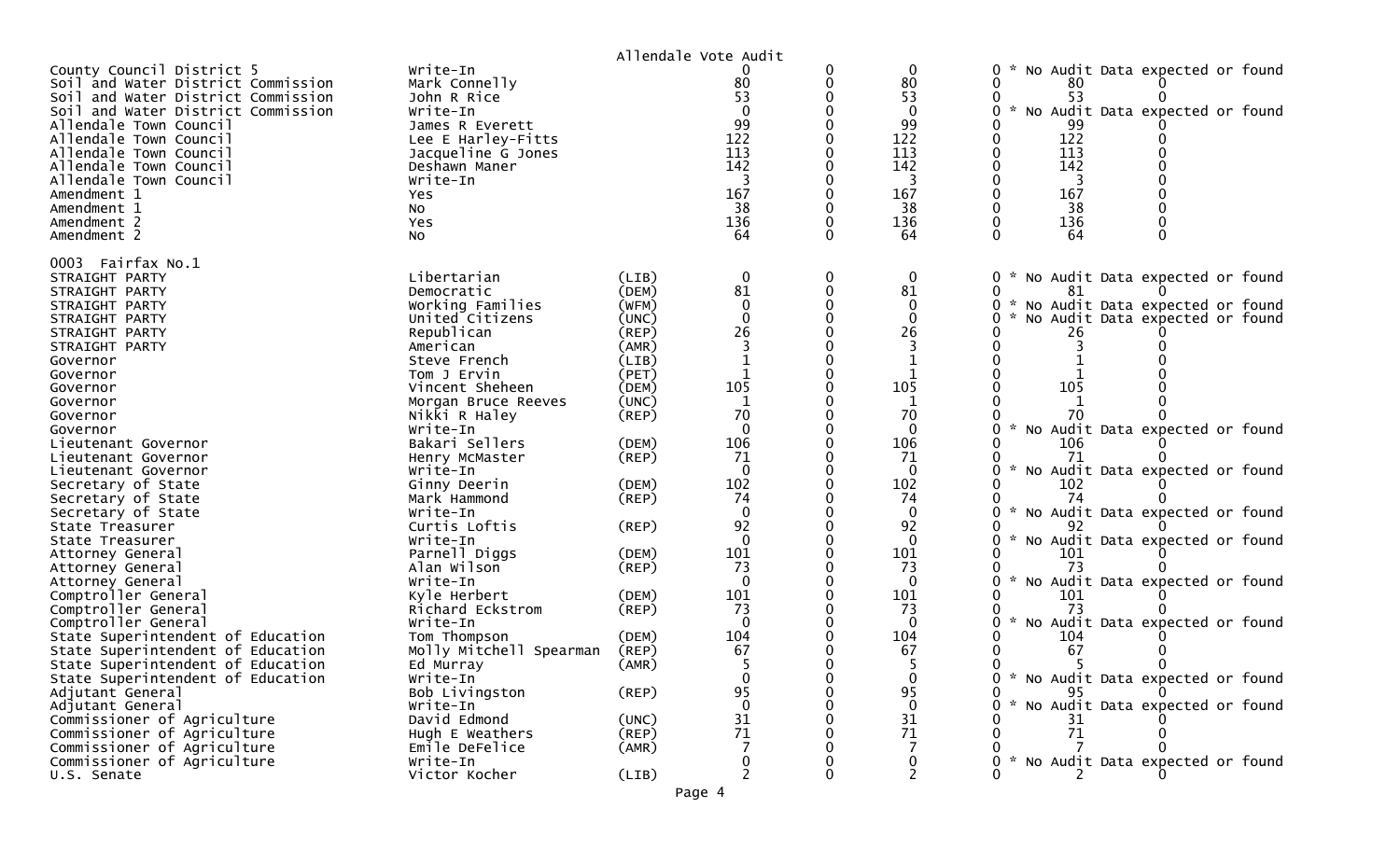|                                                                                                                                                                       |                                                                              |                | Allendale Vote Audit                                             |                            |                                              |                                                                                                         |
|-----------------------------------------------------------------------------------------------------------------------------------------------------------------------|------------------------------------------------------------------------------|----------------|------------------------------------------------------------------|----------------------------|----------------------------------------------|---------------------------------------------------------------------------------------------------------|
| County Council District 5<br>Soil and Water District Commission<br>Soil and Water District Commission<br>Soil and Water District Commission<br>Allendale Town Council | Write-In<br>Mark Connelly<br>John R Rice<br>Write-In<br>James R Everett      |                | 80<br>53<br>$\Omega$<br>$\begin{array}{c} 99 \\ 122 \end{array}$ | 0<br>$\Omega$<br>$\Omega$  | $\mathbf 0$<br>80<br>53<br>$\mathbf 0$<br>99 | No Audit Data expected or found<br>0<br>0<br>80<br>53<br>$\sim$<br>No Audit Data expected or found<br>0 |
| Allendale Town Council<br>Allendale Town Council<br>Allendale Town Council<br>Allendale Town Council<br>Amendment 1                                                   | Lee E Harley-Fitts<br>Jacqueline G Jones<br>Deshawn Maner<br>Write-In<br>Yes |                | 113<br>142<br>3<br>167                                           | $\mathbf 0$                | 122<br>113<br>142<br>3<br>167                | 122<br>113<br>142<br>3<br>167                                                                           |
| Amendment 1<br>Amendment 2<br>Amendment 2                                                                                                                             | No<br>Yes<br>No                                                              |                | 38<br>136<br>64                                                  | $\Omega$<br>0<br>$\Omega$  | 38<br>136<br>64                              | 38<br>136<br>0<br>$\Omega$<br>64<br>$\Omega$                                                            |
| 0003 Fairfax No.1<br>STRAIGHT PARTY                                                                                                                                   | Libertarian                                                                  | (LIB)          | 0                                                                | 0                          | $\bf{0}$                                     | No Audit Data expected or found<br>0                                                                    |
| STRAIGHT PARTY                                                                                                                                                        | Democratic                                                                   | (DEM)          | 81                                                               | $\mathbf 0$                | 81                                           | 0<br>81                                                                                                 |
| STRAIGHT PARTY                                                                                                                                                        | Working Families                                                             | (WFM)          | $\mathbf 0$<br>$\mathbf 0$                                       | $\mathbf 0$<br>$\mathbf 0$ | $\mathbf{0}$<br>$\mathbf{0}$                 | No Audit Data expected or found<br>$0 *$                                                                |
| STRAIGHT PARTY<br>STRAIGHT PARTY                                                                                                                                      | United Citizens<br>Republican                                                | (UNC)<br>(REP) | 26                                                               | $\Omega$                   | 26                                           | No Audit Data expected or found<br>26                                                                   |
| STRAIGHT PARTY                                                                                                                                                        | American                                                                     | (AMR)          | 3                                                                |                            |                                              |                                                                                                         |
| Governor                                                                                                                                                              | Steve French                                                                 | (LIB)          |                                                                  |                            |                                              |                                                                                                         |
| Governor                                                                                                                                                              | Tom J Ervin                                                                  | (PET)          |                                                                  | $\Omega$                   |                                              |                                                                                                         |
| Governor                                                                                                                                                              | Vincent Sheheen                                                              | (DEM)          | 105                                                              | $\mathbf 0$                | 105                                          | 105                                                                                                     |
| Governor                                                                                                                                                              | Morgan Bruce Reeves                                                          | (UNC)          | $\mathbf 1$                                                      |                            | 1                                            |                                                                                                         |
| Governor                                                                                                                                                              | Nikki R Haley                                                                | $($ REP $)$    | 70                                                               |                            | 70                                           |                                                                                                         |
| Governor                                                                                                                                                              | Write-In                                                                     |                | $\mathbf 0$                                                      | 0                          | $\mathbf{0}$                                 | No Audit Data expected or found<br>0                                                                    |
| Lieutenant Governor                                                                                                                                                   | Bakari Sellers                                                               | (DEM)          | 106                                                              | $\mathbf 0$                | 106                                          | 106                                                                                                     |
| Lieutenant Governor                                                                                                                                                   | Henry McMaster                                                               | $($ REP $)$    | 71                                                               | $\Omega$                   | 71                                           | 71                                                                                                      |
| Lieutenant Governor                                                                                                                                                   | Write-In                                                                     |                | $\mathbf 0$                                                      | $\Omega$                   | $\mathbf{0}$                                 | 0<br>No Audit Data expected or found                                                                    |
| Secretary of State                                                                                                                                                    | Ginny Deerin                                                                 | (DEM)          | 102                                                              |                            | 102                                          | 102                                                                                                     |
| Secretary of State                                                                                                                                                    | Mark Hammond                                                                 | $($ REP $)$    | 74                                                               |                            | 74                                           | 74                                                                                                      |
| Secretary of State                                                                                                                                                    | Write-In                                                                     |                | $\mathbf 0$                                                      | $\mathbf 0$                | $\mathbf{0}$                                 | $\mathcal{H}$<br>No Audit Data expected or found<br>0                                                   |
| State Treasurer                                                                                                                                                       | Curtis Loftis                                                                | $($ REP $)$    | 92                                                               |                            | 92                                           |                                                                                                         |
| State Treasurer                                                                                                                                                       | Write-In                                                                     |                | $\overline{0}$                                                   | $\Omega$                   | $\mathbf{0}$                                 | $\sim$<br>No Audit Data expected or found<br>0                                                          |
| Attorney General                                                                                                                                                      | Parnell Diggs                                                                | (DEM)          | 101                                                              | 0                          | 101                                          | 101                                                                                                     |
| Attorney General                                                                                                                                                      | Alan Wilson                                                                  | $($ REP $)$    | 73                                                               |                            | 73                                           | 73                                                                                                      |
| Attorney General                                                                                                                                                      | Write-In                                                                     |                | $\overline{0}$                                                   | $\Omega$                   | $\mathbf 0$                                  | No Audit Data expected or found<br>0                                                                    |
| Comptroller General                                                                                                                                                   | Kyle Herbert                                                                 | (DEM)          | 101                                                              |                            | 101                                          | 101                                                                                                     |
| Comptroller General                                                                                                                                                   | Richard Eckstrom                                                             | $($ REP $)$    | 73                                                               |                            | 73                                           | 73                                                                                                      |
| Comptroller General                                                                                                                                                   | Write-In                                                                     |                | $\Omega$                                                         |                            | $\mathbf 0$                                  | No Audit Data expected or found<br>0                                                                    |
| State Superintendent of Education                                                                                                                                     | Tom Thompson                                                                 | (DEM)          | 104                                                              |                            | 104                                          | 104                                                                                                     |
| State Superintendent of Education                                                                                                                                     | Molly Mitchell Spearman                                                      | (REP)          | 67                                                               |                            | 67                                           | 67                                                                                                      |
| State Superintendent of Education                                                                                                                                     | Ed Murray                                                                    | (AMR)          |                                                                  |                            |                                              |                                                                                                         |
| State Superintendent of Education                                                                                                                                     | Write-In                                                                     |                | $\boldsymbol{0}$                                                 |                            | $\mathbf 0$                                  | * No Audit Data expected or found<br>0                                                                  |
| Adjutant General                                                                                                                                                      | Bob Livingston                                                               | $($ REP $)$    | 95                                                               |                            | 95                                           | O<br>95.                                                                                                |
| Adjutant General                                                                                                                                                      | Write-In                                                                     |                | $\mathbf 0$                                                      |                            | $\mathbf{0}$                                 | No Audit Data expected or found                                                                         |
| Commissioner of Agriculture                                                                                                                                           | David Edmond                                                                 | (UNC)          | 31                                                               |                            | 31                                           | 31                                                                                                      |
| Commissioner of Agriculture                                                                                                                                           | Hugh E Weathers                                                              | (REP)          | 71                                                               |                            | 71                                           | 71                                                                                                      |
| Commissioner of Agriculture                                                                                                                                           | Emile DeFelice                                                               | (AMR)          |                                                                  |                            |                                              |                                                                                                         |
| Commissioner of Agriculture                                                                                                                                           | Write-In                                                                     |                |                                                                  |                            | 0                                            | * No Audit Data expected or found                                                                       |
| U.S. Senate                                                                                                                                                           | Victor Kocher                                                                | (LIB)          |                                                                  | ∩                          | 2                                            |                                                                                                         |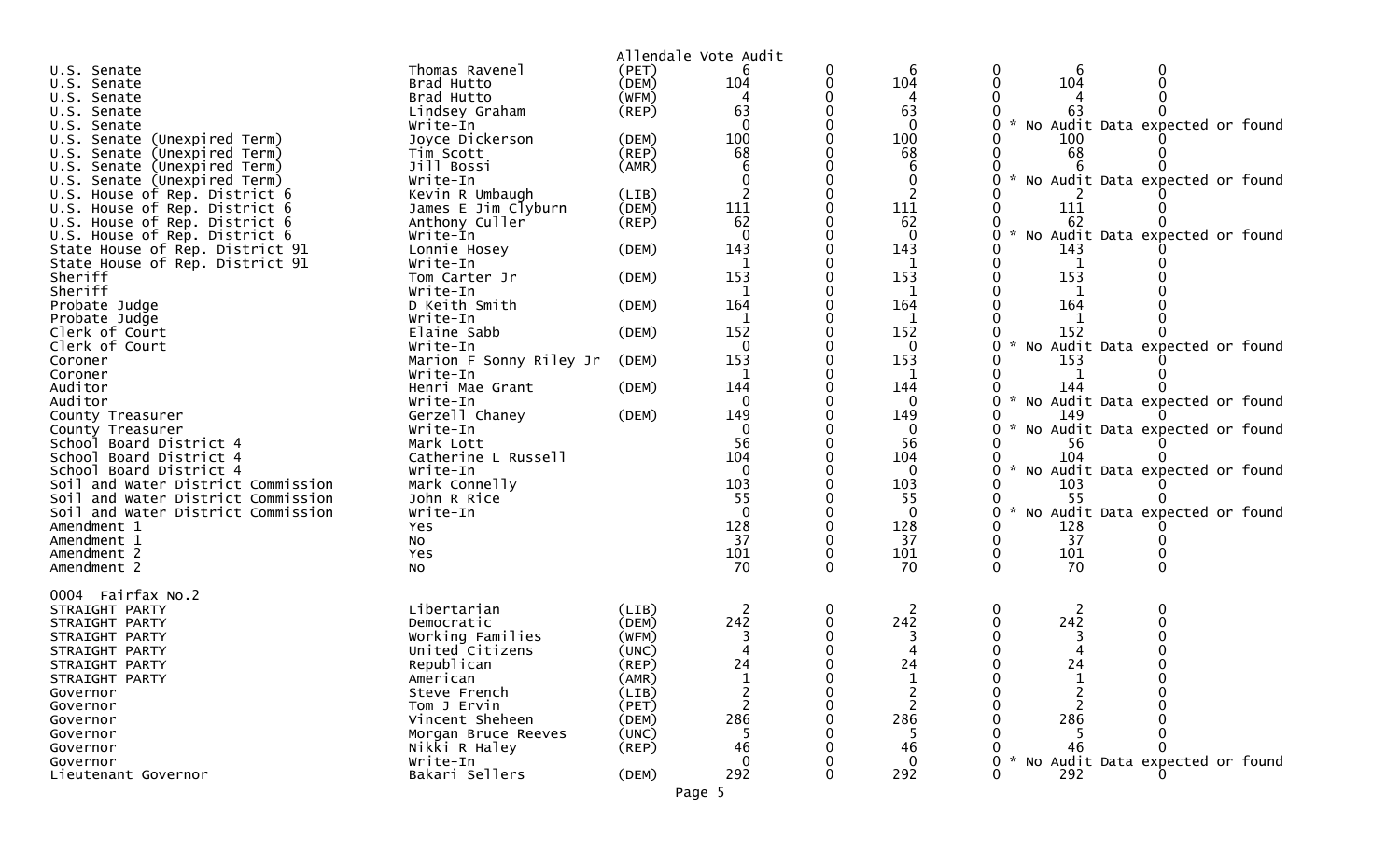|                                    |                         |             | Allendale Vote Audit     |   |              |                                                  |
|------------------------------------|-------------------------|-------------|--------------------------|---|--------------|--------------------------------------------------|
| U.S. Senate                        | Thomas Ravenel          | (PET)       | 6                        |   | 6            | 6                                                |
| U.S. Senate                        | Brad Hutto              | (DEM)       | 104                      |   | 104          | 104                                              |
| U.S. Senate                        | Brad Hutto              | (WFM)       |                          |   | 4            |                                                  |
| U.S. Senate                        | Lindsey Graham          | (REP)       | 63                       |   | 63           | 63                                               |
| U.S. Senate                        | Write-In                |             | $\Omega$                 |   | $\mathbf{0}$ | No Audit Data expected or found                  |
| U.S. Senate (Unexpired Term)       | Joyce Dickerson         | (DEM)       | 100                      |   | 100          | 100                                              |
| U.S. Senate (Unexpired Term)       | Tim Scott               | (REP)       | 68                       |   | 68           | 68                                               |
| U.S. Senate (Unexpired Term)       | Jill Bossi              | (AMR)       |                          |   | 6            |                                                  |
| U.S. Senate (Unexpired Term)       | Write-In                |             |                          |   | 0            | No Audit Data expected or found                  |
| U.S. House of Rep. District 6      | Kevin R Umbaugh         | (LIB)       | $\overline{\phantom{0}}$ |   | 2            |                                                  |
| U.S. House of Rep. District 6      | James E Jim Clyburn     | (DEM)       | 111                      |   | 111          | 111                                              |
| U.S. House of Rep. District 6      | Anthony Culler          | $($ REP $)$ | 62                       |   | 62           | 62                                               |
| U.S. House of Rep. District 6      | Write-In                |             | $\Omega$                 |   | $\mathbf{0}$ | No Audit Data expected or found                  |
| State House of Rep. District 91    | Lonnie Hosey            | (DEM)       | 143                      |   | 143          | 143                                              |
| State House of Rep. District 91    | Write-In                |             |                          |   |              |                                                  |
| Sheriff                            | Tom Carter Jr           | (DEM)       | 153                      |   | 153          | 153                                              |
| Sheriff                            | Write-In                |             | 1                        |   | 1            | 1                                                |
|                                    | D Keith Smith           | (DEM)       | 164                      |   | 164          | 164                                              |
| Probate Judge                      |                         |             |                          |   |              |                                                  |
| Probate Judge                      | Write-In                |             | 1                        |   | 1            | 1                                                |
| Clerk of Court                     | Elaine Sabb             | (DEM)       | 152                      |   | 152          | 152<br>$\mathcal{H}$                             |
| Clerk of Court                     | Write-In                |             | $\Omega$                 |   | $\Omega$     | No Audit Data expected or found                  |
| Coroner                            | Marion F Sonny Riley Jr | (DEM)       | 153                      |   | 153          | 153                                              |
| Coroner                            | Write-In                |             | 1                        |   | 1            |                                                  |
| Auditor                            | Henri Mae Grant         | (DEM)       | 144                      |   | 144          | 144                                              |
| Auditor                            | Write-In                |             | $\mathbf{0}$             |   | 0            | No Audit Data expected or found<br>$\mathcal{H}$ |
| County Treasurer                   | Gerzell Chaney          | (DEM)       | 149                      |   | 149          | 149                                              |
| County Treasurer                   | Write-In                |             | 0                        |   | 0            | No Audit Data expected or found                  |
| School Board District 4            | Mark Lott               |             | 56                       |   | 56           | 56                                               |
| School Board District 4            | Catherine L Russell     |             | 104                      |   | 104          | 104                                              |
| School Board District 4            | Write-In                |             | $\mathbf{0}$             |   | 0            | No Audit Data expected or found                  |
| Soil and Water District Commission | Mark Connelly           |             | 103                      |   | 103          | 103                                              |
| Soil and Water District Commission | John R Rice             |             | 55                       |   | 55           | -55                                              |
| Soil and Water District Commission | Write-In                |             | $\Omega$                 |   | $\Omega$     | No Audit Data expected or found                  |
| Amendment 1                        | Yes                     |             | 128                      |   | 128          | 128                                              |
| Amendment 1                        | No                      |             | 37                       |   | 37           | 37                                               |
| Amendment 2                        | Yes                     |             | 101                      |   | 101          | 101                                              |
| Amendment 2                        | No                      |             | 70                       | 0 | 70           | 70<br>0                                          |
|                                    |                         |             |                          |   |              |                                                  |
| 0004 Fairfax No.2                  |                         |             |                          |   |              |                                                  |
| STRAIGHT PARTY                     | Libertarian             | (LIB)       | 2                        | 0 | 2            | 2                                                |
| STRAIGHT PARTY                     | Democratic              | (DEM)       | 242                      | 0 | 242          | 242                                              |
| STRAIGHT PARTY                     | Working Families        | (WFM)       |                          |   |              |                                                  |
| STRAIGHT PARTY                     | United Citizens         | (UNC)       |                          |   |              |                                                  |
| STRAIGHT PARTY                     | Republican              | (REP)       | 24                       |   | 24           | 24                                               |
| STRAIGHT PARTY                     | American                | (AMR)       |                          |   |              |                                                  |
| Governor                           | Steve French            | (LIB)       | 2                        |   |              | 2                                                |
| Governor                           | Tom J Ervin             | (PET)       |                          |   |              |                                                  |
| Governor                           | Vincent Sheheen         | (DEM)       | 286                      |   | 286          | 286                                              |
| Governor                           | Morgan Bruce Reeves     | (UNC)       |                          |   |              |                                                  |
|                                    | Nikki R Haley           | $($ REP $)$ | 46                       |   | 46           | 46                                               |
| Governor                           |                         |             | ∩                        |   | $\Omega$     |                                                  |
| Governor                           | Write-In                |             |                          |   |              | Audit Data expected or found<br>NO.              |
| Lieutenant Governor                | Bakari Sellers          | (DEM)       | 292                      | 0 | 292          | 292                                              |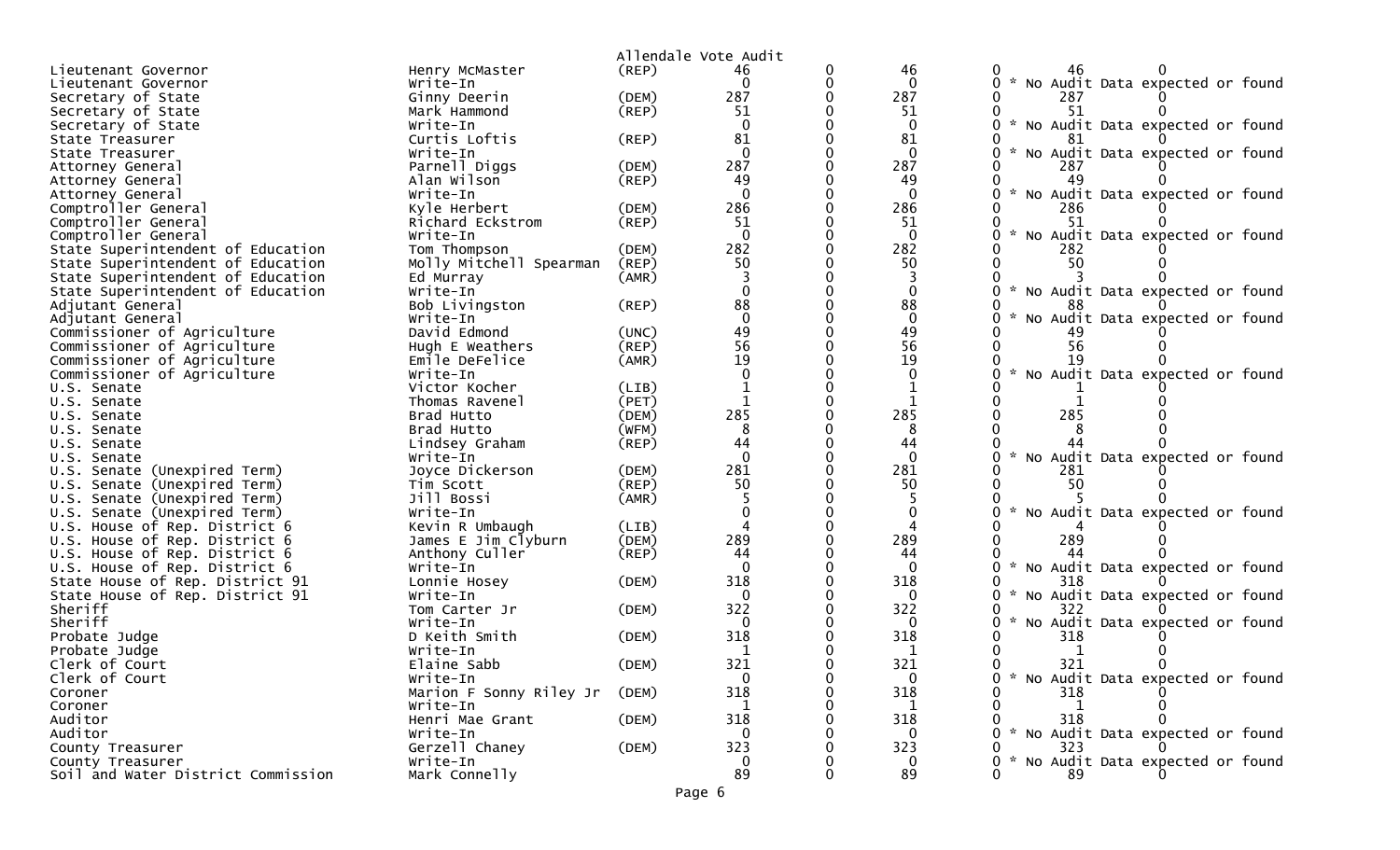|                                            |                                  |                | Allendale Vote Audit |   |                     |                                                         |
|--------------------------------------------|----------------------------------|----------------|----------------------|---|---------------------|---------------------------------------------------------|
| Lieutenant Governor                        | Henry McMaster                   | (REP)          | 46                   | 0 | 46                  | 46                                                      |
| Lieutenant Governor                        | Write-In                         |                | $\Omega$             | 0 | $\Omega$            | No Audit Data expected or found<br>0                    |
| Secretary of State                         | Ginny Deerin                     | (DEM)          | 287                  |   | 287                 | 287                                                     |
| Secretary of State                         | Mark Hammond                     | (REP)          | 51                   |   | 51                  | 51                                                      |
| Secretary of State                         | Write-In                         |                | $\Omega$             |   | $\Omega$            | $\sim$<br>No Audit Data expected or found               |
| State Treasurer                            | Curtis Loftis                    | (REP)          | 81                   |   | 81                  |                                                         |
| State Treasurer                            | Write-In                         |                | $\mathbf 0$          |   | $\mathbf{0}$        | No Audit Data expected or found                         |
| Attorney General                           | Parnell Diggs                    | (DEM)          | 287                  |   | 287                 | 287                                                     |
| Attorney General                           | Alan Wilson                      | (REP)          | 49                   |   | 49                  |                                                         |
| Attorney General                           | Write-In                         |                | $\Omega$<br>286      |   | $\mathbf{0}$<br>286 | No Audit Data expected or found                         |
| Comptroller General                        | Kyle Herbert<br>Richard Eckstrom | (DEM)<br>(REP) | 51                   |   | 51                  | 286                                                     |
| Comptroller General<br>Comptroller General | Write-In                         |                | $\Omega$             |   | $\mathbf{0}$        | No Audit Data expected or found                         |
| State Superintendent of Education          | Tom Thompson                     | (DEM)          | 282                  |   | 282                 | 282                                                     |
| State Superintendent of Education          | Molly Mitchell Spearman          | (REP)          | 50                   |   | 50                  | 50                                                      |
| State Superintendent of Education          | Ed Murray                        | (AMR)          |                      |   | 3                   |                                                         |
| State Superintendent of Education          | Write-In                         |                |                      |   | $\Omega$            | $\sim$<br>No Audit Data expected or found               |
| Adjutant General                           | Bob Livingston                   | (REP)          | 88                   |   | 88                  |                                                         |
| Adjutant General                           | Write-In                         |                | $\Omega$             |   | $\mathbf{0}$        | No Audit Data expected or found                         |
| Commissioner of Agriculture                | David Edmond                     | (UNC)          | 49                   |   | 49                  |                                                         |
| Commissioner of Agriculture                | Hugh E Weathers                  | (REP)          | 56                   |   | 56                  | 56                                                      |
| Commissioner of Agriculture                | Emile DeFelice                   | (AMR)          | 19                   |   | 19                  | 19                                                      |
| Commissioner of Agriculture                | Write-In                         |                |                      |   | $\Omega$            | No Audit Data expected or found                         |
| U.S. Senate                                | Victor Kocher                    | (LIB)          |                      |   |                     |                                                         |
| U.S. Senate                                | Thomas Ravenel                   | (PET)          |                      |   |                     |                                                         |
| U.S. Senate                                | Brad Hutto                       | (DEM)          | 285                  |   | 285                 | 285                                                     |
| U.S. Senate                                | Brad Hutto                       | (WFM)          | 8                    |   | 8                   |                                                         |
| U.S. Senate                                | Lindsey Graham                   | (REP)          | 44                   |   | 44                  |                                                         |
| U.S. Senate                                | Write-In                         |                | $\Omega$             |   | $\Omega$            | No Audit Data expected or found                         |
| U.S. Senate (Unexpired Term)               | Joyce Dickerson                  | (DEM)          | 281                  |   | 281                 | 281                                                     |
| U.S. Senate (Unexpired Term)               | Tim Scott                        | (REP)          | 50                   |   | 50                  | 50                                                      |
| U.S. Senate (Unexpired Term)               | Jill Bossi                       | (AMR)          |                      |   |                     |                                                         |
| U.S. Senate (Unexpired Term)               | Write-In                         |                |                      |   | $\Omega$            | No Audit Data expected or found                         |
| U.S. House of Rep. District 6              | Kevin R Umbaugh                  | (LIB)          |                      |   |                     |                                                         |
| U.S. House of Rep. District 6              | James E Jim Clyburn              | (DEM)          | 289                  |   | 289                 | 289                                                     |
| U.S. House of Rep. District 6              | Anthony Culler                   | $($ REP $)$    | 44                   |   | 44                  |                                                         |
| U.S. House of Rep. District 6              | Write-In                         |                | $\Omega$             |   | $\mathbf{0}$        | $\mathcal{H}$<br>No Audit Data expected or found        |
| State House of Rep. District 91            | Lonnie Hosey                     | (DEM)          | 318                  |   | 318                 | 318                                                     |
| State House of Rep. District 91            | Write-In                         |                | $\Omega$<br>322      |   | $\Omega$<br>322     | No Audit Data expected or found                         |
| Sheriff<br>Sheriff                         | Tom Carter Jr                    | (DEM)          |                      |   | $\Omega$            | 322<br>No Audit Data expected or found<br>$\mathcal{H}$ |
| Probate Judge                              | Write-In<br>D Keith Smith        | (DEM)          | 318                  |   | 318                 | 318                                                     |
| Probate Judge                              | Write-In                         |                |                      |   |                     |                                                         |
| Clerk of Court                             | Elaine Sabb                      | (DEM)          | 321                  |   | 321                 | 321                                                     |
| Clerk of Court                             | Write-In                         |                | $\Omega$             |   | $\overline{0}$      | 0 * No Audit Data expected or found                     |
| Coroner                                    | Marion F Sonny Riley Jr          | (DEM)          | 318                  |   | 318                 | 318                                                     |
| Coroner                                    | Write-In                         |                |                      |   |                     |                                                         |
| Auditor                                    | Henri Mae Grant                  | (DEM)          | 318                  |   | 318                 | 318                                                     |
| Auditor                                    | Write-In                         |                |                      |   | $\Omega$            | * No Audit Data expected or found                       |
| County Treasurer                           | Gerzell Chaney                   | (DEM)          | 323                  |   | 323                 | 323                                                     |
| County Treasurer                           | Write-In                         |                | $\overline{0}$       |   | $\overline{0}$      | * No Audit Data expected or found                       |
| Soil and Water District Commission         | Mark Connelly                    |                | 89                   |   | 89                  | 89                                                      |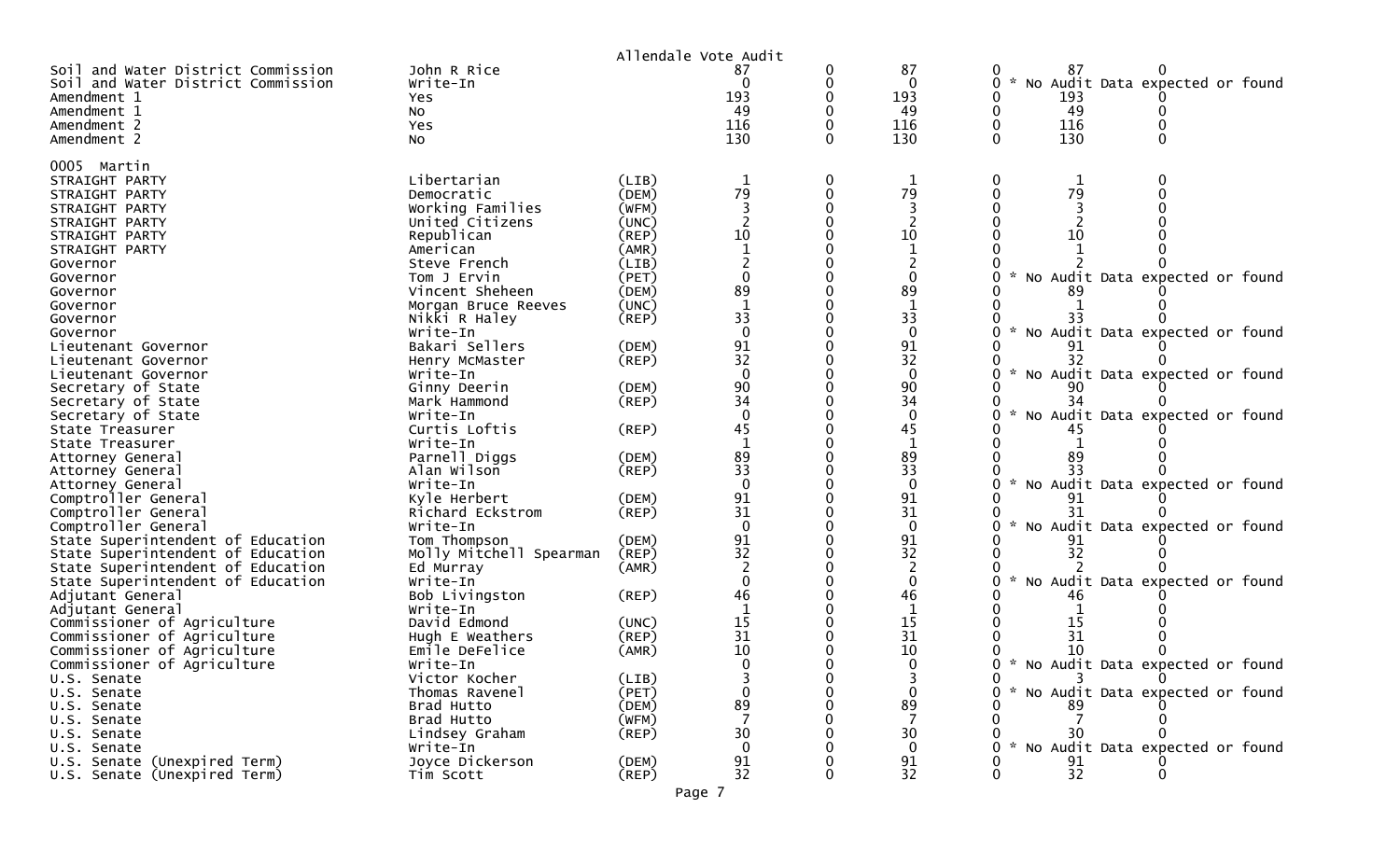|                                                                                                                       |                                               |                         | Allendale Vote Audit  |        |                                    |                                                                                                   |
|-----------------------------------------------------------------------------------------------------------------------|-----------------------------------------------|-------------------------|-----------------------|--------|------------------------------------|---------------------------------------------------------------------------------------------------|
| Soil and Water District Commission<br>Soil and Water District Commission<br>Amendment 1<br>Amendment 1<br>Amendment 2 | John R Rice<br>Write-In<br>Yes<br>NO.<br>Yes  |                         | 0<br>193<br>49<br>116 | 0<br>0 | 87<br>$\Omega$<br>193<br>49<br>116 | 0<br>87<br>0<br>$0 *$<br>No Audit Data expected or found<br>193<br>49<br>0<br>116<br>$\mathbf{0}$ |
| Amendment 2                                                                                                           | NO.                                           |                         | 130                   |        | 130                                | 130<br>0                                                                                          |
| 0005 Martin<br>STRAIGHT PARTY<br>STRAIGHT PARTY<br>STRAIGHT PARTY                                                     | Libertarian<br>Democratic<br>Working Families | (LIB)<br>(DEM)<br>(WFM) | 1<br>79               | 0<br>0 | 1<br>79                            | 0<br>0<br>1<br>79<br>$\Omega$                                                                     |
| STRAIGHT PARTY                                                                                                        | United Citizens                               | (UNC)                   |                       |        |                                    |                                                                                                   |
| STRAIGHT PARTY                                                                                                        | Republican                                    | (REP)                   | 10                    |        | 10                                 | 10                                                                                                |
| STRAIGHT PARTY                                                                                                        | American                                      | (AMR)                   | $\mathbf{1}$          |        | $\mathbf{1}$                       |                                                                                                   |
| Governor                                                                                                              | Steve French                                  | (LIB)                   | $\Omega$              |        | $\Omega$                           |                                                                                                   |
| Governor<br>Governor                                                                                                  | Tom J Ervin<br>Vincent Sheheen                | (PET)<br>(DEM)          | 89                    |        | 89                                 | No Audit Data expected or found<br>89                                                             |
| Governor                                                                                                              | Morgan Bruce Reeves                           | (UNC)                   | $\mathbf{1}$          |        |                                    |                                                                                                   |
| Governor                                                                                                              | Nikki R Haley                                 | $($ REP $)$             | 33                    |        | 33                                 |                                                                                                   |
| Governor                                                                                                              | Write-In                                      |                         | $\Omega$              |        | $\mathbf{0}$                       | $\sim$<br>No Audit Data expected or found                                                         |
| Lieutenant Governor                                                                                                   | Bakari Sellers                                | (DEM)                   | 91                    |        | 91                                 |                                                                                                   |
| Lieutenant Governor                                                                                                   | Henry McMaster                                | (REP)                   | 32                    |        | 32                                 | 32                                                                                                |
| Lieutenant Governor                                                                                                   | Write-In                                      |                         | $\Omega$              |        | $\mathbf{0}$                       | $\sim$<br>No Audit Data expected or found                                                         |
| Secretary of State                                                                                                    | Ginny Deerin                                  | (DEM)                   | 90                    |        | 90                                 | 90                                                                                                |
| Secretary of State                                                                                                    | Mark Hammond                                  | (REP)                   | 34<br>$\Omega$        |        | 34                                 | 34<br>$\sim$                                                                                      |
| Secretary of State<br>State Treasurer                                                                                 | Write-In<br>Curtis Loftis                     | $($ REP $)$             | 45                    |        | $\Omega$<br>45                     | No Audit Data expected or found                                                                   |
| State Treasurer                                                                                                       | Write-In                                      |                         | $\mathbf{1}$          |        | $\mathbf{1}$                       |                                                                                                   |
| Attorney General                                                                                                      | Parnell Diggs                                 | (DEM)                   | 89                    |        | 89                                 | 89                                                                                                |
| Attorney General                                                                                                      | Alan Wilson                                   | (REP)                   | 33                    |        | 33                                 |                                                                                                   |
| Attorney General                                                                                                      | Write-In                                      |                         | $\Omega$              |        | $\Omega$                           | $\sim$<br>No Audit Data expected or found                                                         |
| Comptroller General                                                                                                   | Kyle Herbert                                  | (DEM)                   | 91                    |        | 91                                 | 91                                                                                                |
| Comptroller General                                                                                                   | Richard Eckstrom                              | (REP)                   | 31                    |        | 31                                 |                                                                                                   |
| Comptroller General                                                                                                   | Write-In                                      |                         | $\Omega$              |        | $\mathbf{0}$                       | No Audit Data expected or found                                                                   |
| State Superintendent of Education                                                                                     | Tom Thompson                                  | (DEM)                   | 91                    |        | 91                                 | 91                                                                                                |
| State Superintendent of Education                                                                                     | Molly Mitchell Spearman                       | (REP)                   | 32<br>$\overline{2}$  |        | 32<br>2                            | 32                                                                                                |
| State Superintendent of Education<br>State Superintendent of Education                                                | Ed Murray<br>Write-In                         | (AMR)                   | $\Omega$              |        | $\mathbf{0}$                       | No Audit Data expected or found                                                                   |
| Adjutant General                                                                                                      | Bob Livingston                                | $($ REP $)$             | 46                    |        | 46                                 | 46                                                                                                |
| Adjutant General                                                                                                      | Write-In                                      |                         | -1                    |        | $\mathbf{1}$                       |                                                                                                   |
| Commissioner of Agriculture                                                                                           | David Edmond                                  | (UNC)                   | 15                    |        | 15                                 | 15                                                                                                |
| Commissioner of Agriculture                                                                                           | Hugh E Weathers                               | (REP)                   | 31                    |        | 31                                 | 31                                                                                                |
| Commissioner of Agriculture                                                                                           | Emile DeFelice                                | (AMR)                   | 10                    |        | 10                                 | 10                                                                                                |
| Commissioner of Agriculture                                                                                           | Write-In                                      |                         | $\Omega$              |        | $\mathbf{0}$                       | 0 * No Audit Data expected or found                                                               |
| U.S. Senate                                                                                                           | Victor Kocher                                 | (LIB)                   |                       |        |                                    |                                                                                                   |
| U.S. Senate                                                                                                           | Thomas Ravenel                                | (PET)                   | 89                    |        | $\mathbf{0}$<br>89                 | 0 * No Audit Data expected or found<br>89                                                         |
| U.S. Senate<br>U.S. Senate                                                                                            | Brad Hutto<br>Brad Hutto                      | (DEM)<br>(WFM)          |                       |        |                                    |                                                                                                   |
| U.S. Senate                                                                                                           | Lindsey Graham                                | $($ REP $)$             | 30                    |        | 30                                 | 30                                                                                                |
| U.S. Senate                                                                                                           | Write-In                                      |                         | $\Omega$              |        | $\Omega$                           | $\mathcal{H}$<br>No Audit Data expected or found                                                  |
| U.S. Senate (Unexpired Term)                                                                                          | Joyce Dickerson                               | (DEM)                   | 91                    |        | 91                                 | 91                                                                                                |
| U.S. Senate (Unexpired Term)                                                                                          | Tim Scott                                     | $($ REP $)$             | 32                    |        | 32                                 | 32<br>0                                                                                           |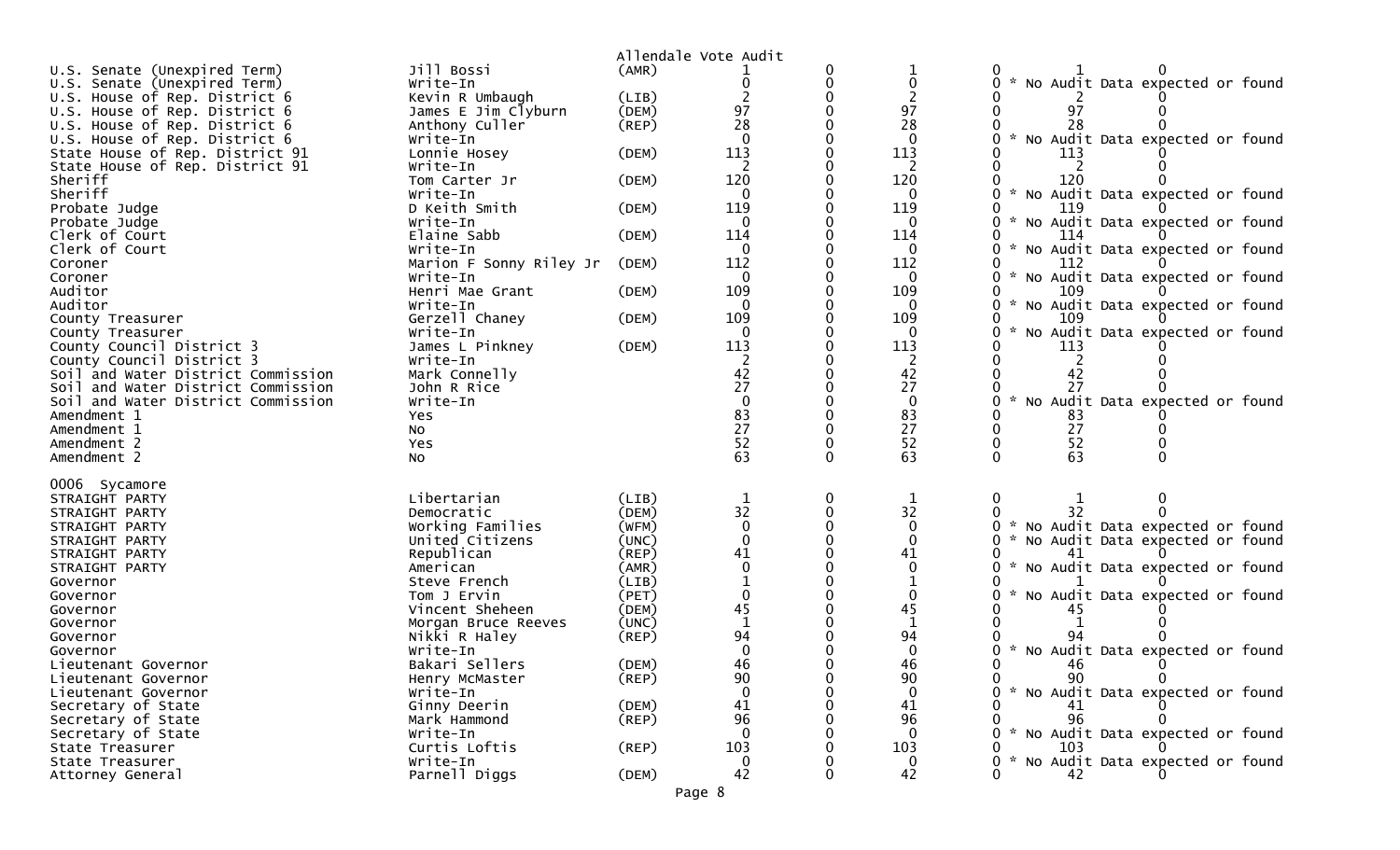|                                                                |                                        |                | Allendale Vote Audit                    |   |                 |                                                         |
|----------------------------------------------------------------|----------------------------------------|----------------|-----------------------------------------|---|-----------------|---------------------------------------------------------|
| U.S. Senate (Unexpired Term)                                   | Jill Bossi                             | (AMR)          |                                         |   |                 |                                                         |
| U.S. Senate (Unexpired Term)                                   | Write-In                               |                |                                         |   | 0               | * No Audit Data expected or found                       |
| U.S. House of Rep. District 6                                  | Kevin R Umbaugh                        | (LIB)          |                                         |   |                 |                                                         |
| U.S. House of Rep. District 6                                  | James E Jim Clyburn<br>Anthony Culler  | (DEM)          | 97<br>28                                |   | 97<br>28        | 97                                                      |
| U.S. House of Rep. District 6<br>U.S. House of Rep. District 6 | Write-In                               | $($ REP $)$    |                                         |   | $\mathbf{0}$    | No Audit Data expected or found                         |
| State House of Rep. District 91                                | Lonnie Hosey                           | (DEM)          | 113                                     |   | 113             | 113                                                     |
| State House of Rep. District 91                                | Write-In                               |                |                                         |   | 2               |                                                         |
| Sheriff                                                        | Tom Carter Jr                          | (DEM)          | 120                                     |   | 120             | 120                                                     |
| Sheriff                                                        | Write-In                               |                | $\Omega$                                |   | $\mathbf 0$     | * No Audit Data expected or found                       |
| Probate Judge                                                  | D Keith Smith                          | (DEM)          | 119                                     |   | 119             | 119                                                     |
| Probate Judge                                                  | Write-In                               |                | $\Omega$                                |   | 0               | No Audit Data expected or found<br>O.<br>$\mathcal{H}$  |
| Clerk of Court                                                 | Elaine Sabb                            | (DEM)          | 114                                     |   | 114             | 114                                                     |
| Clerk of Court                                                 | Write-In                               |                |                                         |   | $\Omega$        | $\mathcal{H}$<br>No Audit Data expected or found        |
| Coroner                                                        | Marion F Sonny Riley Jr                | (DEM)          | 112                                     |   | 112             | 112                                                     |
| Coroner                                                        | Write-In                               |                | -0                                      |   | 0               | $\sim$<br>No Audit Data expected or found               |
| Auditor                                                        | Henri Mae Grant                        | (DEM)          | 109                                     |   | 109             | 109                                                     |
| Auditor                                                        | Write-In                               |                | $\Omega$                                |   | $\mathbf 0$     | 0<br>* No Audit Data expected or found                  |
| County Treasurer                                               | Gerzell Chaney<br>Write-In             | (DEM)          | 109                                     |   | 109<br>$\Omega$ | 109<br>$\mathcal{R}$<br>No Audit Data expected or found |
| County Treasurer<br>County Council District 3                  | James L Pinkney                        | (DEM)          | 113                                     |   | 113             | 113                                                     |
| County Council District 3                                      | Write-In                               |                |                                         |   | 2               |                                                         |
| Soil and Water District Commission                             | Mark Connelly                          |                | 42                                      |   | 42              | 42                                                      |
| Soil and Water District Commission                             | John R Rice                            |                | 27                                      |   | 27              | 27                                                      |
| Soil and Water District Commission                             | Write-In                               |                |                                         |   | $\mathbf{0}$    | No Audit Data expected or found<br>$\mathcal{R}$        |
| Amendment 1                                                    | Yes                                    |                | $\begin{array}{c} 83 \\ 27 \end{array}$ |   | 83              | 83                                                      |
| Amendment 1                                                    | No                                     |                |                                         |   | 27              | 27                                                      |
| Amendment 2                                                    | Yes                                    |                | 52                                      |   | 52              | 52                                                      |
| Amendment 2                                                    | No                                     |                | 63                                      |   | 63              | 63<br>$\Omega$                                          |
| 0006 Sycamore                                                  |                                        |                |                                         |   |                 |                                                         |
| STRAIGHT PARTY                                                 | Libertarian                            | (LIB)          |                                         | 0 |                 | 0                                                       |
| STRAIGHT PARTY                                                 | Democratic                             | (DEM)          | 32                                      |   | $3\overline{2}$ | 32.                                                     |
| STRAIGHT PARTY                                                 | Working Families                       | (WFM)          | $\mathbf 0$                             |   | $\mathbf{0}$    | * No Audit Data expected or found                       |
| STRAIGHT PARTY                                                 | United Citizens                        | (UNC)          |                                         |   | $\Omega$        | No Audit Data expected or found                         |
| STRAIGHT PARTY                                                 | Republican                             | (REP)          | 41                                      |   | 41              |                                                         |
| STRAIGHT PARTY                                                 | American                               | (AMR)          |                                         |   | 0               | * No Audit Data expected or found                       |
| Governor                                                       | Steve French                           | (LIB)          |                                         |   |                 |                                                         |
| Governor                                                       | Tom J Ervin                            | (PET)          |                                         |   | 0<br>45         | * No Audit Data expected or found                       |
| Governor                                                       | Vincent Sheheen<br>Morgan Bruce Reeves | (DEM)<br>(UNC) | 45                                      |   |                 |                                                         |
| Governor<br>Governor                                           | Nikki R Haley                          | (REP)          | 94                                      |   | 94              | 94                                                      |
| Governor                                                       | Write-In                               |                |                                         |   |                 | No Audit Data expected or found                         |
| Lieutenant Governor                                            | Bakari Sellers                         | (DEM)          |                                         |   | 46              | 46                                                      |
| Lieutenant Governor                                            | Henry McMaster                         | (REP)          | 90                                      |   | 90              | 90<br>$\Omega$<br>0                                     |
| Lieutenant Governor                                            | Write-In                               |                |                                         |   | 0               | No Audit Data expected or found                         |
| Secretary of State                                             | Ginny Deerin                           | (DEM)          | 41                                      |   | 41              | 41                                                      |
| Secretary of State                                             | Mark Hammond                           | $($ REP $)$    | 96                                      |   | 96              | 96                                                      |
| Secretary of State                                             | Write-In                               |                |                                         |   | $\mathbf{0}$    | * No Audit Data expected or found                       |
| State Treasurer                                                | Curtis Loftis                          | $($ REP $)$    | 103                                     |   | 103             | 103                                                     |
| State Treasurer                                                | Write-In                               |                | $\overline{0}$                          |   | $\mathbf 0$     | * No Audit Data expected or found                       |
| Attorney General                                               | Parnell Diggs                          | (DEM)          | 42                                      |   | 42              | 42                                                      |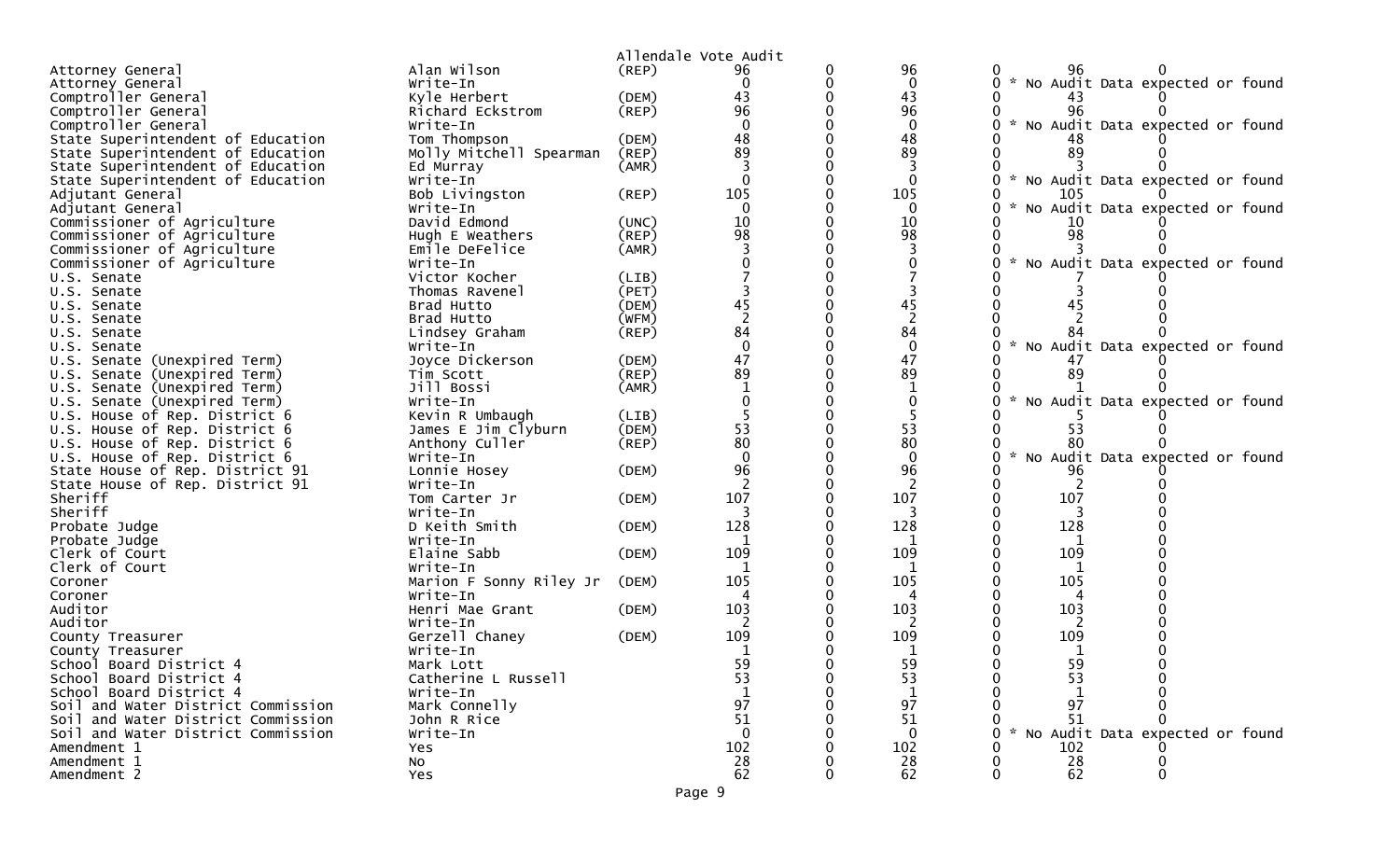|                                                                |                            |                | Allendale Vote Audit |                |                                                  |
|----------------------------------------------------------------|----------------------------|----------------|----------------------|----------------|--------------------------------------------------|
| Attorney General                                               | Alan Wilson                | (REP)          | 96                   | 96             | 96                                               |
| Attorney General                                               | Write-In                   |                |                      | 0              | * No Audit Data expected or found                |
| Comptroller General                                            | Kyle Herbert               | (DEM)          | 43                   | 43             |                                                  |
| Comptroller General                                            | Richard Eckstrom           | (REP)          | 96                   | 96             | 96                                               |
| Comptroller General                                            | Write-In                   |                |                      |                | $\sim$<br>No Audit Data expected or found        |
| State Superintendent of Education                              | Tom Thompson               | (DEM)          | 48                   | 48             |                                                  |
| State Superintendent of Education                              | Molly Mitchell Spearman    | (REP)          | 89                   | 89             | 89                                               |
| State Superintendent of Education                              | Ed Murray                  | (AMR)          |                      |                |                                                  |
| State Superintendent of Education                              | Write-In                   |                | $\Omega$             | $\Omega$       | * No Audit Data expected or found                |
| Adjutant General                                               | Bob Livingston             | (REP)          | 105                  | 105            | 105                                              |
| Adjutant General                                               | Write-In                   |                |                      |                | $\mathcal{H}$<br>No Audit Data expected or found |
| Commissioner of Agriculture                                    | David Edmond               | (UNC)          | 10                   | 10             | 10                                               |
| Commissioner of Agriculture                                    | Hugh E Weathers            | (REP)          | 98                   | 98             | 98                                               |
| Commissioner of Agriculture                                    | Emile DeFelice             | (AMR)          |                      |                |                                                  |
| Commissioner of Agriculture                                    | Write-In                   |                |                      |                | * No Audit Data expected or found                |
| U.S. Senate                                                    | Victor Kocher              | (LIB)          |                      |                |                                                  |
| U.S. Senate                                                    | Thomas Ravenel             | (PET)          |                      |                |                                                  |
| U.S. Senate                                                    | Brad Hutto                 | (DEM)          | 45                   | 45             |                                                  |
| U.S. Senate                                                    | Brad Hutto                 | (WFM)          | $\overline{2}$       | $\overline{2}$ |                                                  |
| U.S. Senate                                                    | Lindsey Graham             | $($ REP $)$    | 84                   | 84             |                                                  |
| U.S. Senate                                                    | Write-In                   |                | $\mathbf 0$          | $\mathbf 0$    | * No Audit Data expected or found                |
| U.S. Senate (Unexpired Term)                                   | Joyce Dickerson            | (DEM)          | 47                   | 47             |                                                  |
| U.S. Senate (Unexpired Term)                                   | Tim Scott                  | (REP)          | 89                   | 89             | 89                                               |
| U.S. Senate (Unexpired Term)                                   | Jill Bossi                 | (AMR)          |                      | 1              |                                                  |
| U.S. Senate (Unexpired Term)                                   | Write-In                   |                |                      | $\mathbf 0$    | * No Audit Data expected or found                |
| U.S. House of Rep. District 6                                  | Kevin R Umbaugh            | (LIB)<br>(DEM) | 53                   | 53             | 53                                               |
| U.S. House of Rep. District 6                                  | James E Jim Clyburn        |                | 80                   | 80             | 80                                               |
| U.S. House of Rep. District 6<br>U.S. House of Rep. District 6 | Anthony Culler<br>Write-In | $($ REP $)$    | $\Omega$             | $\Omega$       | * No Audit Data expected or found                |
| State House of Rep. District 91                                | Lonnie Hosey               | (DEM)          | 96                   | 96             | 96                                               |
| State House of Rep. District 91                                | Write-In                   |                |                      |                |                                                  |
| Sheriff                                                        | Tom Carter Jr              | (DEM)          | 107                  | 107            | 107                                              |
| Sheriff                                                        | Write-In                   |                |                      | 3              | 3                                                |
| Probate Judge                                                  | D Keith Smith              | (DEM)          | 128                  | 128            | 128                                              |
| Probate Judge                                                  | Write-In                   |                |                      |                |                                                  |
| Clerk of Court                                                 | Elaine Sabb                | (DEM)          | 109                  | 109            | 109                                              |
| Clerk of Court                                                 | Write-In                   |                |                      | 1              |                                                  |
| Coroner                                                        | Marion F Sonny Riley Jr    | (DEM)          | 105                  | 105            | 105                                              |
| Coroner                                                        | Write-In                   |                | 4                    | 4              | 4                                                |
| Auditor                                                        | Henri Mae Grant            | (DEM)          | 103                  | 103            | 103                                              |
| Auditor                                                        | Write-In                   |                |                      |                |                                                  |
| County Treasurer                                               | Gerzell Chaney             | (DEM)          | 109                  | 109            | 109                                              |
| County Treasurer                                               | Write-In                   |                |                      |                |                                                  |
| School Board District 4                                        | Mark Lott                  |                | 59                   | 59             | 59                                               |
| School Board District 4                                        | Catherine L Russell        |                | 53                   | 53             | 53                                               |
| School Board District 4                                        | Write-In                   |                |                      |                |                                                  |
| Soil and Water District Commission                             | Mark Connelly              |                | 97                   | 97             | 97                                               |
| Soil and Water District Commission                             | John R Rice                |                | 51                   | 51             | 51                                               |
| Soil and Water District Commission                             | Write-In                   |                | $\Omega$             | $\Omega$       | No Audit Data expected or found                  |
| Amendment 1                                                    | Yes                        |                | 102                  | 102            | 102                                              |
| Amendment 1                                                    | No                         |                | 28                   | 28             | $\substack{28 \\ 62}$                            |
| Amendment 2                                                    | Yes                        |                | 62                   | 62             |                                                  |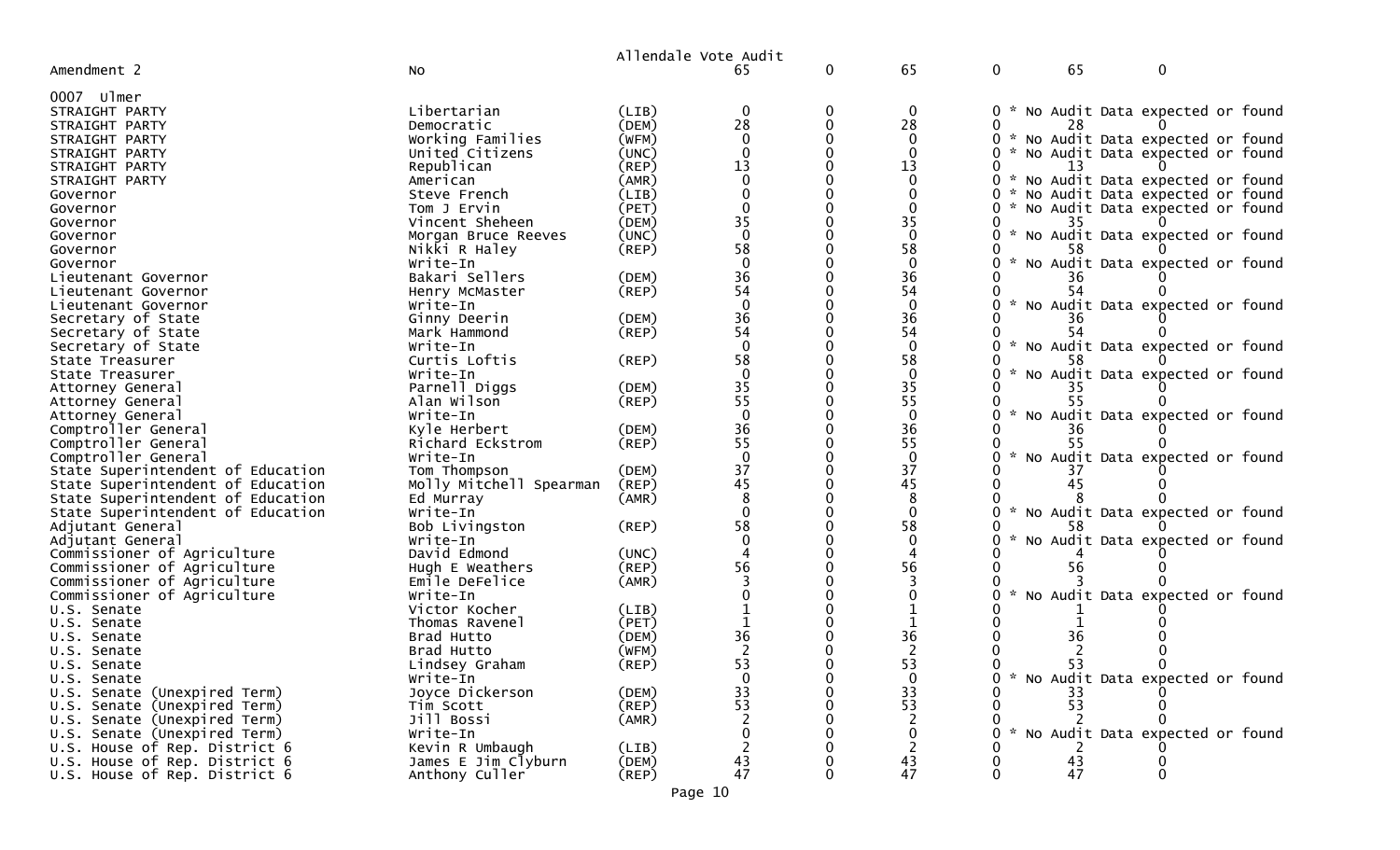|                                            |                            |                | Allendale Vote Audit                    |   |                   |                   |                                   |
|--------------------------------------------|----------------------------|----------------|-----------------------------------------|---|-------------------|-------------------|-----------------------------------|
| Amendment 2                                | <b>NO</b>                  |                |                                         | 0 | 65                | $\mathbf 0$<br>65 | 0                                 |
| 0007 ulmer                                 |                            |                |                                         |   |                   |                   |                                   |
| STRAIGHT PARTY                             | Libertarian                | (LIB)          |                                         |   | 0                 | 0                 | * No Audit Data expected or found |
| STRAIGHT PARTY                             | Democratic                 | (DEM)          | 28                                      |   | 28                | 28                |                                   |
| STRAIGHT PARTY                             | Working Families           | (WFM)          |                                         |   | $\Omega$          |                   | * No Audit Data expected or found |
| STRAIGHT PARTY                             | United Citizens            | (UNC)          |                                         |   | $\Omega$          |                   | * No Audit Data expected or found |
| STRAIGHT PARTY                             | Republican                 | (REP)          | 13                                      |   | 13                | 13                |                                   |
| STRAIGHT PARTY                             | American                   | (AMR)          |                                         |   |                   | 0                 | * No Audit Data expected or found |
| Governor                                   | Steve French               | (LIB)          |                                         |   |                   | 0                 | * No Audit Data expected or found |
| Governor                                   | Tom J Ervin                | (PET)          |                                         |   | $\Omega$          |                   | * No Audit Data expected or found |
| Governor                                   | Vincent Sheheen            | (DEM)          | 35<br>$\Omega$                          |   | 35                | 35                |                                   |
| Governor                                   | Morgan Bruce Reeves        | (UNC)          |                                         |   | $\Omega$          |                   | * No Audit Data expected or found |
| Governor                                   | Nikki R Haley              | $($ REP $)$    | 58                                      |   | 58<br>$\mathbf 0$ |                   |                                   |
| Governor                                   | Write-In                   |                | 36                                      |   | 36                |                   | No Audit Data expected or found   |
| Lieutenant Governor                        | Bakari Sellers             | (DEM)<br>(REP) | 54                                      |   | 54                | 54                |                                   |
| Lieutenant Governor<br>Lieutenant Governor | Henry McMaster<br>Write-In |                |                                         |   | $\mathbf 0$       |                   | * No Audit Data expected or found |
| Secretary of State                         | Ginny Deerin               | (DEM)          | 36                                      |   | 36                |                   |                                   |
| Secretary of State                         | Mark Hammond               | (REP)          | 54                                      |   | 54                | 54                |                                   |
| Secretary of State                         | Write-In                   |                |                                         |   | $\mathbf 0$       |                   | * No Audit Data expected or found |
| State Treasurer                            | Curtis Loftis              | (REP)          | 58                                      |   | 58                |                   |                                   |
| State Treasurer                            | Write-In                   |                |                                         |   | $\mathbf{0}$      | $\mathcal{H}$     | No Audit Data expected or found   |
| Attorney General                           | Parnell Diggs              | (DEM)          |                                         |   | 35                |                   |                                   |
| Attorney General                           | Alan Wilson                | (REP)          | $\frac{35}{55}$                         |   | 55                |                   |                                   |
| Attorney General                           | Write-In                   |                |                                         |   | $\mathbf{0}$      |                   | * No Audit Data expected or found |
| Comptroller General                        | Kyle Herbert               | (DEM)          | 36                                      |   | 36                |                   |                                   |
| Comptroller General                        | Richard Eckstrom           | (REP)          | 55                                      |   | 55                |                   |                                   |
| Comptroller General                        | Write-In                   |                |                                         |   | $\mathbf{0}$      | $\mathcal{H}$     | No Audit Data expected or found   |
| State Superintendent of Education          | Tom Thompson               | (DEM)          | 37                                      |   | 37                |                   |                                   |
| State Superintendent of Education          | Molly Mitchell Spearman    | (REP)          | 45                                      |   | 45                |                   |                                   |
| State Superintendent of Education          | Ed Murray                  | (AMR)          |                                         |   | 8                 |                   |                                   |
| State Superintendent of Education          | Write-In                   |                |                                         |   | $\Omega$          |                   | No Audit Data expected or found   |
| Adjutant General                           | Bob Livingston             | (REP)          | 58                                      |   | 58                |                   |                                   |
| Adjutant General                           | Write-In                   |                |                                         |   | $\mathbf 0$       |                   | No Audit Data expected or found   |
| Commissioner of Agriculture                | David Edmond               | (UNC)          |                                         |   |                   |                   |                                   |
| Commissioner of Agriculture                | Hugh E Weathers            | $($ REP $)$    | 56                                      |   | 56                |                   |                                   |
| Commissioner of Agriculture                | Emile DeFelice             | (AMR)          |                                         |   |                   |                   |                                   |
| Commissioner of Agriculture                | Write-In                   |                |                                         |   |                   |                   | No Audit Data expected or found   |
| U.S. Senate                                | Victor Kocher              | (LIB)          |                                         |   |                   |                   |                                   |
| U.S. Senate                                | Thomas Ravenel             | (PET)<br>(DEM) | 36                                      |   | 36                |                   |                                   |
| U.S. Senate<br>U.S. Senate                 | Brad Hutto<br>Brad Hutto   | (WFM)          |                                         |   |                   |                   |                                   |
| U.S. Senate                                | Lindsey Graham             | (REP)          | 53                                      |   | 53                | 53                |                                   |
| U.S. Senate                                | Write-In                   |                | $\mathbf 0$                             |   | $\mathbf{0}$      |                   | * No Audit Data expected or found |
| U.S. Senate (Unexpired Term)               | Joyce Dickerson            | (DEM)          |                                         |   | 33                | 33                |                                   |
| U.S. Senate (Unexpired Term)               | Tim Scott                  | $($ REP $)$    | $\begin{array}{c} 33 \\ 53 \end{array}$ |   | 53                | 53                |                                   |
| U.S. Senate (Unexpired Term)               | Jill Bossi                 | (AMR)          |                                         |   | 2                 |                   |                                   |
| U.S. Senate (Unexpired Term)               | Write-In                   |                |                                         |   | 0                 |                   | * No Audit Data expected or found |
| U.S. House of Rep. District 6              | Kevin R Umbaugh            | (LIB)          |                                         |   |                   |                   |                                   |
| U.S. House of Rep. District 6              | James E Jim Clyburn        | (DEM)          | 43                                      |   | 43                | 43                |                                   |
| U.S. House of Rep. District 6              | Anthony Culler             | $($ REP $)$    | 47                                      |   | 47                | 47                |                                   |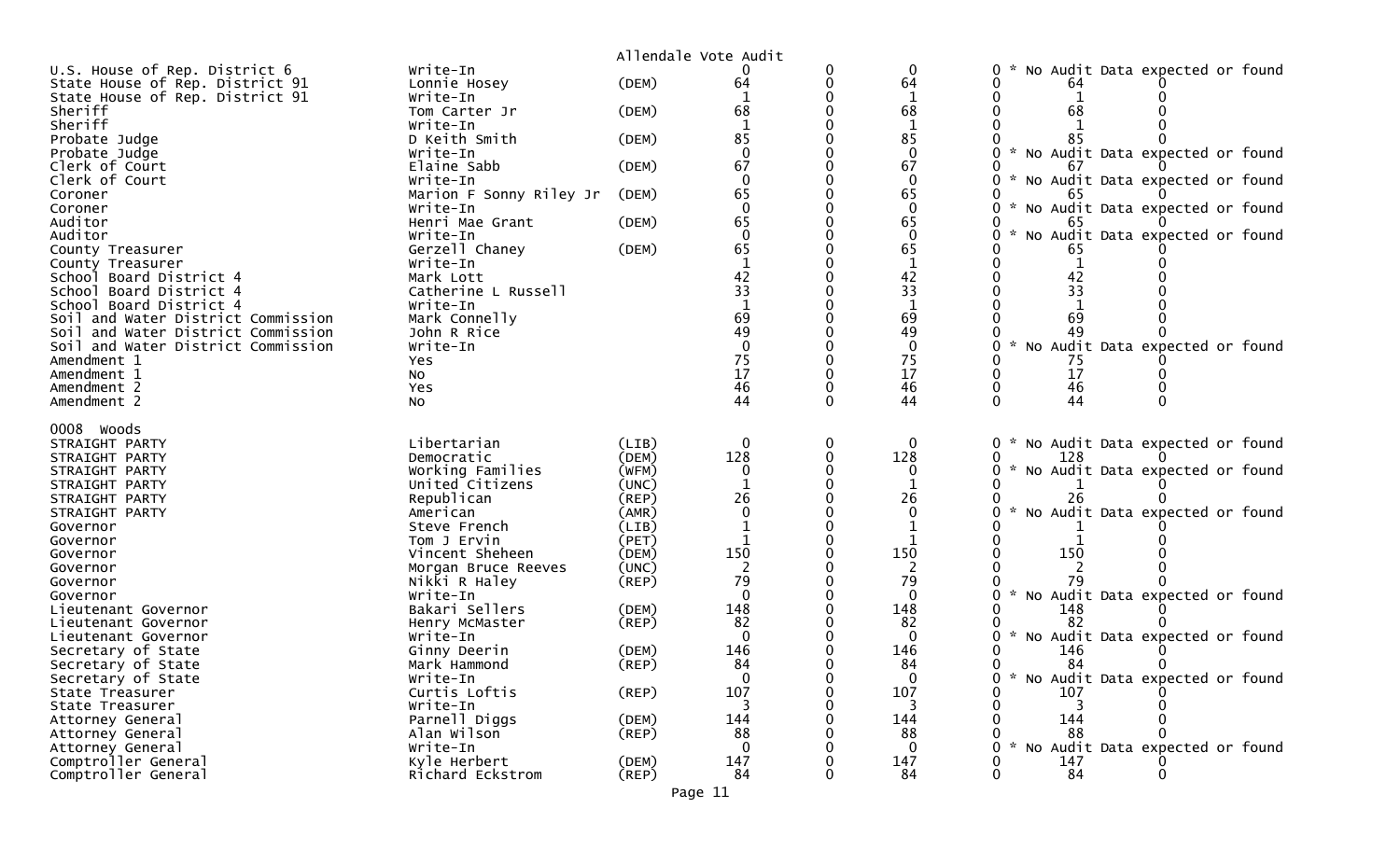|                                    |                         |             | Allendale Vote Audit |          |              |                                                     |
|------------------------------------|-------------------------|-------------|----------------------|----------|--------------|-----------------------------------------------------|
| U.S. House of Rep. District 6      | Write-In                |             |                      |          | $\Omega$     | No Audit Data expected or found                     |
| State House of Rep. District 91    | Lonnie Hosey            | (DEM)       | 64                   |          | 64           | 64                                                  |
| State House of Rep. District 91    | Write-In                |             |                      |          | 1            |                                                     |
| Sheriff                            | Tom Carter Jr           | (DEM)       | 68                   |          | 68           | 68                                                  |
| Sheriff                            | Write-In                |             |                      |          |              |                                                     |
| Probate Judge                      | D Keith Smith           | (DEM)       | 85                   |          | 85           | 85                                                  |
| Probate Judge                      | Write-In                |             | $\Omega$             |          | $\mathbf{0}$ | * No Audit Data expected or found                   |
| Clerk of Court                     | Elaine Sabb             | (DEM)       | 67                   |          | 67           |                                                     |
| Clerk of Court                     | Write-In                |             | $\Omega$             |          | $\mathbf{0}$ | No Audit Data expected or found<br>$\mathcal{H}$    |
| Coroner                            | Marion F Sonny Riley Jr | (DEM)       | 65                   |          | 65           | 65                                                  |
| Coroner                            | Write-In                |             | $\Omega$             |          |              | $\mathcal{H}$<br>No Audit Data expected or found    |
| Auditor                            | Henri Mae Grant         | (DEM)       | 65                   |          | 65           |                                                     |
| Auditor                            | Write-In                |             | $\Omega$             |          | $\Omega$     | No Audit Data expected or found                     |
| County Treasurer                   | Gerzell Chaney          | (DEM)       | 65                   |          | 65           |                                                     |
| County Treasurer                   | Write-In                |             |                      |          | $\mathbf{1}$ |                                                     |
| School Board District 4            | Mark Lott               |             | 42                   |          | 42           | 42                                                  |
| School Board District 4            | Catherine L Russell     |             | 33                   |          | 33           | 33                                                  |
| School Board District 4            | Write-In                |             |                      |          | $\mathbf 1$  |                                                     |
| Soil and Water District Commission | Mark Connelly           |             | 69                   |          | 69           | 69                                                  |
| Soil and Water District Commission | John R Rice             |             | 49                   |          | 49           |                                                     |
| Soil and Water District Commission | Write-In                |             | $\Omega$             |          | $\mathbf{0}$ | * No Audit Data expected or found                   |
| Amendment 1                        | Yes                     |             | 75                   |          | 75           | 75                                                  |
| Amendment 1                        | NO.                     |             | 17                   |          | 17           | 17                                                  |
| Amendment 2                        | Yes                     |             | 46                   |          | 46           | 46                                                  |
| Amendment 2                        | <b>NO</b>               |             | 44                   |          | 44           | 44                                                  |
| 0008 Woods                         |                         |             |                      |          |              |                                                     |
| STRAIGHT PARTY                     | Libertarian             | (LIB)       | $\Omega$             | 0        | 0            | * No Audit Data expected or found<br>$\overline{0}$ |
| STRAIGHT PARTY                     | Democratic              | (DEM)       | 128                  | $\Omega$ | 128          | 128                                                 |
| STRAIGHT PARTY                     | Working Families        | (WFM)       | 0                    |          | 0            | * No Audit Data expected or found                   |
| STRAIGHT PARTY                     | United Citizens         | (UNC)       |                      |          |              |                                                     |
| STRAIGHT PARTY                     | Republican              | (REP)       | 26                   |          | 26           |                                                     |
| STRAIGHT PARTY                     | American                | (AMR)       | 0                    |          |              | * No Audit Data expected or found                   |
| Governor                           | Steve French            | (LIB)       |                      |          |              |                                                     |
| Governor                           | Tom J Ervin             | (PET)       |                      |          |              |                                                     |
| Governor                           | Vincent Sheheen         | (DEM)       | 150                  |          | 150          | 150                                                 |
| Governor                           | Morgan Bruce Reeves     | (UNC)       |                      |          |              |                                                     |
| Governor                           | Nikki R Haley           | (REP)       | 79                   |          | 79           | 79                                                  |
| Governor                           | Write-In                |             | $\Omega$             |          | $\mathbf{0}$ | * No Audit Data expected or found                   |
| Lieutenant Governor                | Bakari Sellers          | (DEM)       | 148                  |          | 148          | 148                                                 |
| Lieutenant Governor                | Henry McMaster          | (REP)       | 82                   |          | 82           | 82                                                  |
| Lieutenant Governor                | Write-In                |             | $\Omega$             |          | $\mathbf{0}$ | * No Audit Data expected or found                   |
| Secretary of State                 | Ginny Deerin            | (DEM)       | 146                  |          | 146          | 146                                                 |
| Secretary of State                 | Mark Hammond            | (REP)       | 84                   |          | 84           | 84                                                  |
| Secretary of State                 | Write-In                |             | 0                    |          | 0            | * No Audit Data expected or found                   |
| State Treasurer                    | Curtis Loftis           | $($ REP $)$ | 107                  |          | 107          | 107                                                 |
| State Treasurer                    | Write-In                |             |                      |          | 3            |                                                     |
| Attorney General                   | Parnell Diggs           | (DEM)       | 144                  |          | 144          | 144                                                 |
| Attorney General                   | Alan Wilson             | $($ REP $)$ | 88                   |          | 88           | 88                                                  |
| Attorney General                   | Write-In                |             | $\Omega$             |          | $\Omega$     | * No Audit Data expected or found                   |
| Comptroller General                | Kyle Herbert            | (DEM)       | 147                  |          | 147          | 147                                                 |
| Comptroller General                | Richard Eckstrom        | $($ REP $)$ | 84                   |          | 84           | 84                                                  |
|                                    |                         |             | Page 11              |          |              |                                                     |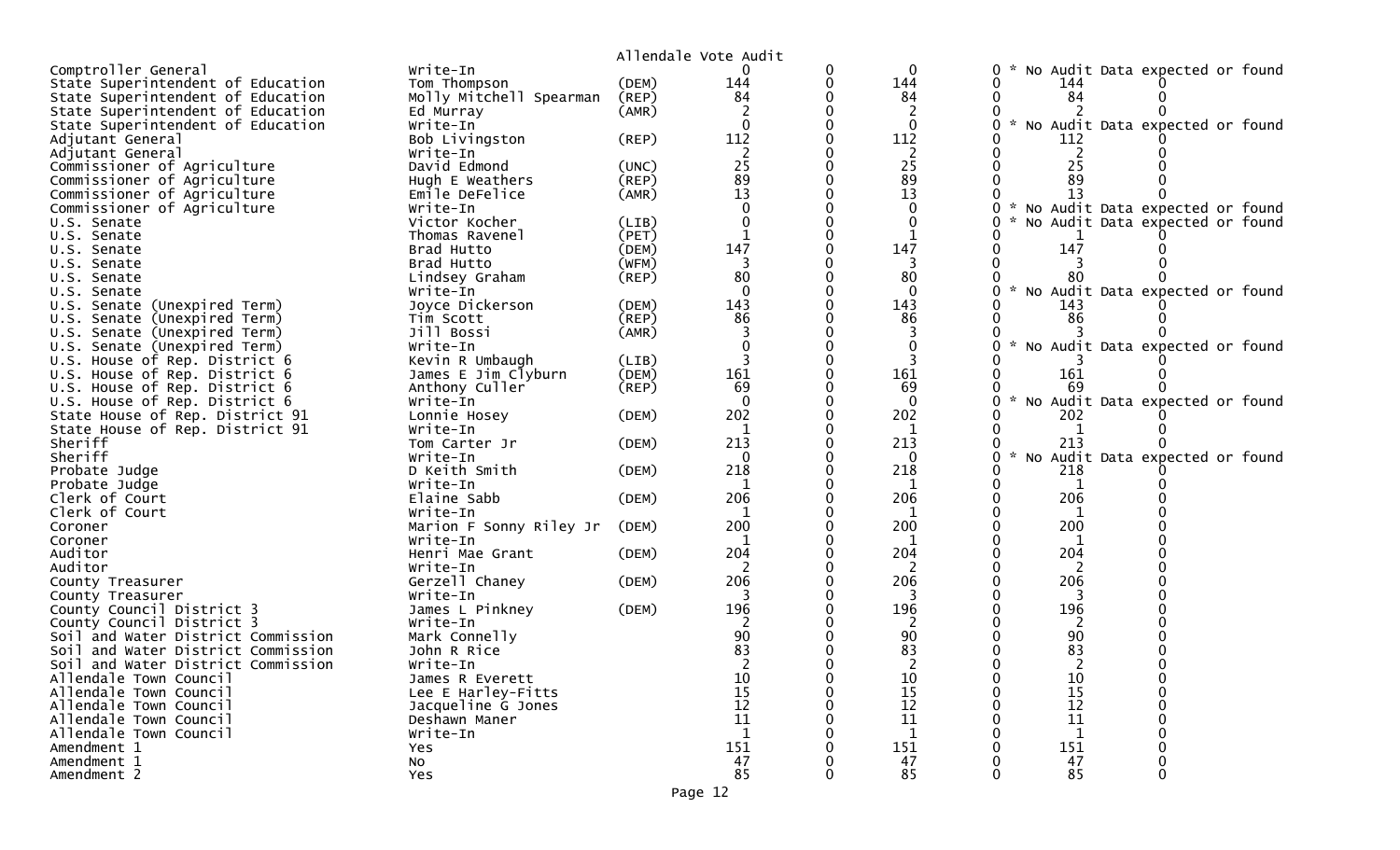| Comptroller General<br>Write-In<br>$\mathbf 0$<br>No Audit Data expected or found<br>0<br>144<br>State Superintendent of Education<br>(DEM)<br>144<br>Tom Thompson<br>144<br>84<br>84<br>84<br>State Superintendent of Education<br>Molly Mitchell Spearman<br>(REP)<br>(AMR)<br>State Superintendent of Education<br>Ed Murray<br>State Superintendent of Education<br>Write-In<br>$\mathcal{H}$<br>No Audit Data expected or found<br>$\Omega$<br>112<br>112<br>$($ REP $)$<br>Adjutant General<br>Bob Livingston<br>112<br>Write-In<br>2<br>Adjutant General<br>-2<br>25<br>25<br>25<br>Commissioner of Agriculture<br>David Edmond<br>(UNC)<br>89<br>89<br>89<br>Commissioner of Agriculture<br>Hugh E Weathers<br>(REP)<br>13<br>13<br>Commissioner of Agriculture<br>Emile DeFelice<br>13<br>(AMR)<br>Commissioner of Agriculture<br>No Audit Data expected or found<br>Write-In<br>$\Omega$<br>Victor Kocher<br>(LIB)<br>No Audit Data expected or found<br>U.S. Senate<br>0<br>(PET)<br>Thomas Ravenel<br>U.S. Senate<br>147<br>147<br>147<br>Brad Hutto<br>(DEM)<br>U.S. Senate<br>(WFM)<br>Brad Hutto<br>3<br>3<br>U.S. Senate<br>80<br>80<br>$($ REP $)$<br>Lindsey Graham<br>80<br>U.S. Senate<br>$\Omega$<br>$\sim$<br>No Audit Data expected or found<br>Write-In<br>U.S. Senate<br>143<br>143<br>Joyce Dickerson<br>U.S. Senate (Unexpired Term)<br>(DEM)<br>143<br>86<br>86<br>(REP)<br>86<br>U.S. Senate (Unexpired Term)<br>Tim Scott<br>Jill Bossi<br>U.S. Senate (Unexpired Term)<br>(AMR)<br>* No Audit Data expected or found<br>U.S. Senate (Unexpired Term)<br>Write-In<br>U.S. House of Rep. District 6<br>Kevin R Umbaugh<br>(LIB)<br>161<br>161<br>U.S. House of Rep. District 6<br>James E Jim Clyburn<br>(DEM)<br>161<br>69<br>Anthony Culler<br>$($ REP $)$<br>69<br>69<br>U.S. House of Rep. District 6<br>$\Omega$<br>No Audit Data expected or found<br>U.S. House of Rep. District 6<br>Write-In<br>202<br>202<br>State House of Rep. District 91<br>(DEM)<br>202<br>Lonnie Hosey<br>State House of Rep. District 91<br>Write-In<br>1<br>1<br>1<br>213<br>Sheriff<br>213<br>213<br>(DEM)<br>Tom Carter Jr<br>Sheriff<br>$\sim$<br><b>NO</b><br>Audit Data expected or found<br>Write-In<br>U<br>218<br>218<br>D Keith Smith<br>218<br>Probate Judge<br>(DEM)<br>Probate Judge<br>1<br>Write-In<br>1<br>206<br>206<br>206<br>Clerk of Court<br>(DEM)<br>Elaine Sabb<br>Clerk of Court<br>Write-In<br>1<br>1<br>1<br>200<br>200<br>200<br>Marion F Sonny Riley Jr<br>(DEM)<br>Coroner<br>Write-In<br>Coroner<br>204<br>204<br>204<br>Auditor<br>(DEM)<br>Henri Mae Grant<br>Auditor<br>Write-In<br>2<br>2<br>2<br>206<br>206<br>206<br>Gerzell Chaney<br>(DEM)<br>County Treasurer<br>Write-In<br>3<br>3<br>3<br>County Treasurer<br>196<br>196<br>196<br>James L Pinkney<br>(DEM)<br>County Council District 3<br>County Council District 3<br>Write-In<br>90<br>90<br>90<br>Soil and Water District Commission<br>Mark Connelly<br>83<br>83<br>Soil and Water District Commission<br>83<br>John R Rice<br>Soil and Water District Commission<br>Write-In<br>Allendale Town Council<br>10<br>10<br>10<br>James R Everett<br>15<br>15<br>15<br>Allendale Town Council<br>Lee E Harley-Fitts<br>12<br>12<br>12<br>Allendale Town Council<br>Jacqueline G Jones<br>11<br>11<br>11<br>Allendale Town Council<br>Deshawn Maner<br>Allendale Town Council<br>Write-In<br>1<br>1<br>1<br>151<br>151<br>151<br>Amendment 1<br>Yes<br>47<br>47<br>47<br>Amendment 1<br>No<br>85<br>85<br>Amendment 2<br>85<br>Yes |  | Allendale Vote Audit |  |  |  |
|-------------------------------------------------------------------------------------------------------------------------------------------------------------------------------------------------------------------------------------------------------------------------------------------------------------------------------------------------------------------------------------------------------------------------------------------------------------------------------------------------------------------------------------------------------------------------------------------------------------------------------------------------------------------------------------------------------------------------------------------------------------------------------------------------------------------------------------------------------------------------------------------------------------------------------------------------------------------------------------------------------------------------------------------------------------------------------------------------------------------------------------------------------------------------------------------------------------------------------------------------------------------------------------------------------------------------------------------------------------------------------------------------------------------------------------------------------------------------------------------------------------------------------------------------------------------------------------------------------------------------------------------------------------------------------------------------------------------------------------------------------------------------------------------------------------------------------------------------------------------------------------------------------------------------------------------------------------------------------------------------------------------------------------------------------------------------------------------------------------------------------------------------------------------------------------------------------------------------------------------------------------------------------------------------------------------------------------------------------------------------------------------------------------------------------------------------------------------------------------------------------------------------------------------------------------------------------------------------------------------------------------------------------------------------------------------------------------------------------------------------------------------------------------------------------------------------------------------------------------------------------------------------------------------------------------------------------------------------------------------------------------------------------------------------------------------------------------------------------------------------------------------------------------------------------------------------------------------------------------------------------------------------------------------------------------------------------------------------------------------------------------------------------------------------------------------------------------------------------------------------------------------------------------------|--|----------------------|--|--|--|
|                                                                                                                                                                                                                                                                                                                                                                                                                                                                                                                                                                                                                                                                                                                                                                                                                                                                                                                                                                                                                                                                                                                                                                                                                                                                                                                                                                                                                                                                                                                                                                                                                                                                                                                                                                                                                                                                                                                                                                                                                                                                                                                                                                                                                                                                                                                                                                                                                                                                                                                                                                                                                                                                                                                                                                                                                                                                                                                                                                                                                                                                                                                                                                                                                                                                                                                                                                                                                                                                                                                                           |  |                      |  |  |  |
|                                                                                                                                                                                                                                                                                                                                                                                                                                                                                                                                                                                                                                                                                                                                                                                                                                                                                                                                                                                                                                                                                                                                                                                                                                                                                                                                                                                                                                                                                                                                                                                                                                                                                                                                                                                                                                                                                                                                                                                                                                                                                                                                                                                                                                                                                                                                                                                                                                                                                                                                                                                                                                                                                                                                                                                                                                                                                                                                                                                                                                                                                                                                                                                                                                                                                                                                                                                                                                                                                                                                           |  |                      |  |  |  |
|                                                                                                                                                                                                                                                                                                                                                                                                                                                                                                                                                                                                                                                                                                                                                                                                                                                                                                                                                                                                                                                                                                                                                                                                                                                                                                                                                                                                                                                                                                                                                                                                                                                                                                                                                                                                                                                                                                                                                                                                                                                                                                                                                                                                                                                                                                                                                                                                                                                                                                                                                                                                                                                                                                                                                                                                                                                                                                                                                                                                                                                                                                                                                                                                                                                                                                                                                                                                                                                                                                                                           |  |                      |  |  |  |
|                                                                                                                                                                                                                                                                                                                                                                                                                                                                                                                                                                                                                                                                                                                                                                                                                                                                                                                                                                                                                                                                                                                                                                                                                                                                                                                                                                                                                                                                                                                                                                                                                                                                                                                                                                                                                                                                                                                                                                                                                                                                                                                                                                                                                                                                                                                                                                                                                                                                                                                                                                                                                                                                                                                                                                                                                                                                                                                                                                                                                                                                                                                                                                                                                                                                                                                                                                                                                                                                                                                                           |  |                      |  |  |  |
|                                                                                                                                                                                                                                                                                                                                                                                                                                                                                                                                                                                                                                                                                                                                                                                                                                                                                                                                                                                                                                                                                                                                                                                                                                                                                                                                                                                                                                                                                                                                                                                                                                                                                                                                                                                                                                                                                                                                                                                                                                                                                                                                                                                                                                                                                                                                                                                                                                                                                                                                                                                                                                                                                                                                                                                                                                                                                                                                                                                                                                                                                                                                                                                                                                                                                                                                                                                                                                                                                                                                           |  |                      |  |  |  |
|                                                                                                                                                                                                                                                                                                                                                                                                                                                                                                                                                                                                                                                                                                                                                                                                                                                                                                                                                                                                                                                                                                                                                                                                                                                                                                                                                                                                                                                                                                                                                                                                                                                                                                                                                                                                                                                                                                                                                                                                                                                                                                                                                                                                                                                                                                                                                                                                                                                                                                                                                                                                                                                                                                                                                                                                                                                                                                                                                                                                                                                                                                                                                                                                                                                                                                                                                                                                                                                                                                                                           |  |                      |  |  |  |
|                                                                                                                                                                                                                                                                                                                                                                                                                                                                                                                                                                                                                                                                                                                                                                                                                                                                                                                                                                                                                                                                                                                                                                                                                                                                                                                                                                                                                                                                                                                                                                                                                                                                                                                                                                                                                                                                                                                                                                                                                                                                                                                                                                                                                                                                                                                                                                                                                                                                                                                                                                                                                                                                                                                                                                                                                                                                                                                                                                                                                                                                                                                                                                                                                                                                                                                                                                                                                                                                                                                                           |  |                      |  |  |  |
|                                                                                                                                                                                                                                                                                                                                                                                                                                                                                                                                                                                                                                                                                                                                                                                                                                                                                                                                                                                                                                                                                                                                                                                                                                                                                                                                                                                                                                                                                                                                                                                                                                                                                                                                                                                                                                                                                                                                                                                                                                                                                                                                                                                                                                                                                                                                                                                                                                                                                                                                                                                                                                                                                                                                                                                                                                                                                                                                                                                                                                                                                                                                                                                                                                                                                                                                                                                                                                                                                                                                           |  |                      |  |  |  |
|                                                                                                                                                                                                                                                                                                                                                                                                                                                                                                                                                                                                                                                                                                                                                                                                                                                                                                                                                                                                                                                                                                                                                                                                                                                                                                                                                                                                                                                                                                                                                                                                                                                                                                                                                                                                                                                                                                                                                                                                                                                                                                                                                                                                                                                                                                                                                                                                                                                                                                                                                                                                                                                                                                                                                                                                                                                                                                                                                                                                                                                                                                                                                                                                                                                                                                                                                                                                                                                                                                                                           |  |                      |  |  |  |
|                                                                                                                                                                                                                                                                                                                                                                                                                                                                                                                                                                                                                                                                                                                                                                                                                                                                                                                                                                                                                                                                                                                                                                                                                                                                                                                                                                                                                                                                                                                                                                                                                                                                                                                                                                                                                                                                                                                                                                                                                                                                                                                                                                                                                                                                                                                                                                                                                                                                                                                                                                                                                                                                                                                                                                                                                                                                                                                                                                                                                                                                                                                                                                                                                                                                                                                                                                                                                                                                                                                                           |  |                      |  |  |  |
|                                                                                                                                                                                                                                                                                                                                                                                                                                                                                                                                                                                                                                                                                                                                                                                                                                                                                                                                                                                                                                                                                                                                                                                                                                                                                                                                                                                                                                                                                                                                                                                                                                                                                                                                                                                                                                                                                                                                                                                                                                                                                                                                                                                                                                                                                                                                                                                                                                                                                                                                                                                                                                                                                                                                                                                                                                                                                                                                                                                                                                                                                                                                                                                                                                                                                                                                                                                                                                                                                                                                           |  |                      |  |  |  |
|                                                                                                                                                                                                                                                                                                                                                                                                                                                                                                                                                                                                                                                                                                                                                                                                                                                                                                                                                                                                                                                                                                                                                                                                                                                                                                                                                                                                                                                                                                                                                                                                                                                                                                                                                                                                                                                                                                                                                                                                                                                                                                                                                                                                                                                                                                                                                                                                                                                                                                                                                                                                                                                                                                                                                                                                                                                                                                                                                                                                                                                                                                                                                                                                                                                                                                                                                                                                                                                                                                                                           |  |                      |  |  |  |
|                                                                                                                                                                                                                                                                                                                                                                                                                                                                                                                                                                                                                                                                                                                                                                                                                                                                                                                                                                                                                                                                                                                                                                                                                                                                                                                                                                                                                                                                                                                                                                                                                                                                                                                                                                                                                                                                                                                                                                                                                                                                                                                                                                                                                                                                                                                                                                                                                                                                                                                                                                                                                                                                                                                                                                                                                                                                                                                                                                                                                                                                                                                                                                                                                                                                                                                                                                                                                                                                                                                                           |  |                      |  |  |  |
|                                                                                                                                                                                                                                                                                                                                                                                                                                                                                                                                                                                                                                                                                                                                                                                                                                                                                                                                                                                                                                                                                                                                                                                                                                                                                                                                                                                                                                                                                                                                                                                                                                                                                                                                                                                                                                                                                                                                                                                                                                                                                                                                                                                                                                                                                                                                                                                                                                                                                                                                                                                                                                                                                                                                                                                                                                                                                                                                                                                                                                                                                                                                                                                                                                                                                                                                                                                                                                                                                                                                           |  |                      |  |  |  |
|                                                                                                                                                                                                                                                                                                                                                                                                                                                                                                                                                                                                                                                                                                                                                                                                                                                                                                                                                                                                                                                                                                                                                                                                                                                                                                                                                                                                                                                                                                                                                                                                                                                                                                                                                                                                                                                                                                                                                                                                                                                                                                                                                                                                                                                                                                                                                                                                                                                                                                                                                                                                                                                                                                                                                                                                                                                                                                                                                                                                                                                                                                                                                                                                                                                                                                                                                                                                                                                                                                                                           |  |                      |  |  |  |
|                                                                                                                                                                                                                                                                                                                                                                                                                                                                                                                                                                                                                                                                                                                                                                                                                                                                                                                                                                                                                                                                                                                                                                                                                                                                                                                                                                                                                                                                                                                                                                                                                                                                                                                                                                                                                                                                                                                                                                                                                                                                                                                                                                                                                                                                                                                                                                                                                                                                                                                                                                                                                                                                                                                                                                                                                                                                                                                                                                                                                                                                                                                                                                                                                                                                                                                                                                                                                                                                                                                                           |  |                      |  |  |  |
|                                                                                                                                                                                                                                                                                                                                                                                                                                                                                                                                                                                                                                                                                                                                                                                                                                                                                                                                                                                                                                                                                                                                                                                                                                                                                                                                                                                                                                                                                                                                                                                                                                                                                                                                                                                                                                                                                                                                                                                                                                                                                                                                                                                                                                                                                                                                                                                                                                                                                                                                                                                                                                                                                                                                                                                                                                                                                                                                                                                                                                                                                                                                                                                                                                                                                                                                                                                                                                                                                                                                           |  |                      |  |  |  |
|                                                                                                                                                                                                                                                                                                                                                                                                                                                                                                                                                                                                                                                                                                                                                                                                                                                                                                                                                                                                                                                                                                                                                                                                                                                                                                                                                                                                                                                                                                                                                                                                                                                                                                                                                                                                                                                                                                                                                                                                                                                                                                                                                                                                                                                                                                                                                                                                                                                                                                                                                                                                                                                                                                                                                                                                                                                                                                                                                                                                                                                                                                                                                                                                                                                                                                                                                                                                                                                                                                                                           |  |                      |  |  |  |
|                                                                                                                                                                                                                                                                                                                                                                                                                                                                                                                                                                                                                                                                                                                                                                                                                                                                                                                                                                                                                                                                                                                                                                                                                                                                                                                                                                                                                                                                                                                                                                                                                                                                                                                                                                                                                                                                                                                                                                                                                                                                                                                                                                                                                                                                                                                                                                                                                                                                                                                                                                                                                                                                                                                                                                                                                                                                                                                                                                                                                                                                                                                                                                                                                                                                                                                                                                                                                                                                                                                                           |  |                      |  |  |  |
|                                                                                                                                                                                                                                                                                                                                                                                                                                                                                                                                                                                                                                                                                                                                                                                                                                                                                                                                                                                                                                                                                                                                                                                                                                                                                                                                                                                                                                                                                                                                                                                                                                                                                                                                                                                                                                                                                                                                                                                                                                                                                                                                                                                                                                                                                                                                                                                                                                                                                                                                                                                                                                                                                                                                                                                                                                                                                                                                                                                                                                                                                                                                                                                                                                                                                                                                                                                                                                                                                                                                           |  |                      |  |  |  |
|                                                                                                                                                                                                                                                                                                                                                                                                                                                                                                                                                                                                                                                                                                                                                                                                                                                                                                                                                                                                                                                                                                                                                                                                                                                                                                                                                                                                                                                                                                                                                                                                                                                                                                                                                                                                                                                                                                                                                                                                                                                                                                                                                                                                                                                                                                                                                                                                                                                                                                                                                                                                                                                                                                                                                                                                                                                                                                                                                                                                                                                                                                                                                                                                                                                                                                                                                                                                                                                                                                                                           |  |                      |  |  |  |
|                                                                                                                                                                                                                                                                                                                                                                                                                                                                                                                                                                                                                                                                                                                                                                                                                                                                                                                                                                                                                                                                                                                                                                                                                                                                                                                                                                                                                                                                                                                                                                                                                                                                                                                                                                                                                                                                                                                                                                                                                                                                                                                                                                                                                                                                                                                                                                                                                                                                                                                                                                                                                                                                                                                                                                                                                                                                                                                                                                                                                                                                                                                                                                                                                                                                                                                                                                                                                                                                                                                                           |  |                      |  |  |  |
|                                                                                                                                                                                                                                                                                                                                                                                                                                                                                                                                                                                                                                                                                                                                                                                                                                                                                                                                                                                                                                                                                                                                                                                                                                                                                                                                                                                                                                                                                                                                                                                                                                                                                                                                                                                                                                                                                                                                                                                                                                                                                                                                                                                                                                                                                                                                                                                                                                                                                                                                                                                                                                                                                                                                                                                                                                                                                                                                                                                                                                                                                                                                                                                                                                                                                                                                                                                                                                                                                                                                           |  |                      |  |  |  |
|                                                                                                                                                                                                                                                                                                                                                                                                                                                                                                                                                                                                                                                                                                                                                                                                                                                                                                                                                                                                                                                                                                                                                                                                                                                                                                                                                                                                                                                                                                                                                                                                                                                                                                                                                                                                                                                                                                                                                                                                                                                                                                                                                                                                                                                                                                                                                                                                                                                                                                                                                                                                                                                                                                                                                                                                                                                                                                                                                                                                                                                                                                                                                                                                                                                                                                                                                                                                                                                                                                                                           |  |                      |  |  |  |
|                                                                                                                                                                                                                                                                                                                                                                                                                                                                                                                                                                                                                                                                                                                                                                                                                                                                                                                                                                                                                                                                                                                                                                                                                                                                                                                                                                                                                                                                                                                                                                                                                                                                                                                                                                                                                                                                                                                                                                                                                                                                                                                                                                                                                                                                                                                                                                                                                                                                                                                                                                                                                                                                                                                                                                                                                                                                                                                                                                                                                                                                                                                                                                                                                                                                                                                                                                                                                                                                                                                                           |  |                      |  |  |  |
|                                                                                                                                                                                                                                                                                                                                                                                                                                                                                                                                                                                                                                                                                                                                                                                                                                                                                                                                                                                                                                                                                                                                                                                                                                                                                                                                                                                                                                                                                                                                                                                                                                                                                                                                                                                                                                                                                                                                                                                                                                                                                                                                                                                                                                                                                                                                                                                                                                                                                                                                                                                                                                                                                                                                                                                                                                                                                                                                                                                                                                                                                                                                                                                                                                                                                                                                                                                                                                                                                                                                           |  |                      |  |  |  |
|                                                                                                                                                                                                                                                                                                                                                                                                                                                                                                                                                                                                                                                                                                                                                                                                                                                                                                                                                                                                                                                                                                                                                                                                                                                                                                                                                                                                                                                                                                                                                                                                                                                                                                                                                                                                                                                                                                                                                                                                                                                                                                                                                                                                                                                                                                                                                                                                                                                                                                                                                                                                                                                                                                                                                                                                                                                                                                                                                                                                                                                                                                                                                                                                                                                                                                                                                                                                                                                                                                                                           |  |                      |  |  |  |
|                                                                                                                                                                                                                                                                                                                                                                                                                                                                                                                                                                                                                                                                                                                                                                                                                                                                                                                                                                                                                                                                                                                                                                                                                                                                                                                                                                                                                                                                                                                                                                                                                                                                                                                                                                                                                                                                                                                                                                                                                                                                                                                                                                                                                                                                                                                                                                                                                                                                                                                                                                                                                                                                                                                                                                                                                                                                                                                                                                                                                                                                                                                                                                                                                                                                                                                                                                                                                                                                                                                                           |  |                      |  |  |  |
|                                                                                                                                                                                                                                                                                                                                                                                                                                                                                                                                                                                                                                                                                                                                                                                                                                                                                                                                                                                                                                                                                                                                                                                                                                                                                                                                                                                                                                                                                                                                                                                                                                                                                                                                                                                                                                                                                                                                                                                                                                                                                                                                                                                                                                                                                                                                                                                                                                                                                                                                                                                                                                                                                                                                                                                                                                                                                                                                                                                                                                                                                                                                                                                                                                                                                                                                                                                                                                                                                                                                           |  |                      |  |  |  |
|                                                                                                                                                                                                                                                                                                                                                                                                                                                                                                                                                                                                                                                                                                                                                                                                                                                                                                                                                                                                                                                                                                                                                                                                                                                                                                                                                                                                                                                                                                                                                                                                                                                                                                                                                                                                                                                                                                                                                                                                                                                                                                                                                                                                                                                                                                                                                                                                                                                                                                                                                                                                                                                                                                                                                                                                                                                                                                                                                                                                                                                                                                                                                                                                                                                                                                                                                                                                                                                                                                                                           |  |                      |  |  |  |
|                                                                                                                                                                                                                                                                                                                                                                                                                                                                                                                                                                                                                                                                                                                                                                                                                                                                                                                                                                                                                                                                                                                                                                                                                                                                                                                                                                                                                                                                                                                                                                                                                                                                                                                                                                                                                                                                                                                                                                                                                                                                                                                                                                                                                                                                                                                                                                                                                                                                                                                                                                                                                                                                                                                                                                                                                                                                                                                                                                                                                                                                                                                                                                                                                                                                                                                                                                                                                                                                                                                                           |  |                      |  |  |  |
|                                                                                                                                                                                                                                                                                                                                                                                                                                                                                                                                                                                                                                                                                                                                                                                                                                                                                                                                                                                                                                                                                                                                                                                                                                                                                                                                                                                                                                                                                                                                                                                                                                                                                                                                                                                                                                                                                                                                                                                                                                                                                                                                                                                                                                                                                                                                                                                                                                                                                                                                                                                                                                                                                                                                                                                                                                                                                                                                                                                                                                                                                                                                                                                                                                                                                                                                                                                                                                                                                                                                           |  |                      |  |  |  |
|                                                                                                                                                                                                                                                                                                                                                                                                                                                                                                                                                                                                                                                                                                                                                                                                                                                                                                                                                                                                                                                                                                                                                                                                                                                                                                                                                                                                                                                                                                                                                                                                                                                                                                                                                                                                                                                                                                                                                                                                                                                                                                                                                                                                                                                                                                                                                                                                                                                                                                                                                                                                                                                                                                                                                                                                                                                                                                                                                                                                                                                                                                                                                                                                                                                                                                                                                                                                                                                                                                                                           |  |                      |  |  |  |
|                                                                                                                                                                                                                                                                                                                                                                                                                                                                                                                                                                                                                                                                                                                                                                                                                                                                                                                                                                                                                                                                                                                                                                                                                                                                                                                                                                                                                                                                                                                                                                                                                                                                                                                                                                                                                                                                                                                                                                                                                                                                                                                                                                                                                                                                                                                                                                                                                                                                                                                                                                                                                                                                                                                                                                                                                                                                                                                                                                                                                                                                                                                                                                                                                                                                                                                                                                                                                                                                                                                                           |  |                      |  |  |  |
|                                                                                                                                                                                                                                                                                                                                                                                                                                                                                                                                                                                                                                                                                                                                                                                                                                                                                                                                                                                                                                                                                                                                                                                                                                                                                                                                                                                                                                                                                                                                                                                                                                                                                                                                                                                                                                                                                                                                                                                                                                                                                                                                                                                                                                                                                                                                                                                                                                                                                                                                                                                                                                                                                                                                                                                                                                                                                                                                                                                                                                                                                                                                                                                                                                                                                                                                                                                                                                                                                                                                           |  |                      |  |  |  |
|                                                                                                                                                                                                                                                                                                                                                                                                                                                                                                                                                                                                                                                                                                                                                                                                                                                                                                                                                                                                                                                                                                                                                                                                                                                                                                                                                                                                                                                                                                                                                                                                                                                                                                                                                                                                                                                                                                                                                                                                                                                                                                                                                                                                                                                                                                                                                                                                                                                                                                                                                                                                                                                                                                                                                                                                                                                                                                                                                                                                                                                                                                                                                                                                                                                                                                                                                                                                                                                                                                                                           |  |                      |  |  |  |
|                                                                                                                                                                                                                                                                                                                                                                                                                                                                                                                                                                                                                                                                                                                                                                                                                                                                                                                                                                                                                                                                                                                                                                                                                                                                                                                                                                                                                                                                                                                                                                                                                                                                                                                                                                                                                                                                                                                                                                                                                                                                                                                                                                                                                                                                                                                                                                                                                                                                                                                                                                                                                                                                                                                                                                                                                                                                                                                                                                                                                                                                                                                                                                                                                                                                                                                                                                                                                                                                                                                                           |  |                      |  |  |  |
|                                                                                                                                                                                                                                                                                                                                                                                                                                                                                                                                                                                                                                                                                                                                                                                                                                                                                                                                                                                                                                                                                                                                                                                                                                                                                                                                                                                                                                                                                                                                                                                                                                                                                                                                                                                                                                                                                                                                                                                                                                                                                                                                                                                                                                                                                                                                                                                                                                                                                                                                                                                                                                                                                                                                                                                                                                                                                                                                                                                                                                                                                                                                                                                                                                                                                                                                                                                                                                                                                                                                           |  |                      |  |  |  |
|                                                                                                                                                                                                                                                                                                                                                                                                                                                                                                                                                                                                                                                                                                                                                                                                                                                                                                                                                                                                                                                                                                                                                                                                                                                                                                                                                                                                                                                                                                                                                                                                                                                                                                                                                                                                                                                                                                                                                                                                                                                                                                                                                                                                                                                                                                                                                                                                                                                                                                                                                                                                                                                                                                                                                                                                                                                                                                                                                                                                                                                                                                                                                                                                                                                                                                                                                                                                                                                                                                                                           |  |                      |  |  |  |
|                                                                                                                                                                                                                                                                                                                                                                                                                                                                                                                                                                                                                                                                                                                                                                                                                                                                                                                                                                                                                                                                                                                                                                                                                                                                                                                                                                                                                                                                                                                                                                                                                                                                                                                                                                                                                                                                                                                                                                                                                                                                                                                                                                                                                                                                                                                                                                                                                                                                                                                                                                                                                                                                                                                                                                                                                                                                                                                                                                                                                                                                                                                                                                                                                                                                                                                                                                                                                                                                                                                                           |  |                      |  |  |  |
|                                                                                                                                                                                                                                                                                                                                                                                                                                                                                                                                                                                                                                                                                                                                                                                                                                                                                                                                                                                                                                                                                                                                                                                                                                                                                                                                                                                                                                                                                                                                                                                                                                                                                                                                                                                                                                                                                                                                                                                                                                                                                                                                                                                                                                                                                                                                                                                                                                                                                                                                                                                                                                                                                                                                                                                                                                                                                                                                                                                                                                                                                                                                                                                                                                                                                                                                                                                                                                                                                                                                           |  |                      |  |  |  |
|                                                                                                                                                                                                                                                                                                                                                                                                                                                                                                                                                                                                                                                                                                                                                                                                                                                                                                                                                                                                                                                                                                                                                                                                                                                                                                                                                                                                                                                                                                                                                                                                                                                                                                                                                                                                                                                                                                                                                                                                                                                                                                                                                                                                                                                                                                                                                                                                                                                                                                                                                                                                                                                                                                                                                                                                                                                                                                                                                                                                                                                                                                                                                                                                                                                                                                                                                                                                                                                                                                                                           |  |                      |  |  |  |
|                                                                                                                                                                                                                                                                                                                                                                                                                                                                                                                                                                                                                                                                                                                                                                                                                                                                                                                                                                                                                                                                                                                                                                                                                                                                                                                                                                                                                                                                                                                                                                                                                                                                                                                                                                                                                                                                                                                                                                                                                                                                                                                                                                                                                                                                                                                                                                                                                                                                                                                                                                                                                                                                                                                                                                                                                                                                                                                                                                                                                                                                                                                                                                                                                                                                                                                                                                                                                                                                                                                                           |  |                      |  |  |  |
|                                                                                                                                                                                                                                                                                                                                                                                                                                                                                                                                                                                                                                                                                                                                                                                                                                                                                                                                                                                                                                                                                                                                                                                                                                                                                                                                                                                                                                                                                                                                                                                                                                                                                                                                                                                                                                                                                                                                                                                                                                                                                                                                                                                                                                                                                                                                                                                                                                                                                                                                                                                                                                                                                                                                                                                                                                                                                                                                                                                                                                                                                                                                                                                                                                                                                                                                                                                                                                                                                                                                           |  |                      |  |  |  |
|                                                                                                                                                                                                                                                                                                                                                                                                                                                                                                                                                                                                                                                                                                                                                                                                                                                                                                                                                                                                                                                                                                                                                                                                                                                                                                                                                                                                                                                                                                                                                                                                                                                                                                                                                                                                                                                                                                                                                                                                                                                                                                                                                                                                                                                                                                                                                                                                                                                                                                                                                                                                                                                                                                                                                                                                                                                                                                                                                                                                                                                                                                                                                                                                                                                                                                                                                                                                                                                                                                                                           |  |                      |  |  |  |
|                                                                                                                                                                                                                                                                                                                                                                                                                                                                                                                                                                                                                                                                                                                                                                                                                                                                                                                                                                                                                                                                                                                                                                                                                                                                                                                                                                                                                                                                                                                                                                                                                                                                                                                                                                                                                                                                                                                                                                                                                                                                                                                                                                                                                                                                                                                                                                                                                                                                                                                                                                                                                                                                                                                                                                                                                                                                                                                                                                                                                                                                                                                                                                                                                                                                                                                                                                                                                                                                                                                                           |  |                      |  |  |  |
|                                                                                                                                                                                                                                                                                                                                                                                                                                                                                                                                                                                                                                                                                                                                                                                                                                                                                                                                                                                                                                                                                                                                                                                                                                                                                                                                                                                                                                                                                                                                                                                                                                                                                                                                                                                                                                                                                                                                                                                                                                                                                                                                                                                                                                                                                                                                                                                                                                                                                                                                                                                                                                                                                                                                                                                                                                                                                                                                                                                                                                                                                                                                                                                                                                                                                                                                                                                                                                                                                                                                           |  |                      |  |  |  |
|                                                                                                                                                                                                                                                                                                                                                                                                                                                                                                                                                                                                                                                                                                                                                                                                                                                                                                                                                                                                                                                                                                                                                                                                                                                                                                                                                                                                                                                                                                                                                                                                                                                                                                                                                                                                                                                                                                                                                                                                                                                                                                                                                                                                                                                                                                                                                                                                                                                                                                                                                                                                                                                                                                                                                                                                                                                                                                                                                                                                                                                                                                                                                                                                                                                                                                                                                                                                                                                                                                                                           |  |                      |  |  |  |
|                                                                                                                                                                                                                                                                                                                                                                                                                                                                                                                                                                                                                                                                                                                                                                                                                                                                                                                                                                                                                                                                                                                                                                                                                                                                                                                                                                                                                                                                                                                                                                                                                                                                                                                                                                                                                                                                                                                                                                                                                                                                                                                                                                                                                                                                                                                                                                                                                                                                                                                                                                                                                                                                                                                                                                                                                                                                                                                                                                                                                                                                                                                                                                                                                                                                                                                                                                                                                                                                                                                                           |  |                      |  |  |  |
|                                                                                                                                                                                                                                                                                                                                                                                                                                                                                                                                                                                                                                                                                                                                                                                                                                                                                                                                                                                                                                                                                                                                                                                                                                                                                                                                                                                                                                                                                                                                                                                                                                                                                                                                                                                                                                                                                                                                                                                                                                                                                                                                                                                                                                                                                                                                                                                                                                                                                                                                                                                                                                                                                                                                                                                                                                                                                                                                                                                                                                                                                                                                                                                                                                                                                                                                                                                                                                                                                                                                           |  |                      |  |  |  |
|                                                                                                                                                                                                                                                                                                                                                                                                                                                                                                                                                                                                                                                                                                                                                                                                                                                                                                                                                                                                                                                                                                                                                                                                                                                                                                                                                                                                                                                                                                                                                                                                                                                                                                                                                                                                                                                                                                                                                                                                                                                                                                                                                                                                                                                                                                                                                                                                                                                                                                                                                                                                                                                                                                                                                                                                                                                                                                                                                                                                                                                                                                                                                                                                                                                                                                                                                                                                                                                                                                                                           |  |                      |  |  |  |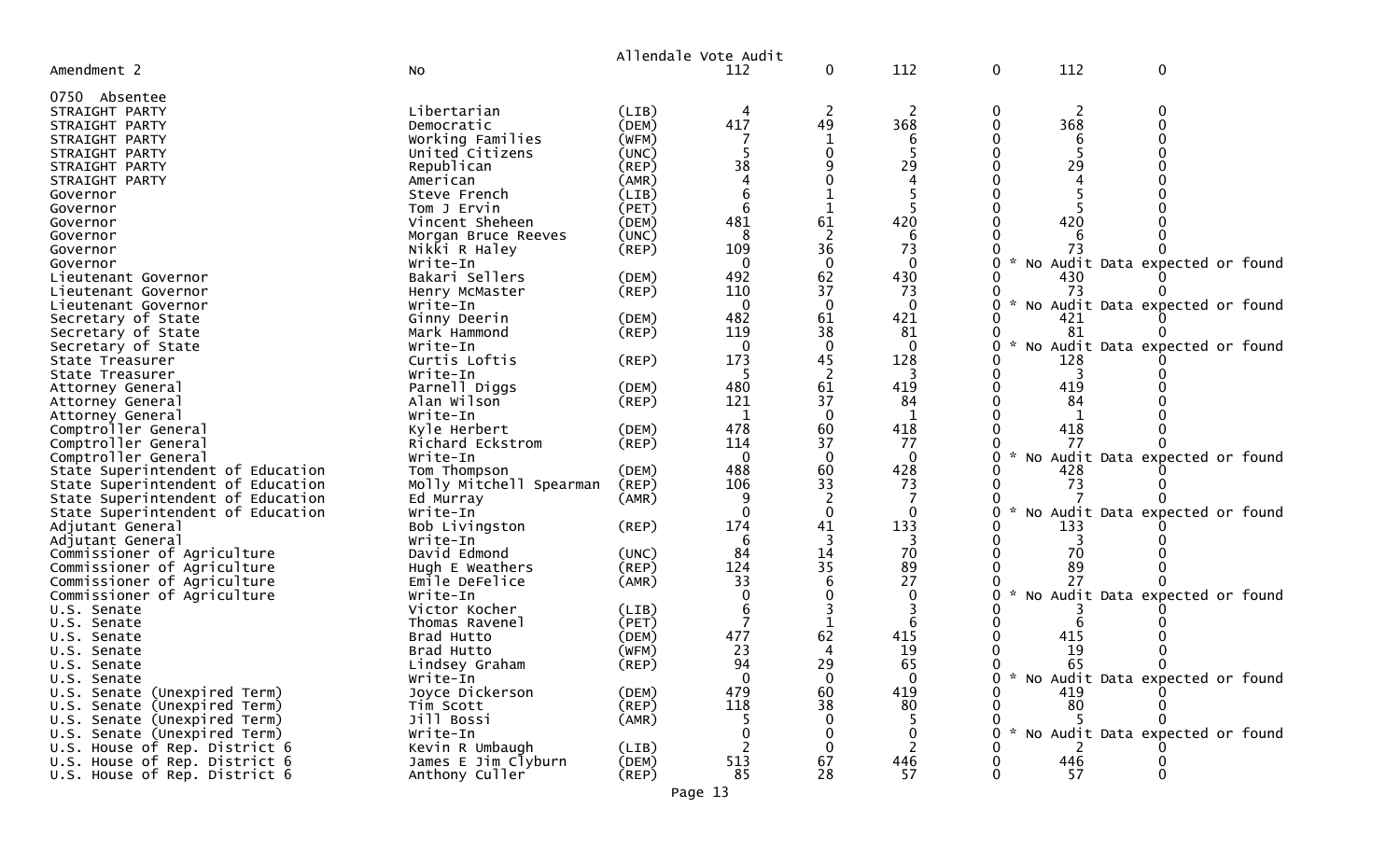|                                                                |                                        |                | Allendale Vote Audit |                |                 |        |     |                                   |
|----------------------------------------------------------------|----------------------------------------|----------------|----------------------|----------------|-----------------|--------|-----|-----------------------------------|
| Amendment 2                                                    | No                                     |                | 112                  | $\mathbf 0$    | 112             | 0      | 112 | 0                                 |
| 0750 Absentee                                                  |                                        |                |                      |                |                 |        |     |                                   |
| STRAIGHT PARTY                                                 | Libertarian                            | (LIB)          | 4                    | 2              |                 | 0      |     |                                   |
| STRAIGHT PARTY                                                 | Democratic                             | (DEM)          | 417                  | 49             | 368             |        | 368 |                                   |
| STRAIGHT PARTY                                                 | Working Families                       | (WFM)          |                      |                |                 |        | 6   |                                   |
| STRAIGHT PARTY                                                 | United Citizens                        | (UNC)          |                      |                |                 |        |     |                                   |
| STRAIGHT PARTY                                                 | Republican                             | (REP)          | 38                   |                | 29              |        | 29  |                                   |
| STRAIGHT PARTY                                                 | American                               | (AMR)          |                      |                |                 |        |     |                                   |
| Governor                                                       | Steve French                           | (LIB)          |                      |                |                 |        |     |                                   |
| Governor                                                       | Tom J Ervin                            | (PET)          | 6                    | 1              |                 |        |     |                                   |
| Governor                                                       | Vincent Sheheen                        | (DEM)          | 481                  | 61             | 420             |        | 420 |                                   |
| Governor                                                       | Morgan Bruce Reeves                    | (UNC)          |                      | 2              |                 |        |     |                                   |
| Governor                                                       | Nikki R Haley                          | $($ REP $)$    | 109                  | 36             | 73              |        | 73  |                                   |
| Governor                                                       | Write-In                               |                |                      | $\mathbf 0$    | 0               |        |     | No Audit Data expected or found   |
| Lieutenant Governor                                            | Bakari Sellers                         | (DEM)          | 492                  | 62             | 430             |        | 430 |                                   |
| Lieutenant Governor                                            | Henry McMaster                         | $($ REP $)$    | 110                  | 37             | 73              | $\sim$ | 73  |                                   |
| Lieutenant Governor                                            | Write-In                               |                |                      |                |                 |        |     | No Audit Data expected or found   |
| Secretary of State                                             | Ginny Deerin                           | (DEM)          | 482                  | 61             | 421             |        | 421 |                                   |
| Secretary of State                                             | Mark Hammond                           | $($ REP $)$    | 119                  | 38             | 81              |        | 81  |                                   |
| Secretary of State                                             | Write-In<br>Curtis Loftis              |                | 173                  | 45             | $\Omega$<br>128 |        | 128 | No Audit Data expected or found   |
| State Treasurer<br>State Treasurer                             | Write-In                               | (REP)          |                      | $\overline{c}$ |                 |        |     |                                   |
|                                                                | Parnell Diggs                          | (DEM)          | 480                  | 61             | 419             |        | 419 |                                   |
| Attorney General<br>Attorney General                           | Alan Wilson                            | $($ REP $)$    | 121                  | 37             | 84              |        | 84  |                                   |
| Attorney General                                               | Write-In                               |                | 1                    | $\mathbf 0$    | 1               |        |     |                                   |
| Comptroller General                                            | Kyle Herbert                           | (DEM)          | 478                  | 60             | 418             |        | 418 |                                   |
| Comptroller General                                            | Richard Eckstrom                       | (REP)          | 114                  | 37             | 77              |        | 77  |                                   |
| Comptroller General                                            | Write-In                               |                | $\overline{0}$       | $\mathbf 0$    | $\Omega$        |        |     | * No Audit Data expected or found |
| State Superintendent of Education                              | Tom Thompson                           | (DEM)          | 488                  | 60             | 428             |        | 428 |                                   |
| State Superintendent of Education                              | Molly Mitchell Spearman                | (REP)          | 106                  | 33             | 73              |        | 73  |                                   |
| State Superintendent of Education                              | Ed Murray                              | (AMR)          |                      |                |                 |        |     |                                   |
| State Superintendent of Education                              | Write-In                               |                |                      |                |                 |        |     | No Audit Data expected or found   |
| Adjutant General                                               | Bob Livingston                         | (REP)          | 174                  | 41             | 133             |        | 133 |                                   |
| Adjutant General                                               | Write-In                               |                |                      | 3              |                 |        |     |                                   |
| Commissioner of Agriculture                                    | David Edmond                           | (UNC)          | 84                   | 14             | 70              |        | 70  |                                   |
| Commissioner of Agriculture                                    | Hugh E Weathers                        | $($ REP $)$    | 124                  | 35             | 89              |        | 89  |                                   |
| Commissioner of Agriculture                                    | Emile DeFelice                         | (AMR)          | 33                   |                | 27              |        | 27  |                                   |
| Commissioner of Agriculture                                    | Write-In                               |                |                      |                |                 |        |     | No Audit Data expected or found   |
| U.S. Senate                                                    | Victor Kocher                          | (LIB)          |                      |                |                 |        |     |                                   |
| U.S. Senate                                                    | Thomas Ravenel                         | (PET)          |                      |                |                 |        |     |                                   |
| U.S. Senate                                                    | Brad Hutto                             | (DEM)          | 477                  | 62             | 415             |        | 415 |                                   |
| U.S. Senate                                                    | Brad Hutto                             | (WFM)          | 23                   | 4              | 19              |        | 19  |                                   |
| U.S. Senate                                                    | Lindsey Graham                         | (REP)          | 94                   | 29             | 65              |        | 65  |                                   |
| U.S. Senate                                                    | Write-In                               |                | $\mathbf{0}$         | 0              | $\mathbf{0}$    | 0      |     | * No Audit Data expected or found |
| U.S. Senate (Unexpired Term)                                   | Joyce Dickerson                        | (DEM)          | 479                  | 60             | 419             |        | 419 |                                   |
| U.S. Senate (Unexpired Term)                                   | Tim Scott                              | $($ REP $)$    | 118                  | 38             | 80              |        | 80  |                                   |
| U.S. Senate (Unexpired Term)                                   | Jill Bossi                             | (AMR)          |                      |                | $\mathbf{0}$    |        |     | * No Audit Data expected or found |
| U.S. Senate (Unexpired Term)                                   | Write-In                               |                |                      |                |                 |        |     |                                   |
| U.S. House of Rep. District 6                                  | Kevin R Umbaugh<br>James E Jim Clyburn | (LIB)<br>(DEM) |                      |                | 2               |        | 446 |                                   |
| U.S. House of Rep. District 6<br>U.S. House of Rep. District 6 | Anthony Culler                         | $($ REP $)$    | 513<br>85            | 67<br>28       | 446<br>57       |        | 57  | $\Omega$                          |
|                                                                |                                        |                |                      |                |                 |        |     |                                   |

Page 13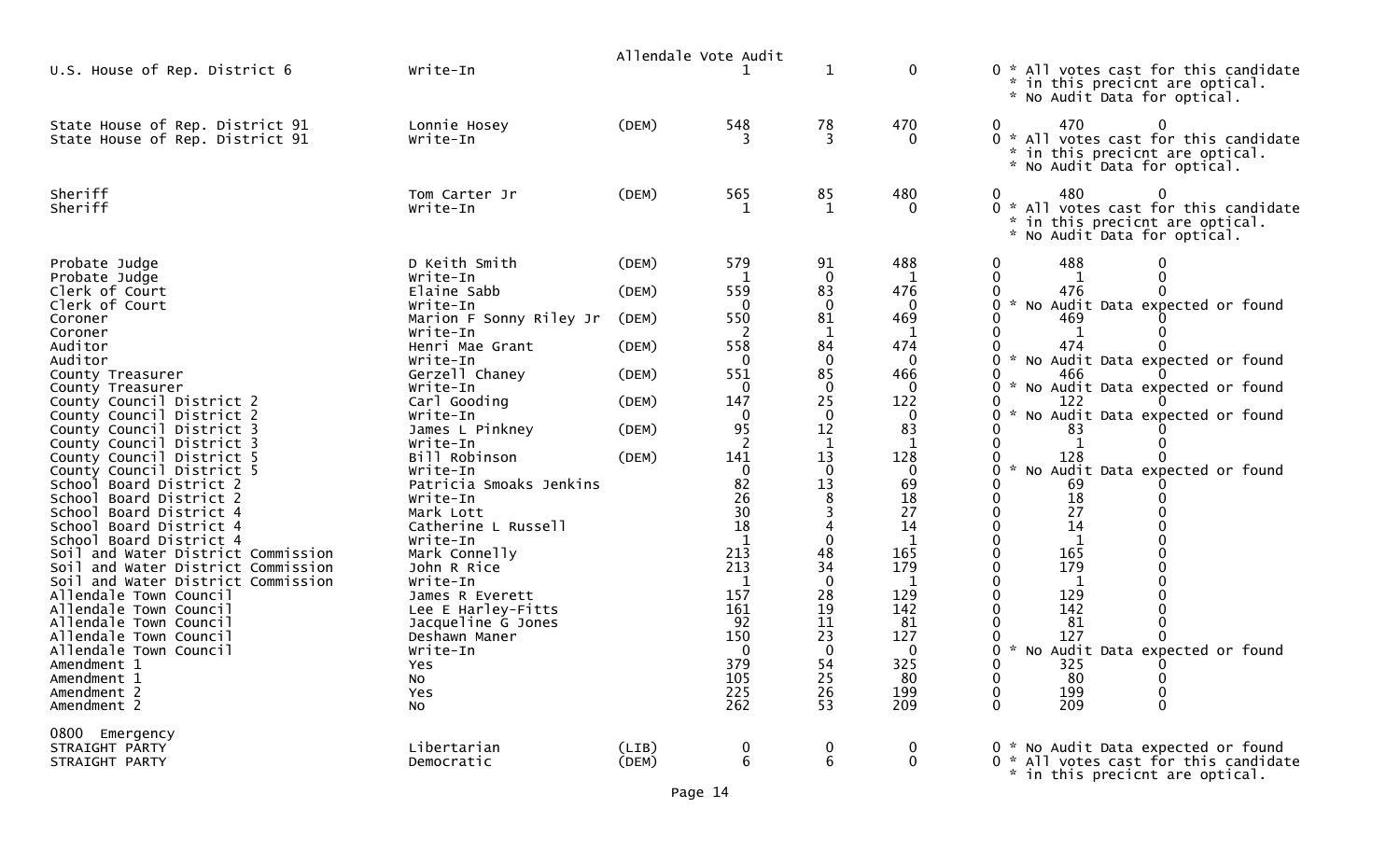|                                                                                                                                                                                                                                                                                                                                                                                                                                                                                                                                                                                                                                                                             |                                                                                                                                                                                                                                                                                                                                                                                                                                                    |                                                                      | Allendale Vote Audit                                                                                                                                                       |                                                                                                                                                                                                     |                                                                                                                                                                            |                                                                                                                                                                                                                                                                                                                     |
|-----------------------------------------------------------------------------------------------------------------------------------------------------------------------------------------------------------------------------------------------------------------------------------------------------------------------------------------------------------------------------------------------------------------------------------------------------------------------------------------------------------------------------------------------------------------------------------------------------------------------------------------------------------------------------|----------------------------------------------------------------------------------------------------------------------------------------------------------------------------------------------------------------------------------------------------------------------------------------------------------------------------------------------------------------------------------------------------------------------------------------------------|----------------------------------------------------------------------|----------------------------------------------------------------------------------------------------------------------------------------------------------------------------|-----------------------------------------------------------------------------------------------------------------------------------------------------------------------------------------------------|----------------------------------------------------------------------------------------------------------------------------------------------------------------------------|---------------------------------------------------------------------------------------------------------------------------------------------------------------------------------------------------------------------------------------------------------------------------------------------------------------------|
| U.S. House of Rep. District 6                                                                                                                                                                                                                                                                                                                                                                                                                                                                                                                                                                                                                                               | Write-In                                                                                                                                                                                                                                                                                                                                                                                                                                           |                                                                      |                                                                                                                                                                            | 1                                                                                                                                                                                                   | $\mathbf 0$                                                                                                                                                                | 0 * All votes cast for this candidate<br>* in this precicnt are optical.<br>* No Audit Data for optical.                                                                                                                                                                                                            |
| State House of Rep. District 91<br>State House of Rep. District 91                                                                                                                                                                                                                                                                                                                                                                                                                                                                                                                                                                                                          | Lonnie Hosey<br>Write-In                                                                                                                                                                                                                                                                                                                                                                                                                           | (DEM)                                                                | 548                                                                                                                                                                        | 78<br>3                                                                                                                                                                                             | 470<br>0                                                                                                                                                                   | 470<br>0<br>0<br>* All votes cast for this candidate<br>0<br>in this precicnt are optical.<br>* No Audit Data for optical.                                                                                                                                                                                          |
| Sheriff<br>Sheriff                                                                                                                                                                                                                                                                                                                                                                                                                                                                                                                                                                                                                                                          | Tom Carter Jr<br>Write-In                                                                                                                                                                                                                                                                                                                                                                                                                          | (DEM)                                                                | 565                                                                                                                                                                        | 85<br>1                                                                                                                                                                                             | 480<br>0                                                                                                                                                                   | 480<br>0<br>0<br>0 * All votes cast for this candidate<br>* in this precicnt are optical.<br>No Audit Data for optical.                                                                                                                                                                                             |
| Probate Judge<br>Probate Judge<br>Clerk of Court<br>Clerk of Court<br>Coroner<br>Coroner<br>Auditor<br>Auditor<br>County Treasurer<br>County Treasurer<br>County Council District 2<br>County Council District 2<br>County Council District 3<br>County Council District 3<br>County Council District 5<br>County Council District 5<br>School Board District 2<br>School Board District 2<br>School Board District 4<br>School Board District 4<br>School Board District 4<br>Soil and Water District Commission<br>Soil and Water District Commission<br>Soil and Water District Commission<br>Allendale Town Council<br>Allendale Town Council<br>Allendale Town Council | D Keith Smith<br>Write-In<br>Elaine Sabb<br>Write-In<br>Marion F Sonny Riley Jr<br>Write-In<br>Henri Mae Grant<br>Write-In<br>Gerzell Chaney<br>Write-In<br>Carl Gooding<br>Write-In<br>James L Pinkney<br>Write-In<br>Bill Robinson<br>Write-In<br>Patricia Smoaks Jenkins<br>Write-In<br>Mark Lott<br>Catherine L Russell<br>Write-In<br>Mark Connelly<br>John R Rice<br>Write-In<br>James R Everett<br>Lee E Harley-Fitts<br>Jacqueline G Jones | (DEM)<br>(DEM)<br>(DEM)<br>(DEM)<br>(DEM)<br>(DEM)<br>(DEM)<br>(DEM) | 579<br>559<br>$\Omega$<br>550<br>-2<br>558<br>551<br>$\Omega$<br>147<br>0<br>95<br>141<br>0<br>82<br>26<br>30<br>18<br>$\mathbf{1}$<br>213<br>213<br>1<br>157<br>161<br>92 | 91<br>$\mathbf 0$<br>83<br>$\mathbf 0$<br>81<br>1<br>84<br>$\mathbf 0$<br>85<br>$\mathbf 0$<br>25<br>0<br>12<br>1<br>13<br>$\mathbf 0$<br>13<br>8<br>0<br>48<br>34<br>$\mathbf 0$<br>28<br>19<br>11 | 488<br>476<br>$\mathbf{0}$<br>469<br>1<br>474<br>0<br>466<br>0<br>122<br>0<br>83<br>128<br>$\mathbf 0$<br>69<br>18<br>27<br>14<br>1<br>165<br>179<br>1<br>129<br>142<br>81 | 488<br>476<br>$\Omega$<br>* No Audit Data expected or found<br>469<br>474<br>* No Audit Data expected or found<br>466<br>* No Audit Data expected or found<br>122<br>No Audit Data expected or found<br>83<br>128<br>No Audit Data expected or found<br>69<br>18<br>27<br>14<br>165<br>179<br>1<br>129<br>142<br>81 |
| Allendale Town Council<br>Allendale Town Council<br>Amendment 1<br>Amendment 1<br>Amendment 2<br>Amendment 2<br>0800 Emergency<br>STRAIGHT PARTY                                                                                                                                                                                                                                                                                                                                                                                                                                                                                                                            | Deshawn Maner<br>Write-In<br>Yes<br>No<br>Yes<br><b>NO</b><br>Libertarian                                                                                                                                                                                                                                                                                                                                                                          | (LIB)                                                                | 150<br>379<br>105<br>225<br>262<br>$\boldsymbol{0}$                                                                                                                        | 23<br>$\mathbf 0$<br>54<br>25<br>26<br>53<br>0                                                                                                                                                      | 127<br>0<br>325<br>80<br>199<br>209<br>$\mathbf 0$                                                                                                                         | 127<br>* No Audit Data expected or found<br>O<br>325<br>0<br>$\mathbf 0$<br>$\boldsymbol{0}$<br>80<br>$\mathbf 0$<br>$\mathbf 0$<br>199<br>209<br>$\mathbf 0$<br>$\mathbf 0$<br>* No Audit Data expected or found                                                                                                   |
| STRAIGHT PARTY                                                                                                                                                                                                                                                                                                                                                                                                                                                                                                                                                                                                                                                              | Democratic                                                                                                                                                                                                                                                                                                                                                                                                                                         | (DEM)                                                                | $\sqrt{6}$                                                                                                                                                                 | 6                                                                                                                                                                                                   | $\mathbf 0$                                                                                                                                                                | 0 * All votes cast for this candidate<br>* in this precicnt are optical.                                                                                                                                                                                                                                            |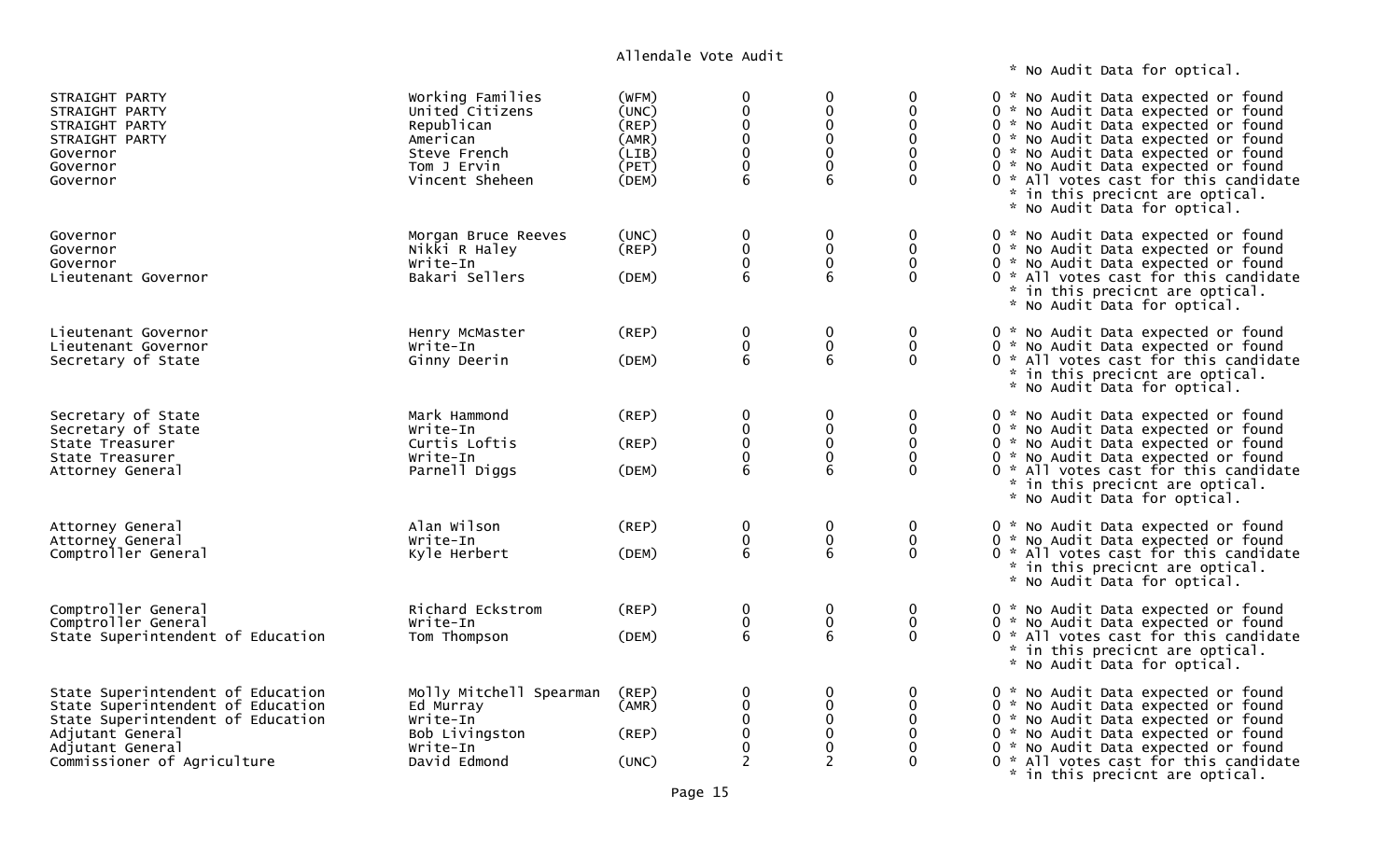\* No Audit Data for optical.

| STRAIGHT PARTY<br>STRAIGHT PARTY<br>STRAIGHT PARTY<br>STRAIGHT PARTY<br>Governor<br>Governor<br>Governor                                                                           | Working Families<br>United Citizens<br>Republican<br>American<br>Steve French<br>Tom J Ervin<br>Vincent Sheheen | (WFM)<br>(UNC)<br>(REP)<br>(AMR)<br>(LIB)<br>(PET)<br>(DEM) | 0<br>0<br>$\mathbf 0$<br>0<br>$\mathbf 0$<br>0<br>6     | $\Omega$<br>0<br>0<br>$\mathbf 0$<br>0<br>0<br>6       | 0<br>0<br>$\mathbf{0}$<br>$\mathbf{0}$<br>$\Omega$ | 0 * No Audit Data expected or found<br>0 * No Audit Data expected or found<br>0 * No Audit Data expected or found<br>0 * No Audit Data expected or found<br>0 * No Audit Data expected or found<br>0 * No Audit Data expected or found<br>0 * All votes cast for this candidate<br>* in this precicnt are optical.<br>* No Audit Data for optical. |
|------------------------------------------------------------------------------------------------------------------------------------------------------------------------------------|-----------------------------------------------------------------------------------------------------------------|-------------------------------------------------------------|---------------------------------------------------------|--------------------------------------------------------|----------------------------------------------------|----------------------------------------------------------------------------------------------------------------------------------------------------------------------------------------------------------------------------------------------------------------------------------------------------------------------------------------------------|
| Governor<br>Governor<br>Governor<br>Lieutenant Governor                                                                                                                            | Morgan Bruce Reeves<br>Nikki R Haley<br>Write-In<br>Bakari Sellers                                              | (UNC)<br>$($ REP $)$<br>(DEM)                               | $\mathbf 0$<br>$\pmb{0}$<br>$\pmb{0}$<br>6              | $\mathbf 0$<br>$\pmb{0}$<br>$\pmb{0}$<br>6             | 0<br>0<br>$\mathbf 0$<br>$\Omega$                  | 0 * No Audit Data expected or found<br>0 * No Audit Data expected or found<br>0 * No Audit Data expected or found<br>0 * All votes cast for this candidate<br>* in this precicnt are optical.<br>* No Audit Data for optical.                                                                                                                      |
| Lieutenant Governor<br>Lieutenant Governor<br>Secretary of State                                                                                                                   | Henry McMaster<br>Write-In<br>Ginny Deerin                                                                      | (REP)<br>(DEM)                                              | 0<br>$\pmb{0}$<br>6                                     | $\boldsymbol{0}$<br>$\pmb{0}$<br>6                     | 0<br>$\mathbf 0$<br>$\Omega$                       | 0 * No Audit Data expected or found<br>0 * No Audit Data expected or found<br>0 * All votes cast for this candidate<br>* in this precicnt are optical.<br>* No Audit Data for optical.                                                                                                                                                             |
| Secretary of State<br>Secretary of State<br>State Treasurer<br>State Treasurer<br>Attorney General                                                                                 | Mark Hammond<br>Write-In<br>Curtis Loftis<br>Write-In<br>Parnell Diggs                                          | (REP)<br>(REP)<br>(DEM)                                     | $\mathbf 0$<br>$\pmb{0}$<br>$\mathbf 0$<br>0<br>6       | $\boldsymbol{0}$<br>$\pmb{0}$<br>$\pmb{0}$<br>0<br>6   | 0<br>0<br>$\Omega$<br>$\Omega$                     | 0 * No Audit Data expected or found<br>0 * No Audit Data expected or found<br>0 * No Audit Data expected or found<br>0 * No Audit Data expected or found<br>0 * All votes cast for this candidate<br>* in this precicnt are optical.<br>* No Audit Data for optical.                                                                               |
| Attorney General<br>Attorney General<br>Comptroller General                                                                                                                        | Alan Wilson<br>Write-In<br>Kyle Herbert                                                                         | $($ REP $)$<br>(DEM)                                        | $\bf{0}$<br>$\begin{matrix}0\\6\end{matrix}$            | 0<br>$\pmb{0}$<br>$6\phantom{1}6$                      | 0<br>$\mathbf 0$<br>$\Omega$                       | 0 * No Audit Data expected or found<br>0 * No Audit Data expected or found<br>0 * All votes cast for this candidate<br>* in this precicnt are optical.<br>* No Audit Data for optical.                                                                                                                                                             |
| Comptroller General<br>Comptroller General<br>State Superintendent of Education                                                                                                    | Richard Eckstrom<br>Write-In<br>Tom Thompson                                                                    | (REP)<br>(DEM)                                              | 0<br>$\begin{matrix} 0 \\ 6 \end{matrix}$               | $\boldsymbol{0}$<br>$\pmb{0}$<br>6                     | 0<br>$\mathbf 0$<br>$\mathbf{0}$                   | 0 * No Audit Data expected or found<br>0 * No Audit Data expected or found<br>0 * All votes cast for this candidate<br>* in this precicnt are optical.<br>* No Audit Data for optical.                                                                                                                                                             |
| State Superintendent of Education<br>State Superintendent of Education<br>State Superintendent of Education<br>Adjutant General<br>Adjutant General<br>Commissioner of Agriculture | Molly Mitchell Spearman<br>Ed Murray<br>Write-In<br>Bob Livingston<br>Write-In<br>David Edmond                  | (REP)<br>(AMR)<br>(REP)<br>(UNC)                            | 0<br>0<br>$\pmb{0}$<br>$\pmb{0}$<br>0<br>$\overline{2}$ | $\mathbf 0$<br>0<br>$\pmb{0}$<br>$\mathbf 0$<br>0<br>2 | 0<br>0<br>$\mathbf{0}$<br>$\Omega$                 | 0 * No Audit Data expected or found<br>0 * No Audit Data expected or found<br>0 * No Audit Data expected or found<br>0 * No Audit Data expected or found<br>0 * No Audit Data expected or found<br>0 * All votes cast for this candidate<br>* in this precicnt are optical.                                                                        |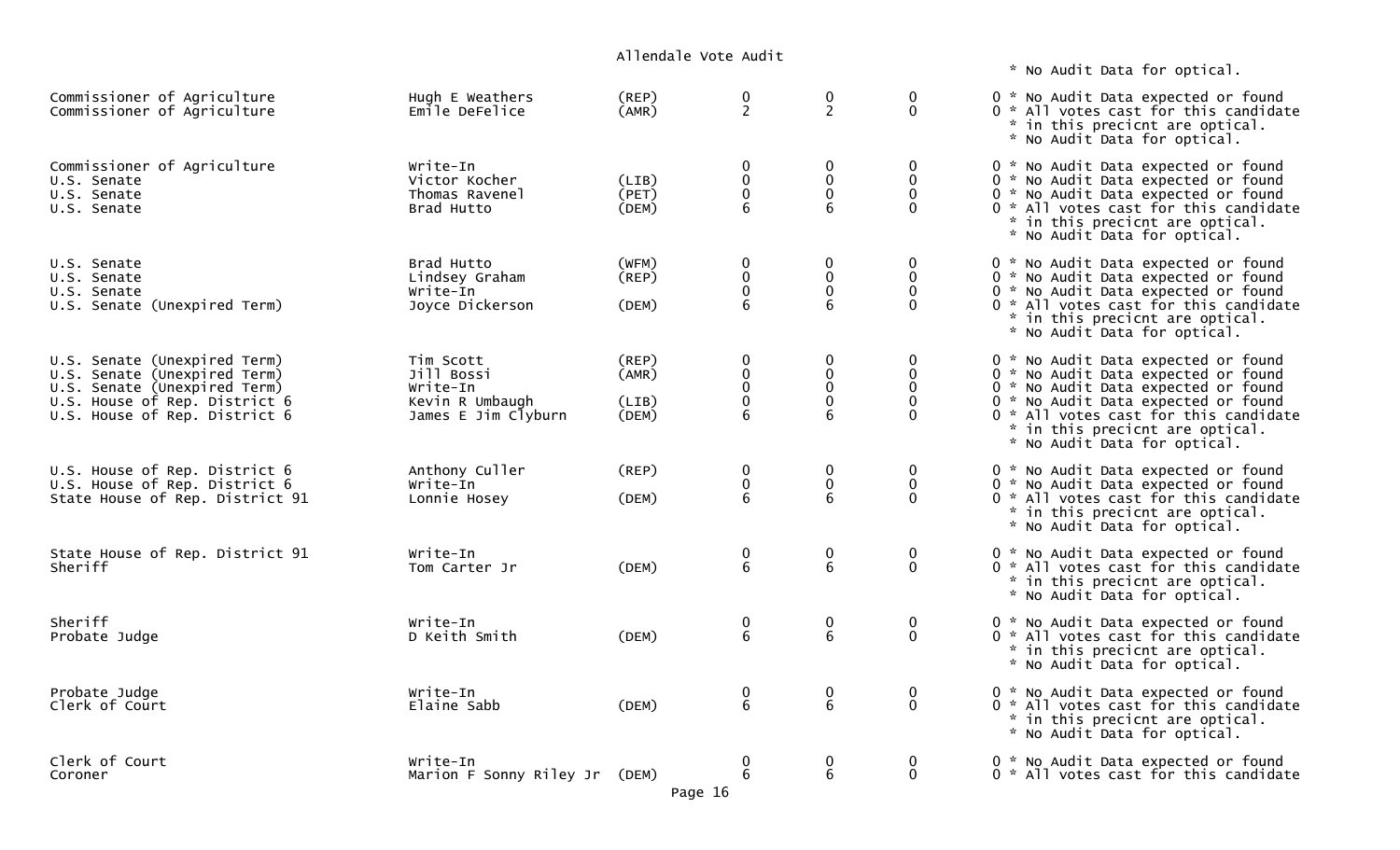\* No Audit Data for optical.

| Commissioner of Agriculture<br>Commissioner of Agriculture                                                                                                     | Hugh E Weathers<br>Emile DeFelice                                             | (REP)<br>(AMR)                   | 0<br>$\overline{2}$                                                         | 0<br>$\overline{2}$                                      | 0<br>$\mathbf 0$                                | 0 * No Audit Data expected or found<br>0 * All votes cast for this candidate<br>* in this precicnt are optical.<br>* No Audit Data for optical.                                                                                                                      |
|----------------------------------------------------------------------------------------------------------------------------------------------------------------|-------------------------------------------------------------------------------|----------------------------------|-----------------------------------------------------------------------------|----------------------------------------------------------|-------------------------------------------------|----------------------------------------------------------------------------------------------------------------------------------------------------------------------------------------------------------------------------------------------------------------------|
| Commissioner of Agriculture<br>U.S. Senate<br>U.S. Senate<br>U.S. Senate                                                                                       | Write-In<br>Victor Kocher<br>Thomas Ravenel<br>Brad Hutto                     | (LIB)<br>(PET)<br>(DEM)          | $\bf{0}$<br>$\pmb{0}$<br>$\pmb{0}$<br>6                                     | $\mathbf 0$<br>$\pmb{0}$<br>$\mathbf 0$<br>6             | 0<br>$\mathbf 0$<br>$\Omega$<br>$\mathbf{0}$    | 0 * No Audit Data expected or found<br>0 * No Audit Data expected or found<br>0 * No Audit Data expected or found<br>0 * All votes cast for this candidate<br>* in this precicnt are optical.<br>* No Audit Data for optical.                                        |
| U.S. Senate<br>U.S. Senate<br>U.S. Senate<br>U.S. Senate (Unexpired Term)                                                                                      | Brad Hutto<br>Lindsey Graham<br>Write-In<br>Joyce Dickerson                   | (WFM)<br>(REP)<br>(DEM)          | $\boldsymbol{0}$<br>$\mathbf 0$<br>0<br>6                                   | 0<br>$\pmb{0}$<br>$\mathbf 0$<br>6                       | 0<br>$\mathbf 0$<br>$\mathbf{0}$<br>$\Omega$    | 0 * No Audit Data expected or found<br>0 * No Audit Data expected or found<br>0 * No Audit Data expected or found<br>0 * All votes cast for this candidate<br>* in this precicnt are optical.<br>* No Audit Data for optical.                                        |
| U.S. Senate (Unexpired Term)<br>U.S. Senate (Unexpired Term)<br>U.S. Senate (Unexpired Term)<br>U.S. House of Rep. District 6<br>U.S. House of Rep. District 6 | Tim Scott<br>Jill Bossi<br>Write-In<br>Kevin R Umbaugh<br>James E Jim Clyburn | (REP)<br>(AMR)<br>(LIB)<br>(DEM) | $\begin{smallmatrix} 0\\0 \end{smallmatrix}$<br>$\pmb{0}$<br>$\pmb{0}$<br>6 | $\mathbf 0$<br>$\mathbf 0$<br>$\mathbf 0$<br>$\mathbf 0$ | $\mathbf{0}$<br>$\mathbf 0$<br>0<br>$\mathbf 0$ | 0 * No Audit Data expected or found<br>0 * No Audit Data expected or found<br>0 * No Audit Data expected or found<br>0 * No Audit Data expected or found<br>0 * All votes cast for this candidate<br>* in this precicnt are optical.<br>* No Audit Data for optical. |
| U.S. House of Rep. District 6<br>U.S. House of Rep. District 6<br>State House of Rep. District 91                                                              | Anthony Culler<br>Write-In<br>Lonnie Hosey                                    | (REP)<br>(DEM)                   | $\mathbf 0$<br>$\pmb{0}$<br>$6\phantom{a}$                                  | $\mathbf 0$<br>$\mathbf 0$<br>6                          | 0<br>0<br>$\Omega$                              | 0 * No Audit Data expected or found<br>0 * No Audit Data expected or found<br>0 * All votes cast for this candidate<br>* in this precicnt are optical.<br>* No Audit Data for optical.                                                                               |
| State House of Rep. District 91<br>Sheriff                                                                                                                     | Write-In<br>Tom Carter Jr                                                     | (DEM)                            | $\bf{0}$<br>$6\phantom{a}$                                                  | 0<br>6                                                   | $\mathbf 0$<br>$\mathbf{0}$                     | 0 * No Audit Data expected or found<br>0 * All votes cast for this candidate<br>* in this precicnt are optical.<br>* No Audit Data for optical.                                                                                                                      |
| Sheriff<br>Probate Judge                                                                                                                                       | Write-In<br>D Keith Smith                                                     | (DEM)                            | $\begin{array}{c} 0 \\ 6 \end{array}$                                       | $\pmb{0}$<br>$6^{\circ}$                                 | 0<br>$\mathbf 0$                                | 0 * No Audit Data expected or found<br>0 * All votes cast for this candidate<br>* in this precicnt are optical.<br>* No Audit Data for optical.                                                                                                                      |
| Probate Judge<br>Clerk of Court                                                                                                                                | Write-In<br>Elaine Sabb                                                       | (DEM)                            | $0$<br>6                                                                    | $\pmb{0}$<br>6                                           | 0<br>$\mathbf 0$                                | 0 * No Audit Data expected or found<br>0 * All votes cast for this candidate<br>* in this precicnt are optical.<br>* No Audit Data for optical.                                                                                                                      |
| Clerk of Court<br>Coroner                                                                                                                                      | Write-In<br>Marion F Sonny Riley Jr (DEM)                                     |                                  | $\mathbf 0$<br>6<br>Page 16                                                 | 0<br>6                                                   | $\mathbf 0$<br>$\mathbf 0$                      | 0 * No Audit Data expected or found<br>0 * All votes cast for this candidate                                                                                                                                                                                         |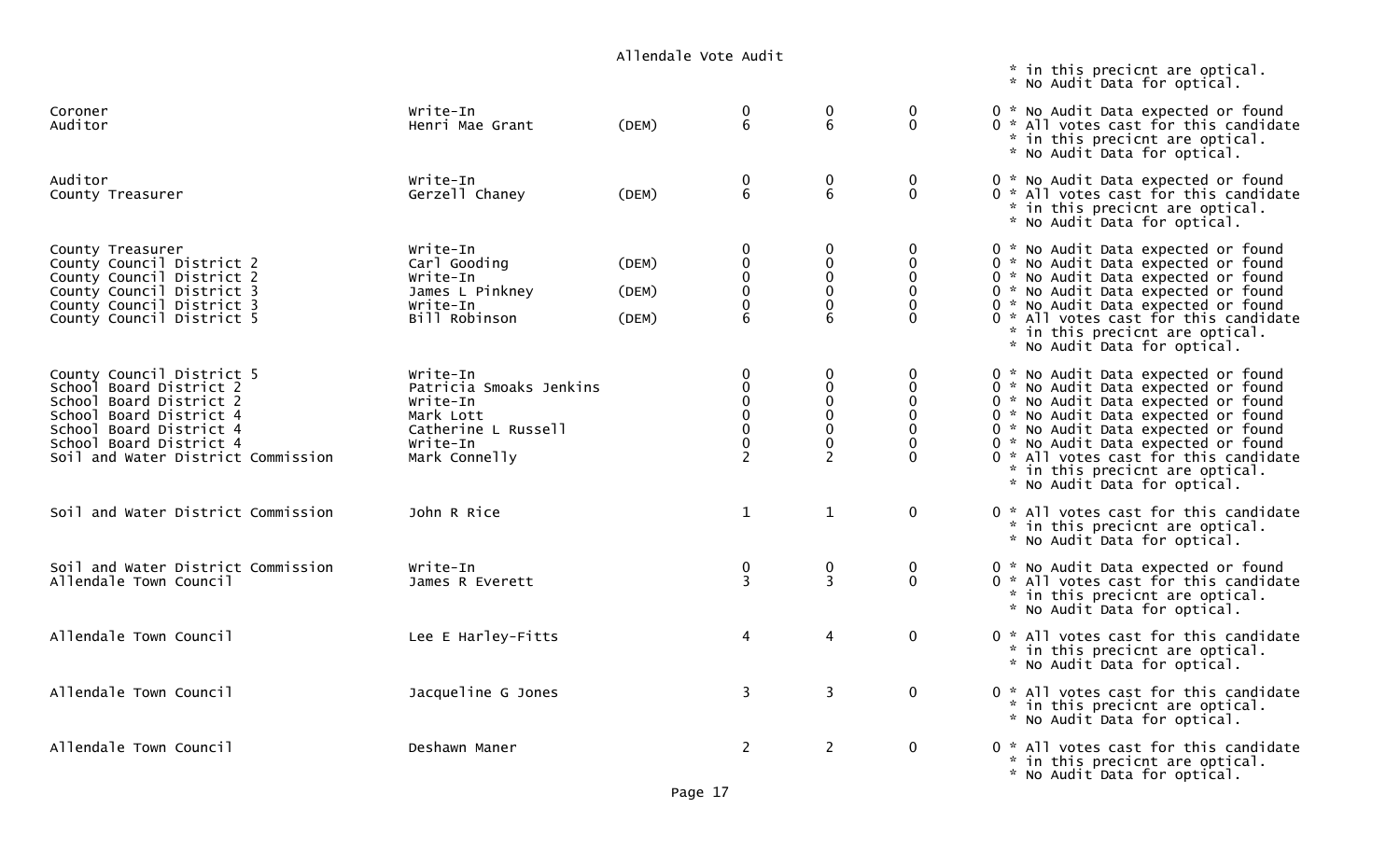|                                                                                                                                                                                                        |                                                                                                                  | ATTCHURTE VULE AUUTE    |                                                                |                                                                                              |                              | * in this precicnt are optical.<br>* No Audit Data for optical.                                                                                                                                                                                                                                                                                    |
|--------------------------------------------------------------------------------------------------------------------------------------------------------------------------------------------------------|------------------------------------------------------------------------------------------------------------------|-------------------------|----------------------------------------------------------------|----------------------------------------------------------------------------------------------|------------------------------|----------------------------------------------------------------------------------------------------------------------------------------------------------------------------------------------------------------------------------------------------------------------------------------------------------------------------------------------------|
| Coroner<br>Auditor                                                                                                                                                                                     | Write-In<br>Henri Mae Grant                                                                                      | (DEM)                   | 0<br>6                                                         | $\bf{0}$<br>6                                                                                | $\mathbf 0$<br>$\mathbf{0}$  | 0 * No Audit Data expected or found<br>0 * All votes cast for this candidate<br>* in this precicnt are optical.<br>* No Audit Data for optical.                                                                                                                                                                                                    |
| Auditor<br>County Treasurer                                                                                                                                                                            | Write-In<br>Gerzell Chaney                                                                                       | (DEM)                   | 0<br>6                                                         | 0<br>6                                                                                       | 0<br>$\mathbf 0$             | 0 * No Audit Data expected or found<br>0 * All votes cast for this candidate<br>* in this precicnt are optical.<br>* No Audit Data for optical.                                                                                                                                                                                                    |
| County Treasurer<br>County Council District 2<br>County Council District 2<br>County Council District 3<br>County Council District 3<br>County Council District 5                                      | Write-In<br>Carl Gooding<br>Write-In<br>James L Pinkney<br>Write-In<br>Bill Robinson                             | (DEM)<br>(DEM)<br>(DEM) | 0<br>0<br>0<br>$\pmb{0}$<br>$\pmb{0}$<br>6                     | $\mathbf 0$<br>$\mathbf 0$<br>$\mathbf 0$<br>$\pmb{0}$<br>$\mathbf 0$<br>6                   | 0<br>0                       | 0 * No Audit Data expected or found<br>0 * No Audit Data expected or found<br>0 * No Audit Data expected or found<br>0 * No Audit Data expected or found<br>0 * No Audit Data expected or found<br>0 * All votes cast for this candidate<br>* in this precicnt are optical.<br>* No Audit Data for optical.                                        |
| County Council District 5<br>School Board District 2<br>School Board District 2<br>School Board District 4<br>School Board District 4<br>School Board District 4<br>Soil and Water District Commission | Write-In<br>Patricia Smoaks Jenkins<br>Write-In<br>Mark Lott<br>Catherine L Russell<br>Write-In<br>Mark Connelly |                         | 0<br>0<br>$\mathbf 0$<br>0<br>0<br>$\pmb{0}$<br>$\overline{2}$ | $\mathbf 0$<br>$\mathbf 0$<br>$\mathbf 0$<br>$\mathbf 0$<br>$\mathbf{0}$<br>$\mathbf 0$<br>2 | 0<br>$\mathbf 0$<br>$\Omega$ | 0 * No Audit Data expected or found<br>0 * No Audit Data expected or found<br>0 * No Audit Data expected or found<br>0 * No Audit Data expected or found<br>0 * No Audit Data expected or found<br>0 * No Audit Data expected or found<br>0 * All votes cast for this candidate<br>* in this precicnt are optical.<br>* No Audit Data for optical. |
| Soil and Water District Commission                                                                                                                                                                     | John R Rice                                                                                                      |                         | $\mathbf{1}$                                                   | $\mathbf{1}$                                                                                 | $\mathbf 0$                  | 0 * All votes cast for this candidate<br>* in this precicnt are optical.<br>* No Audit Data for optical.                                                                                                                                                                                                                                           |
| Soil and Water District Commission<br>Allendale Town Council                                                                                                                                           | Write-In<br>James R Everett                                                                                      |                         | 0<br>$\overline{3}$                                            | $\pmb{0}$<br>$\overline{3}$                                                                  | $\pmb{0}$<br>$\mathbf{0}$    | 0 * No Audit Data expected or found<br>0 * All votes cast for this candidate<br>* in this precicnt are optical.<br>* No Audit Data for optical.                                                                                                                                                                                                    |
| Allendale Town Council                                                                                                                                                                                 | Lee E Harley-Fitts                                                                                               |                         | 4                                                              | $\overline{4}$                                                                               | $\mathbf 0$                  | 0 * All votes cast for this candidate<br>* in this precicnt are optical.<br>* No Audit Data for optical.                                                                                                                                                                                                                                           |
| Allendale Town Council                                                                                                                                                                                 | Jacqueline G Jones                                                                                               |                         | 3                                                              | 3                                                                                            | $\mathbf 0$                  | 0 * All votes cast for this candidate<br>* in this precicnt are optical.<br>* No Audit Data for optical.                                                                                                                                                                                                                                           |
| Allendale Town Council                                                                                                                                                                                 | Deshawn Maner                                                                                                    |                         | $\overline{2}$                                                 | $\overline{2}$                                                                               | $\mathbf{0}$                 | 0 * All votes cast for this candidate<br>* in this precicnt are optical.<br>* No Audit Data for optical.                                                                                                                                                                                                                                           |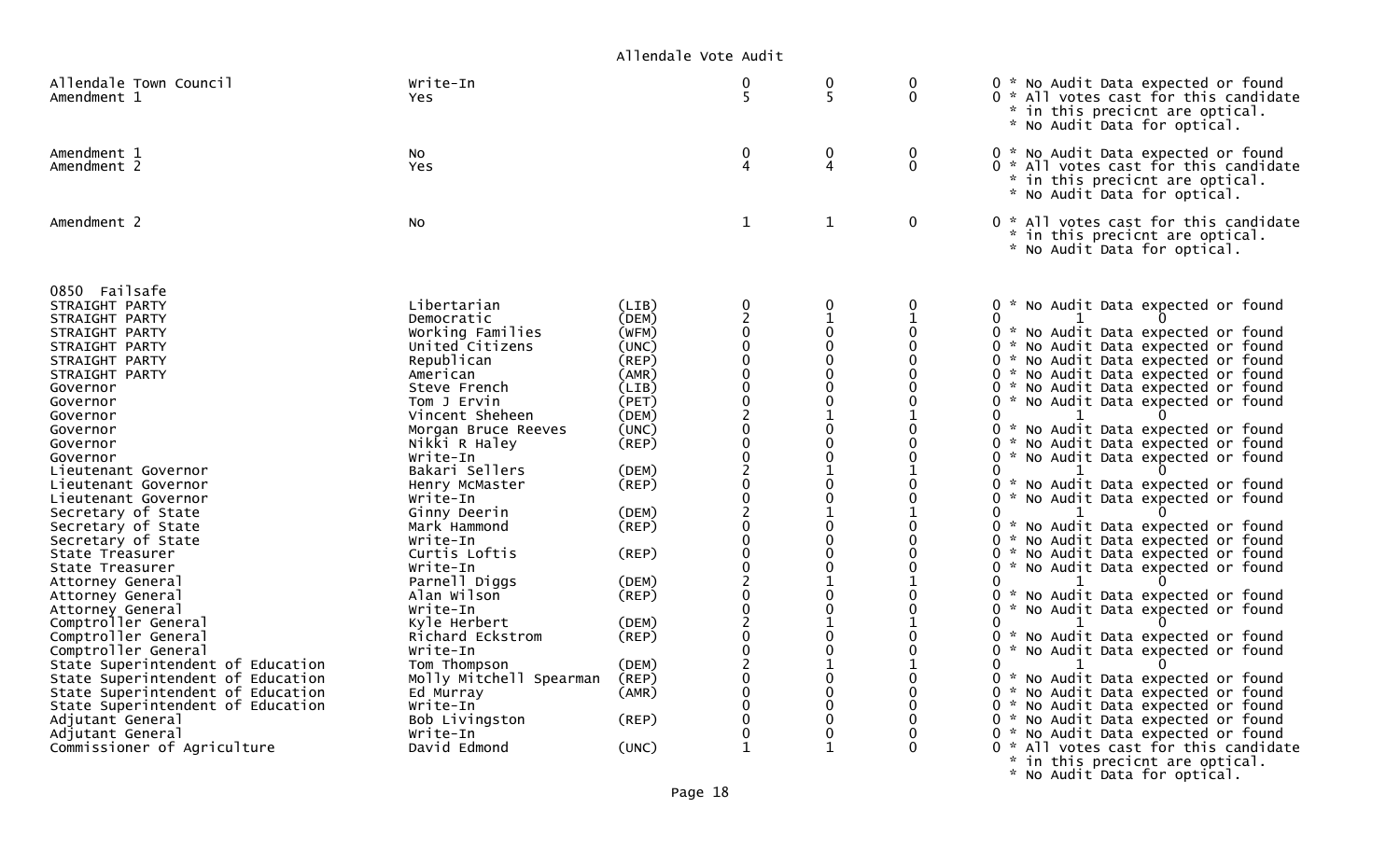| Allendale Town Council<br>Amendment 1                                                                                                                                                                                                                                                                                                                                                                                                                                                                                                                                                                                                                                                                                                      | Write-In<br>Yes.                                                                                                                                                                                                                                                                                                                                                                                                                                                                                                                        |                                                                                                                                                                                                                                           | 0<br>5                                                                                                                                                                                                                                                                                                                                                                                                                                        | $\mathbf 0$<br>5                                                                                                                                                                                                                                                                                                                            | 0<br>$\mathbf 0$                                                                                                                                              | 0 * No Audit Data expected or found<br>0 * All votes cast for this candidate<br>ŵ.<br>in this precicnt are optical.<br>* No Audit Data for optical.                                                                                                                                                                                                                                                                                                                                                                                                                                                                                                                                                                                                                                                                                                                                                                                                                                                                                                                                                                                                                                                        |
|--------------------------------------------------------------------------------------------------------------------------------------------------------------------------------------------------------------------------------------------------------------------------------------------------------------------------------------------------------------------------------------------------------------------------------------------------------------------------------------------------------------------------------------------------------------------------------------------------------------------------------------------------------------------------------------------------------------------------------------------|-----------------------------------------------------------------------------------------------------------------------------------------------------------------------------------------------------------------------------------------------------------------------------------------------------------------------------------------------------------------------------------------------------------------------------------------------------------------------------------------------------------------------------------------|-------------------------------------------------------------------------------------------------------------------------------------------------------------------------------------------------------------------------------------------|-----------------------------------------------------------------------------------------------------------------------------------------------------------------------------------------------------------------------------------------------------------------------------------------------------------------------------------------------------------------------------------------------------------------------------------------------|---------------------------------------------------------------------------------------------------------------------------------------------------------------------------------------------------------------------------------------------------------------------------------------------------------------------------------------------|---------------------------------------------------------------------------------------------------------------------------------------------------------------|------------------------------------------------------------------------------------------------------------------------------------------------------------------------------------------------------------------------------------------------------------------------------------------------------------------------------------------------------------------------------------------------------------------------------------------------------------------------------------------------------------------------------------------------------------------------------------------------------------------------------------------------------------------------------------------------------------------------------------------------------------------------------------------------------------------------------------------------------------------------------------------------------------------------------------------------------------------------------------------------------------------------------------------------------------------------------------------------------------------------------------------------------------------------------------------------------------|
| Amendment 1<br>Amendment 2                                                                                                                                                                                                                                                                                                                                                                                                                                                                                                                                                                                                                                                                                                                 | No<br><b>Yes</b>                                                                                                                                                                                                                                                                                                                                                                                                                                                                                                                        |                                                                                                                                                                                                                                           | 0<br>$\Delta$                                                                                                                                                                                                                                                                                                                                                                                                                                 | $\mathbf 0$<br>$\overline{4}$                                                                                                                                                                                                                                                                                                               | $\mathbf 0$<br>$\Omega$                                                                                                                                       | 0 * No Audit Data expected or found<br>0 * All votes cast for this candidate<br>in this precicnt are optical.<br>$\mathcal{R}_{\mathcal{A}}$<br>* No Audit Data for optical.                                                                                                                                                                                                                                                                                                                                                                                                                                                                                                                                                                                                                                                                                                                                                                                                                                                                                                                                                                                                                               |
| Amendment 2                                                                                                                                                                                                                                                                                                                                                                                                                                                                                                                                                                                                                                                                                                                                | No                                                                                                                                                                                                                                                                                                                                                                                                                                                                                                                                      |                                                                                                                                                                                                                                           | $\mathbf 1$                                                                                                                                                                                                                                                                                                                                                                                                                                   | 1                                                                                                                                                                                                                                                                                                                                           | $\mathbf 0$                                                                                                                                                   | 0 * All votes cast for this candidate<br>*.<br>in this precicnt are optical.<br>* No Audit Data for optical.                                                                                                                                                                                                                                                                                                                                                                                                                                                                                                                                                                                                                                                                                                                                                                                                                                                                                                                                                                                                                                                                                               |
| 0850 Failsafe<br>STRAIGHT PARTY<br>STRAIGHT PARTY<br>STRAIGHT PARTY<br>STRAIGHT PARTY<br>STRAIGHT PARTY<br>STRAIGHT PARTY<br>Governor<br>Governor<br>Governor<br>Governor<br>Governor<br>Governor<br>Lieutenant Governor<br>Lieutenant Governor<br>Lieutenant Governor<br>Secretary of State<br>Secretary of State<br>Secretary of State<br>State Treasurer<br>State Treasurer<br>Attorney General<br>Attorney General<br>Attorney General<br>Comptroller General<br>Comptroller General<br>Comptroller General<br>State Superintendent of Education<br>State Superintendent of Education<br>State Superintendent of Education<br>State Superintendent of Education<br>Adjutant General<br>Adjutant General<br>Commissioner of Agriculture | Libertarian<br>Democratic<br>Working Families<br>United Citizens<br>Republican<br>American<br>Steve French<br>Tom J Ervin<br>Vincent Sheheen<br>Morgan Bruce Reeves<br>Nikki R Haley<br>Write-In<br>Bakari Sellers<br>Henry McMaster<br>Write-In<br>Ginny Deerin<br>Mark Hammond<br>Write-In<br>Curtis Loftis<br>Write-In<br>Parnell Diggs<br>Alan Wilson<br>Write-In<br>Kyle Herbert<br>Richard Eckstrom<br>Write-In<br>Tom Thompson<br>Molly Mitchell Spearman<br>Ed Murray<br>Write-In<br>Bob Livingston<br>Write-In<br>David Edmond | (LIB)<br>(DEM)<br>(WFM)<br>(UNC)<br>$($ REP $)$<br>(AMR)<br>(LIB)<br>(PET)<br>(DEM)<br>(UNC)<br>(REP)<br>(DEM)<br>$($ REP $)$<br>(DEM)<br>(REP)<br>(REP)<br>(DEM)<br>(REP)<br>(DEM)<br>(REP)<br>(DEM)<br>(REF)<br>(AMR)<br>(REP)<br>(UNC) | 0<br>0<br>$\Omega$<br>$\overline{0}$<br>$\Omega$<br>$\mathbf 0$<br>$\mathbf 0$<br>$\overline{c}$<br>$\mathbf 0$<br>$\boldsymbol{0}$<br>$\mathbf 0$<br>$\overline{c}$<br>$\mathbf 0$<br>$\mathbf 0$<br>$\overline{0}$<br>$\Omega$<br>$\Omega$<br>$\mathbf 0$<br>$\overline{c}$<br>$\mathbf 0$<br>$\overline{0}$<br>$\overline{c}$<br>$\mathbf 0$<br>$\mathbf 0$<br>$\overline{c}$<br>0<br>$\overline{0}$<br>$\Omega$<br>0<br>0<br>$\mathbf{1}$ | 0<br>0<br>$\Omega$<br>$\Omega$<br>$\Omega$<br>$\mathbf 0$<br>$\Omega$<br>$\mathbf 0$<br>$\mathbf 0$<br>$\Omega$<br>$\mathbf{1}$<br>$\Omega$<br>0<br>1<br>$\Omega$<br>$\Omega$<br>$\Omega$<br>$\mathbf 0$<br>1<br>$\Omega$<br>$\Omega$<br>$\mathbf{1}$<br>0<br>0<br>1<br>0<br>$\mathbf 0$<br>$\mathbf 0$<br>0<br>$\mathbf 0$<br>$\mathbf{1}$ | 0<br>0<br>0<br>0<br>0<br>0<br>0<br>$\mathbf{1}$<br>0<br>0<br>0<br>0<br>0<br>0<br>O<br>0<br>$\mathbf{1}$<br>0<br>$\Omega$<br>0<br>0<br>0<br>0<br>0<br>$\Omega$ | 0 * No Audit Data expected or found<br>0<br>0 * No Audit Data expected or found<br>0 *<br>No Audit Data expected or found<br>0 * No Audit Data expected or found<br>0 * No Audit Data expected or found<br>0 * No Audit Data expected or found<br>0<br>No Audit Data expected or found<br>0<br>0 * No Audit Data expected or found<br>0 * No Audit Data expected or found<br>$\Omega$<br>* No Audit Data expected or found<br>0<br>* No Audit Data expected or found<br>0.<br>0 * No Audit Data expected or found<br>0<br>0 * No Audit Data expected or found<br>No Audit Data expected or found<br>0<br>i w<br>0 * No Audit Data expected or found<br>0 * No Audit Data expected or found<br>0<br>* No Audit Data expected or found<br>0<br>ი ∗<br>No Audit Data expected or found<br>0<br>0 *<br>No Audit Data expected or found<br>0 *<br>No Audit Data expected or found<br>0<br>0 *<br>No Audit Data expected or found<br>$0 *$<br>No Audit Data expected or found<br>No Audit Data expected or found<br>$0 *$<br>0 *<br>No Audit Data expected or found<br>No Audit Data expected or found<br>0<br>- 22<br>ი ∗<br>All votes cast for this candidate<br>$\mathbf{x}$<br>in this precicnt are optical. |

\* No Audit Data for optical.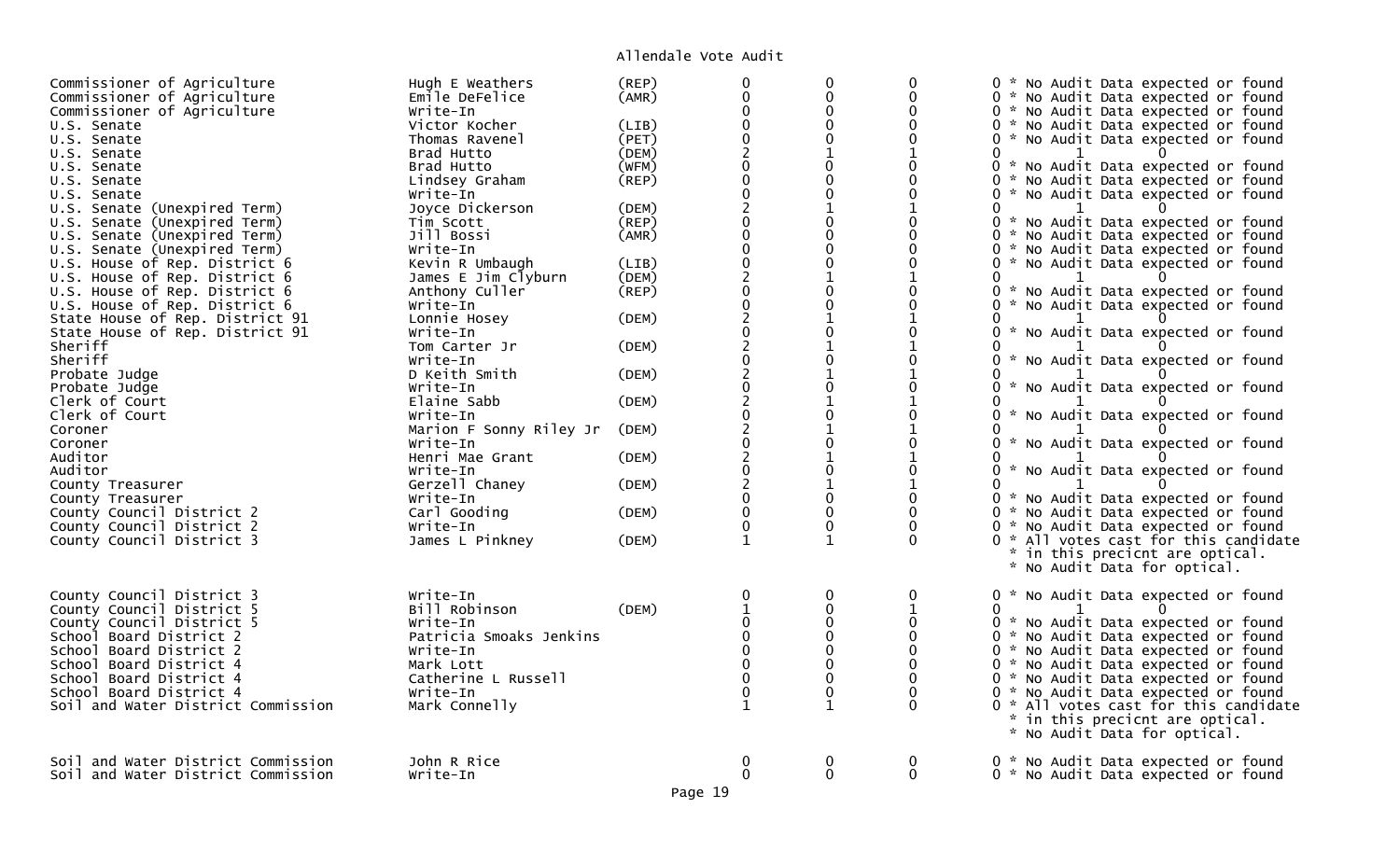| Commissioner of Agriculture        | Hugh E Weathers         | (REP)       | $\pmb{0}$<br>$\mathbf 0$ | $\mathbf 0$                | $\mathbf 0$   | 0 * No Audit Data expected or found    |
|------------------------------------|-------------------------|-------------|--------------------------|----------------------------|---------------|----------------------------------------|
| Commissioner of Agriculture        | Emile DeFelice          | (AMR)       | $\Omega$                 | $\mathbf 0$<br>$\mathbf 0$ | $\Omega$      | 0 * No Audit Data expected or found    |
| Commissioner of Agriculture        | Write-In                |             |                          | $\Omega$                   | 0<br>$\Omega$ | 0 * No Audit Data expected or found    |
| U.S. Senate                        | Victor Kocher           | (LIB)       | $\Omega$                 | $\Omega$                   | $\Omega$      | 0 * No Audit Data expected or found    |
| U.S. Senate                        | Thomas Ravenel          | (PET)       |                          |                            |               | 0 * No Audit Data expected or found    |
| U.S. Senate                        | Brad Hutto              | (DEM)       | $\overline{2}$           |                            | $\mathbf{1}$  | $\Omega$                               |
| U.S. Senate                        | Brad Hutto              | (WFM)       | $\mathbf 0$              | $\mathbf 0$                | $\Omega$      | * No Audit Data expected or found<br>0 |
| U.S. Senate                        | Lindsey Graham          | (REP)       | $\overline{0}$           | $\mathbf{0}$               | $\Omega$      | 0 * No Audit Data expected or found    |
| U.S. Senate                        | Write-In                |             |                          | $\mathbf 0$                | $\Omega$      | 0 * No Audit Data expected or found    |
| U.S. Senate (Unexpired Term)       | Joyce Dickerson         | (DEM)       |                          | $\mathbf{1}$               | $\mathbf{1}$  | 0                                      |
| U.S. Senate (Unexpired Term)       | Tim Scott               | $($ REP $)$ |                          | $\Omega$                   | 0             | 0 * No Audit Data expected or found    |
| U.S. Senate (Unexpired Term)       | Jill Bossi              | (AMR)       | $\pmb{0}$                | $\mathbf 0$                | $\mathbf 0$   | 0 * No Audit Data expected or found    |
| U.S. Senate (Unexpired Term)       | Write-In                |             |                          | $\mathbf{0}$               | $\Omega$      | 0 * No Audit Data expected or found    |
| U.S. House of Rep. District 6      | Kevin R Umbaugh         | (LIB)       | $\pmb{0}$                | 0                          | $\mathbf{0}$  | 0 * No Audit Data expected or found    |
| U.S. House of Rep. District 6      | James E Jim Clyburn     | (DEM)       | $\frac{2}{0}$            | $\mathbf{1}$               | $\mathbf{1}$  | 0                                      |
| U.S. House of Rep. District 6      | Anthony Culler          | $($ REP $)$ |                          | $\mathbf 0$                | $\mathbf 0$   | 0 * No Audit Data expected or found    |
| U.S. House of Rep. District 6      | Write-In                |             |                          | $\Omega$                   | $\Omega$      | 0 * No Audit Data expected or found    |
| State House of Rep. District 91    | Lonnie Hosey            | (DEM)       |                          | $\mathbf{1}$               | $\mathbf{1}$  | 0                                      |
| State House of Rep. District 91    | Write-In                |             |                          | $\mathbf 0$                | $\mathbf 0$   | * No Audit Data expected or found<br>0 |
| Sheriff                            | Tom Carter Jr           | (DEM)       |                          | $\mathbf{1}$               | 1             | 0                                      |
| Sheriff                            | Write-In                |             |                          | $\mathbf 0$                | $\mathbf 0$   | * No Audit Data expected or found      |
| Probate Judge                      | D Keith Smith           | (DEM)       |                          |                            |               | 0                                      |
| Probate Judge                      | Write-In                |             |                          | $\mathbf 0$                | $\mathbf 0$   | * No Audit Data expected or found<br>0 |
| Clerk of Court                     | Elaine Sabb             | (DEM)       |                          |                            |               |                                        |
| Clerk of Court                     | Write-In                |             |                          | $\mathbf 0$                | 0             | * No Audit Data expected or found<br>0 |
| Coroner                            | Marion F Sonny Riley Jr | (DEM)       |                          |                            |               |                                        |
| Coroner                            | Write-In                |             |                          | $\mathbf 0$                | $\mathbf 0$   | 0 * No Audit Data expected or found    |
| Auditor                            | Henri Mae Grant         | (DEM)       |                          |                            | $\mathbf{1}$  | 0                                      |
| Auditor                            | Write-In                |             | $\mathbf 0$              | $\mathbf 0$                | $\mathbf 0$   | 0<br>* No Audit Data expected or found |
| County Treasurer                   | Gerzell Chaney          | (DEM)       |                          | $\mathbf{1}$               | 1             | 0                                      |
| County Treasurer                   | Write-In                |             |                          | $\mathbf 0$                | 0             | 0 * No Audit Data expected or found    |
| County Council District 2          | Carl Gooding            | (DEM)       |                          | $\mathbf 0$                | $\Omega$      | 0 * No Audit Data expected or found    |
| County Council District 2          | Write-In                |             |                          | $\mathbf{0}$               | $\Omega$      | 0 * No Audit Data expected or found    |
| County Council District 3          | James L Pinkney         | (DEM)       | $\mathbf{1}$             | $\mathbf 1$                | 0             | 0 * All votes cast for this candidate  |
|                                    |                         |             |                          |                            |               | * in this precicnt are optical.        |
|                                    |                         |             |                          |                            |               | * No Audit Data for optical.           |
|                                    |                         |             |                          |                            |               |                                        |
| County Council District 3          | Write-In                |             |                          | 0                          | 0             | 0 * No Audit Data expected or found    |
| County Council District 5          | Bill Robinson           | (DEM)       |                          | $\mathbf 0$                |               | $\mathbf{0}$                           |
| County Council District 5          | Write-In                |             |                          | $\mathbf 0$                |               | 0 * No Audit Data expected or found    |
| School Board District 2            | Patricia Smoaks Jenkins |             |                          | $\Omega$                   | $\Omega$      | 0 * No Audit Data expected or found    |
| School Board District 2            | Write-In                |             | $\mathbf{0}$             | $\mathbf 0$                | $\mathbf 0$   | 0 * No Audit Data expected or found    |
| School Board District 4            | Mark Lott               |             |                          | $\mathbf{0}$               | $\Omega$      | 0 * No Audit Data expected or found    |
| School Board District 4            | Catherine L Russell     |             |                          | $\mathbf 0$                | 0             | 0 * No Audit Data expected or found    |
| School Board District 4            | Write-In                |             |                          | $\Omega$                   |               | 0 * No Audit Data expected or found    |
| Soil and Water District Commission | Mark Connelly           |             |                          |                            |               | 0 * All votes cast for this candidate  |
|                                    |                         |             |                          |                            |               | * in this precicnt are optical.        |
|                                    |                         |             |                          |                            |               | * No Audit Data for optical.           |
|                                    |                         |             |                          |                            |               |                                        |
| Soil and Water District Commission | John R Rice             |             | 0                        | 0                          | 0             | 0 * No Audit Data expected or found    |
| Soil and Water District Commission | Write-In                |             | $\Omega$                 | $\Omega$                   | 0             | 0 * No Audit Data expected or found    |
|                                    |                         |             |                          |                            |               |                                        |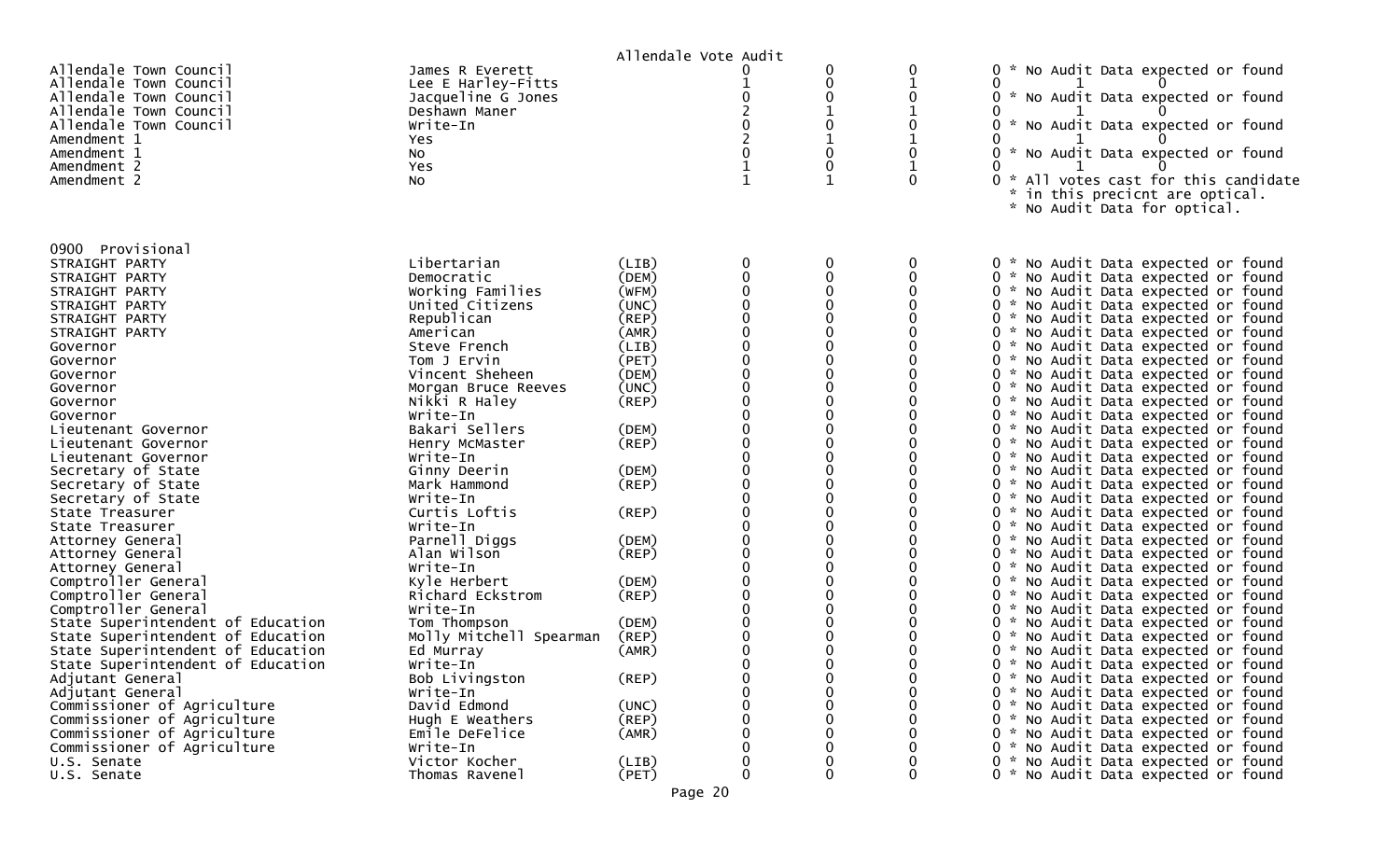|                                                                                                                                                                                                                                                                                                                                                                                                                                                                                                                                                                                              |                                                                                                                                                                                                                                                                                                                                                                                                                                                                  | Allendale Vote Audit                                                                                                                                                                               |                                                                                                                                                               |                                                      |                         |                                                                                                                                                                                                                                                                                                                                                                                                                                                                                                                                                                                                                                                                                                                                                                                                                                                                                                                                                                                                                                                                                                                                                                                                 |
|----------------------------------------------------------------------------------------------------------------------------------------------------------------------------------------------------------------------------------------------------------------------------------------------------------------------------------------------------------------------------------------------------------------------------------------------------------------------------------------------------------------------------------------------------------------------------------------------|------------------------------------------------------------------------------------------------------------------------------------------------------------------------------------------------------------------------------------------------------------------------------------------------------------------------------------------------------------------------------------------------------------------------------------------------------------------|----------------------------------------------------------------------------------------------------------------------------------------------------------------------------------------------------|---------------------------------------------------------------------------------------------------------------------------------------------------------------|------------------------------------------------------|-------------------------|-------------------------------------------------------------------------------------------------------------------------------------------------------------------------------------------------------------------------------------------------------------------------------------------------------------------------------------------------------------------------------------------------------------------------------------------------------------------------------------------------------------------------------------------------------------------------------------------------------------------------------------------------------------------------------------------------------------------------------------------------------------------------------------------------------------------------------------------------------------------------------------------------------------------------------------------------------------------------------------------------------------------------------------------------------------------------------------------------------------------------------------------------------------------------------------------------|
| Allendale Town Council<br>Allendale Town Council<br>Allendale Town Council<br>Allendale Town Council<br>Allendale Town Council<br>Amendment 1<br>Amendment 1<br>Amendment 2<br>Amendment 2                                                                                                                                                                                                                                                                                                                                                                                                   | James R Everett<br>Lee E Harley-Fitts<br>Jacqueline G Jones<br>Deshawn Maner<br>Write-In<br>Yes<br>NO.<br>Yes<br>No                                                                                                                                                                                                                                                                                                                                              |                                                                                                                                                                                                    | $\mathbf 1$                                                                                                                                                   | 0<br>0<br>0<br>0<br>$\mathbf 0$<br>0<br>$\mathbf{1}$ | 0<br>0<br>0<br>$\Omega$ | 0 * No Audit Data expected or found<br>O<br>0 * No Audit Data expected or found<br>0 * No Audit Data expected or found<br>0 * No Audit Data expected or found<br>All votes cast for this candidate<br>0.<br>- *<br>* in this precicnt are optical.<br>*.<br>No Audit Data for optical.                                                                                                                                                                                                                                                                                                                                                                                                                                                                                                                                                                                                                                                                                                                                                                                                                                                                                                          |
| 0900 Provisional<br>STRAIGHT PARTY<br>STRAIGHT PARTY<br>STRAIGHT PARTY<br>STRAIGHT PARTY<br>STRAIGHT PARTY<br>STRAIGHT PARTY<br>Governor<br>Governor<br>Governor<br>Governor<br>Governor<br>Governor<br>Lieutenant Governor<br>Lieutenant Governor<br>Lieutenant Governor<br>Secretary of State<br>Secretary of State<br>Secretary of State<br>State Treasurer<br>State Treasurer<br>Attorney General<br>Attorney General<br>Attorney General<br>Comptroller General<br>Comptroller General<br>Comptroller General<br>State Superintendent of Education<br>State Superintendent of Education | Libertarian<br>Democratic<br>Working Families<br>United Citizens<br>Republican<br>American<br>Steve French<br>Tom J Ervin<br>Vincent Sheheen<br>Morgan Bruce Reeves<br>Nikki R Haley<br>Write-In<br>Bakari Sellers<br>Henry McMaster<br>Write-In<br>Ginny Deerin<br>Mark Hammond<br>Write-In<br>Curtis Loftis<br>Write-In<br>Parnell Diggs<br>Alan Wilson<br>Write-In<br>Kyle Herbert<br>Richard Eckstrom<br>Write-In<br>Tom Thompson<br>Molly Mitchell Spearman | (LIB)<br>(DEM)<br>(WFM)<br>(UNC)<br>(REP)<br>(AMR)<br>(LIB)<br>(PET)<br>(DEM)<br>(UNC)<br>(REP)<br>(DEM)<br>(REP)<br>(DEM)<br>(REP)<br>(REP)<br>(DEM)<br>(REP)<br>(DEM)<br>(REP)<br>(DEM)<br>(REP) | $\bf{0}$<br>$\mathbf 0$<br>$\Omega$<br>$\Omega$<br>$\mathbf 0$<br>$\Omega$<br>$\Omega$<br>$\mathbf 0$<br>$\Omega$<br>$\Omega$<br>$\mathbf 0$<br>$\Omega$<br>∩ | 0<br>0<br>0<br>$\Omega$<br>0                         | 0                       | 0 * No Audit Data expected or found<br>0 * No Audit Data expected or found<br>0 *<br>No Audit Data expected or found<br>0 * No Audit Data expected or found<br>$0 *$<br>No Audit Data expected or found<br>ი ∗<br>No Audit Data expected or found<br>0 * No Audit Data expected or found<br>0 * No Audit Data expected or found<br>ი ∗<br>No Audit Data expected or found<br>0 *<br>No Audit Data expected or found<br>$0 *$<br>No Audit Data expected or found<br>ი ∗<br>No Audit Data expected or found<br>0 *<br>No Audit Data expected or found<br>0 * No Audit Data expected or found<br>0 *<br>No Audit Data expected or found<br>0 * No Audit Data expected or found<br>ი ∗<br>No Audit Data expected or found<br>0 * No Audit Data expected or found<br>$0 *$<br>No Audit Data expected or found<br>ი ∗<br>No Audit Data expected or found<br>ი ∗<br>No Audit Data expected or found<br>0 *<br>No Audit Data expected or found<br>ი ∗<br>No Audit Data expected or found<br>0 *<br>No Audit Data expected or found<br>0 *<br>No Audit Data expected or found<br>ი ∗<br>No Audit Data expected or found<br>0 * No Audit Data expected or found<br>0 *<br>No Audit Data expected or found |
| State Superintendent of Education<br>State Superintendent of Education<br>Adjutant General<br>Adjutant General<br>Commissioner of Agriculture<br>Commissioner of Agriculture<br>Commissioner of Agriculture<br>Commissioner of Agriculture<br>U.S. Senate<br>U.S. Senate                                                                                                                                                                                                                                                                                                                     | Ed Murray<br>Write-In<br>Bob Livingston<br>Write-In<br>David Edmond<br>Hugh E Weathers<br>Emile DeFelice<br>Write-In<br>Victor Kocher<br>Thomas Ravenel                                                                                                                                                                                                                                                                                                          | (AMR)<br>$($ REP $)$<br>(UNC)<br>(REP)<br>(AMR)<br>(LIB)<br>(PET)                                                                                                                                  | $\boldsymbol{0}$<br>0                                                                                                                                         | 0<br>0<br>0<br>0<br>0<br>0                           | 0<br>0                  | 0 * No Audit Data expected or found<br>0 * No Audit Data expected or found<br>0 * No Audit Data expected or found<br>0 * No Audit Data expected or found<br>0 * No Audit Data expected or found<br>0 * No Audit Data expected or found<br>0 * No Audit Data expected or found<br>0 * No Audit Data expected or found<br>0 * No Audit Data expected or found<br>0 * No Audit Data expected or found                                                                                                                                                                                                                                                                                                                                                                                                                                                                                                                                                                                                                                                                                                                                                                                              |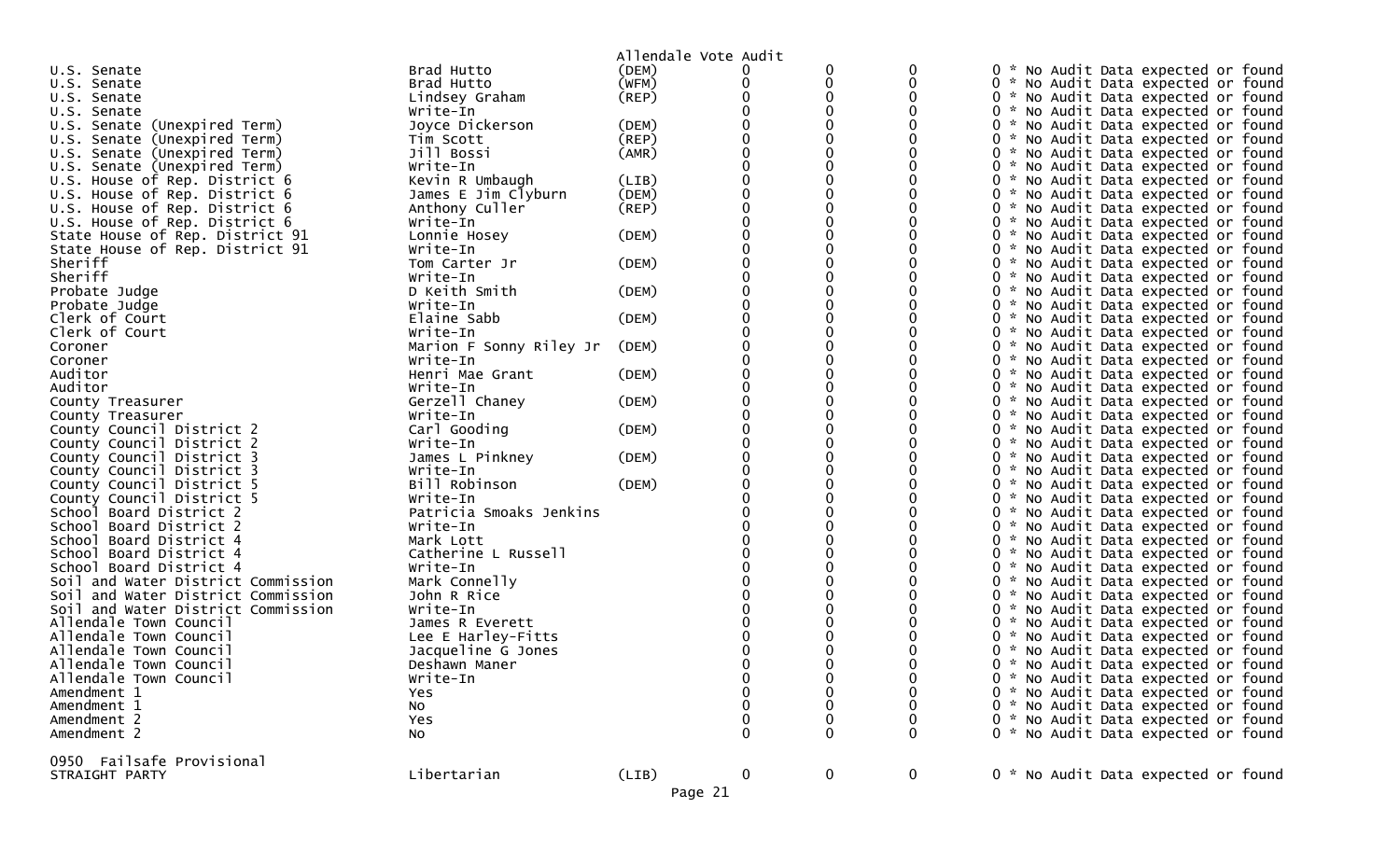|                                    |                         | Allendale Vote Audit |   |             |             |                                                  |
|------------------------------------|-------------------------|----------------------|---|-------------|-------------|--------------------------------------------------|
| U.S. Senate                        | Brad Hutto              | (DEM)                | 0 |             |             | 0<br>No Audit Data expected or found             |
| U.S. Senate                        | Brad Hutto              | (WFM)                |   |             |             | 0 * No Audit Data expected or found              |
| U.S. Senate                        | Lindsey Graham          | $($ REP $)$          |   |             |             | 0 * No Audit Data expected or found              |
| U.S. Senate                        | Write-In                |                      |   |             |             | 0 * No Audit Data expected or found              |
| U.S. Senate (Unexpired Term)       | Joyce Dickerson         | (DEM)                |   |             |             | 0 * No Audit Data expected or found              |
| U.S. Senate (Unexpired Term)       | Tim Scott               | (REP)                |   |             |             | 0 * No Audit Data expected or found              |
| U.S. Senate (Unexpired Term)       | Jill Bossi              | (AMR)                |   |             |             | 0 * No Audit Data expected or found              |
| U.S. Senate (Unexpired Term)       | Write-In                |                      |   |             |             | 0 * No Audit Data expected or found              |
| U.S. House of Rep. District 6      | Kevin R Umbaugh         | (LIB)                |   |             |             | 0 * No Audit Data expected or found              |
| U.S. House of Rep. District 6      | James E Jim Clyburn     | (DEM)                |   |             |             | 0 * No Audit Data expected or found              |
| U.S. House of Rep. District 6      | Anthony Culler          | (REP)                |   |             |             | 0 * No Audit Data expected or found              |
| U.S. House of Rep. District 6      | Write-In                |                      |   |             |             | 0 * No Audit Data expected or found              |
| State House of Rep. District 91    | Lonnie Hosey            | (DEM)                |   |             |             | 0 * No Audit Data expected or found              |
| State House of Rep. District 91    | Write-In                |                      |   |             |             | 0 * No Audit Data expected or found              |
| Sheriff                            | Tom Carter Jr           | (DEM)                |   |             |             | 0 * No Audit Data expected or found              |
| Sheriff                            | Write-In                |                      |   |             |             | 0 * No Audit Data expected or found              |
| Probate Judge                      | D Keith Smith           | (DEM)                |   |             |             | 0 * No Audit Data expected or found              |
| Probate Judge                      | Write-In                |                      |   |             |             | 0 * No Audit Data expected or found              |
| Clerk of Court                     | Elaine Sabb             | (DEM)                |   |             |             | 0 * No Audit Data expected or found              |
| Clerk of Court                     | Write-In                |                      |   |             |             | 0 * No Audit Data expected or found              |
| Coroner                            | Marion F Sonny Riley Jr | (DEM)                |   |             |             | 0 * No Audit Data expected or found              |
| Coroner                            | Write-In                |                      |   |             |             | 0 * No Audit Data expected or found              |
| Auditor                            | Henri Mae Grant         | (DEM)                |   |             |             | 0 * No Audit Data expected or found              |
| Auditor                            | Write-In                |                      |   |             |             | 0 * No Audit Data expected or found              |
| County Treasurer                   | Gerzell Chaney          | (DEM)                |   |             |             | 0 * No Audit Data expected or found              |
| County Treasurer                   | Write-In                |                      |   |             |             | 0 * No Audit Data expected or found              |
| County Council District 2          | Carl Gooding            | (DEM)                |   |             |             | 0 * No Audit Data expected or found              |
| County Council District 2          | Write-In                |                      |   |             |             | 0 * No Audit Data expected or found              |
| County Council District 3          | James L Pinkney         | (DEM)                |   |             |             | 0 * No Audit Data expected or found              |
| County Council District 3          | Write-In                |                      |   |             |             | 0 * No Audit Data expected or found              |
| County Council District 5          | Bill Robinson           | (DEM)                |   |             |             | 0 * No Audit Data expected or found              |
| County Council District 5          | Write-In                |                      |   |             |             | 0 * No Audit Data expected or found              |
| School Board District 2            | Patricia Smoaks Jenkins |                      |   |             |             | 0 * No Audit Data expected or found              |
| School Board District 2            | Write-In                |                      |   |             |             | 0 * No Audit Data expected or found              |
| Board District 4<br>School         | Mark Lott               |                      |   |             |             | 0 * No Audit Data expected or found              |
| School Board District 4            | Catherine L Russell     |                      |   |             |             | 0 * No Audit Data expected or found              |
| School Board District 4            | Write-In                |                      |   |             |             | 0 *<br>No Audit Data expected or found           |
| Soil and Water District Commission | Mark Connelly           |                      |   |             |             | 0 * No Audit Data expected or found              |
| Soil and Water District Commission | John R Rice             |                      |   |             |             | 0 * No Audit Data expected or found              |
| Soil and Water District Commission | Write-In                |                      |   |             |             | 0 * No Audit Data expected or found              |
| Allendale Town Council             | James R Everett         |                      |   |             |             | 0 * No Audit Data expected or found              |
| Allendale Town Council             | Lee E Harley-Fitts      |                      |   |             |             | 0 * No Audit Data expected or found              |
| Allendale Town Council             | Jacqueline G Jones      |                      |   |             |             | 0<br>No Audit Data expected or found<br><b>W</b> |
| Allendale Town Council             | Deshawn Maner           |                      |   |             |             | 0 * No Audit Data expected or found              |
| Allendale Town Council             | Write-In                |                      |   |             | 0           | 0 * No Audit Data expected or found              |
| Amendment 1                        | Yes                     |                      |   |             | 0           | 0 * No Audit Data expected or found              |
| Amendment 1                        | No                      |                      |   |             |             | 0 * No Audit Data expected or found              |
| Amendment 2                        | Yes                     |                      |   | 0           |             | 0 * No Audit Data expected or found              |
| Amendment 2                        | No                      |                      | 0 | 0           | 0           | 0 * No Audit Data expected or found              |
| 0950 Failsafe Provisional          |                         |                      |   |             |             |                                                  |
| STRAIGHT PARTY                     | Libertarian             | (LIB)                | 0 | $\mathbf 0$ | $\mathbf 0$ | 0 * No Audit Data expected or found              |
|                                    |                         | Page 21              |   |             |             |                                                  |
|                                    |                         |                      |   |             |             |                                                  |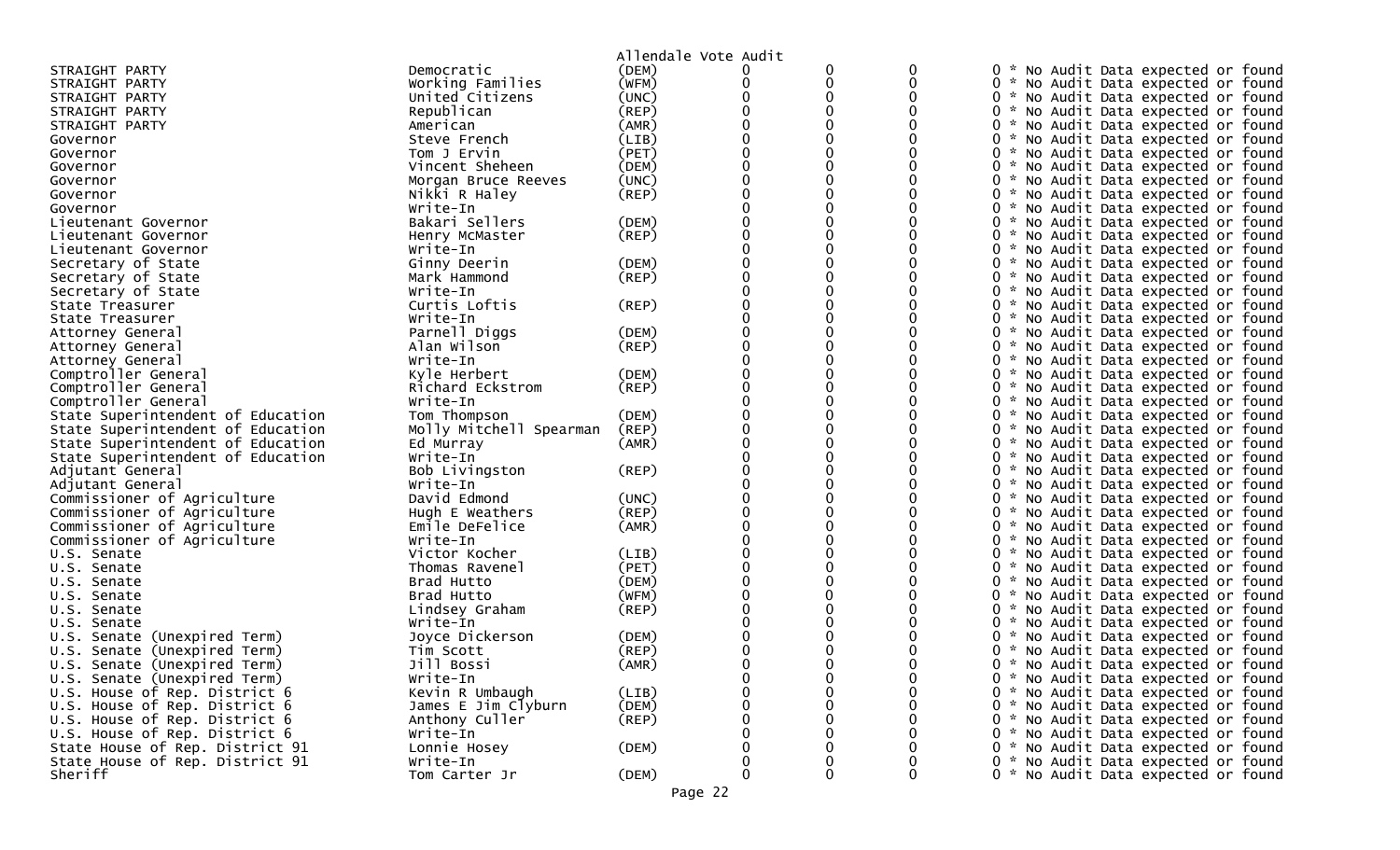|                                                              |                              | Allendale Vote Audit |             |   |             |                                                                               |
|--------------------------------------------------------------|------------------------------|----------------------|-------------|---|-------------|-------------------------------------------------------------------------------|
| STRAIGHT PARTY                                               | Democratic                   | (DEM)                |             | 0 |             | 0 * No Audit Data expected or found                                           |
| STRAIGHT PARTY                                               | Working Families             | (WFM)                | 0           | 0 |             | 0 * No Audit Data expected or found                                           |
| STRAIGHT PARTY                                               | United Citizens              | (UNC)                |             |   |             | 0 * No Audit Data expected or found                                           |
| STRAIGHT PARTY                                               | Republican                   | (REP)                |             |   |             | 0 * No Audit Data expected or found                                           |
| STRAIGHT PARTY                                               | American                     | (AMR)                |             |   |             | 0 * No Audit Data expected or found                                           |
| Governor                                                     | Steve French                 | (LIB)                |             |   |             | 0 * No Audit Data expected or found                                           |
| Governor                                                     | Tom J Ervin                  | (PET)                |             |   |             | 0 * No Audit Data expected or found                                           |
| Governor                                                     | Vincent Sheheen              | (DEM)                |             |   |             | 0 * No Audit Data expected or found                                           |
| Governor                                                     | Morgan Bruce Reeves          | (UNC)                |             |   |             | 0 * No Audit Data expected or found                                           |
| Governor                                                     | Nikki R Haley                | (REP)                |             |   |             | 0 * No Audit Data expected or found                                           |
| Governor                                                     | Write-In                     |                      |             |   |             | 0 * No Audit Data expected or found                                           |
| Lieutenant Governor                                          | Bakari Sellers               | (DEM)                |             |   |             | 0 * No Audit Data expected or found                                           |
| Lieutenant Governor                                          | Henry McMaster               | $($ REP $)$          |             |   |             | 0 * No Audit Data expected or found                                           |
| Lieutenant Governor                                          | Write-In                     |                      |             |   |             | 0 * No Audit Data expected or found                                           |
| Secretary of State                                           | Ginny Deerin                 | (DEM)                |             |   |             | 0 * No Audit Data expected or found                                           |
| Secretary of State                                           | Mark Hammond                 | $($ REP $)$          |             |   |             | 0 * No Audit Data expected or found                                           |
| Secretary of State                                           | Write-In                     |                      |             |   |             | 0 * No Audit Data expected or found                                           |
| State Treasurer                                              | Curtis Loftis                | (REP)                |             |   |             | 0 * No Audit Data expected or found                                           |
| State Treasurer                                              | Write-In                     |                      |             |   |             | 0 * No Audit Data expected or found                                           |
| Attorney General                                             | Parnell Diggs                | (DEM)                |             |   |             | 0 * No Audit Data expected or found                                           |
| Attorney General                                             | Alan Wilson                  | (REP)                |             |   |             | 0 * No Audit Data expected or found                                           |
| Attorney General                                             | Write-In                     |                      |             |   |             | 0 * No Audit Data expected or found                                           |
| Comptroller General                                          | Kyle Herbert                 | (DEM)                |             |   |             | 0 * No Audit Data expected or found                                           |
| Comptroller General                                          | Richard Eckstrom             | (REP)                |             |   |             | 0 * No Audit Data expected or found                                           |
| Comptroller General                                          | Write-In                     |                      |             |   |             | 0 * No Audit Data expected or found                                           |
| State Superintendent of Education                            | Tom Thompson                 | (DEM)                |             |   |             | 0 * No Audit Data expected or found                                           |
| State Superintendent of Education                            | Molly Mitchell Spearman      | (REP)                |             |   |             | 0 * No Audit Data expected or found                                           |
| State Superintendent of Education                            | Ed Murray                    | (AMR)                |             |   |             | 0 * No Audit Data expected or found                                           |
| State Superintendent of Education                            | Write-In                     |                      |             |   |             | 0 * No Audit Data expected or found                                           |
| Adjutant General                                             | Bob Livingston               | $($ REP $)$          |             |   |             | 0 * No Audit Data expected or found                                           |
| Adjutant General                                             | Write-In                     |                      |             |   |             | $\Omega$<br>* No Audit Data expected or found                                 |
| Commissioner of Agriculture                                  | David Edmond                 | (UNC)                |             |   |             | 0 * No Audit Data expected or found                                           |
| Commissioner of Agriculture                                  | Hugh E Weathers              | (REP)                |             |   |             | 0 * No Audit Data expected or found                                           |
| Commissioner of Agriculture                                  | Emile DeFelice               | (AMR)                |             |   |             | 0 * No Audit Data expected or found                                           |
| Commissioner of Agriculture                                  | Write-In                     |                      |             |   |             | 0 * No Audit Data expected or found                                           |
| U.S. Senate                                                  | Victor Kocher                | (LIB)                |             |   |             | 0 * No Audit Data expected or found                                           |
| U.S. Senate                                                  | Thomas Ravenel               | (PET)                |             |   |             | 0 * No Audit Data expected or found                                           |
| U.S. Senate                                                  | Brad Hutto                   | (DEM)                |             |   |             | 0 * No Audit Data expected or found                                           |
| U.S. Senate                                                  | Brad Hutto                   | (WFM)                |             |   |             | 0 * No Audit Data expected or found                                           |
| U.S. Senate                                                  | Lindsey Graham               | (REP)                |             |   |             | 0 * No Audit Data expected or found                                           |
| U.S. Senate                                                  | Write-In                     | (DEM)                |             |   |             | 0 * No Audit Data expected or found<br>0<br>* No Audit Data expected or found |
| U.S. Senate (Unexpired Term)                                 | Joyce Dickerson<br>Tim Scott | (REP)                |             |   |             |                                                                               |
| U.S. Senate (Unexpired Term)<br>U.S. Senate (Unexpired Term) | Jill Bossi                   | (AMR)                | $\Omega$    |   |             | 0 * No Audit Data expected or found<br>0 * No Audit Data expected or found    |
| U.S. Senate (Unexpired Term)                                 | Write-In                     |                      | 0           |   | 0           | 0 * No Audit Data expected or found                                           |
| U.S. House of Rep. District 6                                | Kevin R Umbaugh              | (LIB)                |             |   | 0           | 0 * No Audit Data expected or found                                           |
| U.S. House of Rep. District 6                                | James E Jim Clyburn          | (DEM)                |             |   |             | 0 * No Audit Data expected or found                                           |
| U.S. House of Rep. District 6                                | Anthony Culler               | $($ REP $)$          |             |   |             | 0 * No Audit Data expected or found                                           |
| U.S. House of Rep. District 6                                | Write-In                     |                      |             |   |             | 0 * No Audit Data expected or found                                           |
| State House of Rep. District 91                              | Lonnie Hosey                 | (DEM)                |             |   |             | 0 * No Audit Data expected or found                                           |
| State House of Rep. District 91                              | Write-In                     |                      | 0           |   | 0           | 0 * No Audit Data expected or found                                           |
| Sheriff                                                      | Tom Carter Jr                | (DEM)                | $\mathbf 0$ | 0 | $\mathbf 0$ | 0 * No Audit Data expected or found                                           |
|                                                              |                              |                      |             |   |             |                                                                               |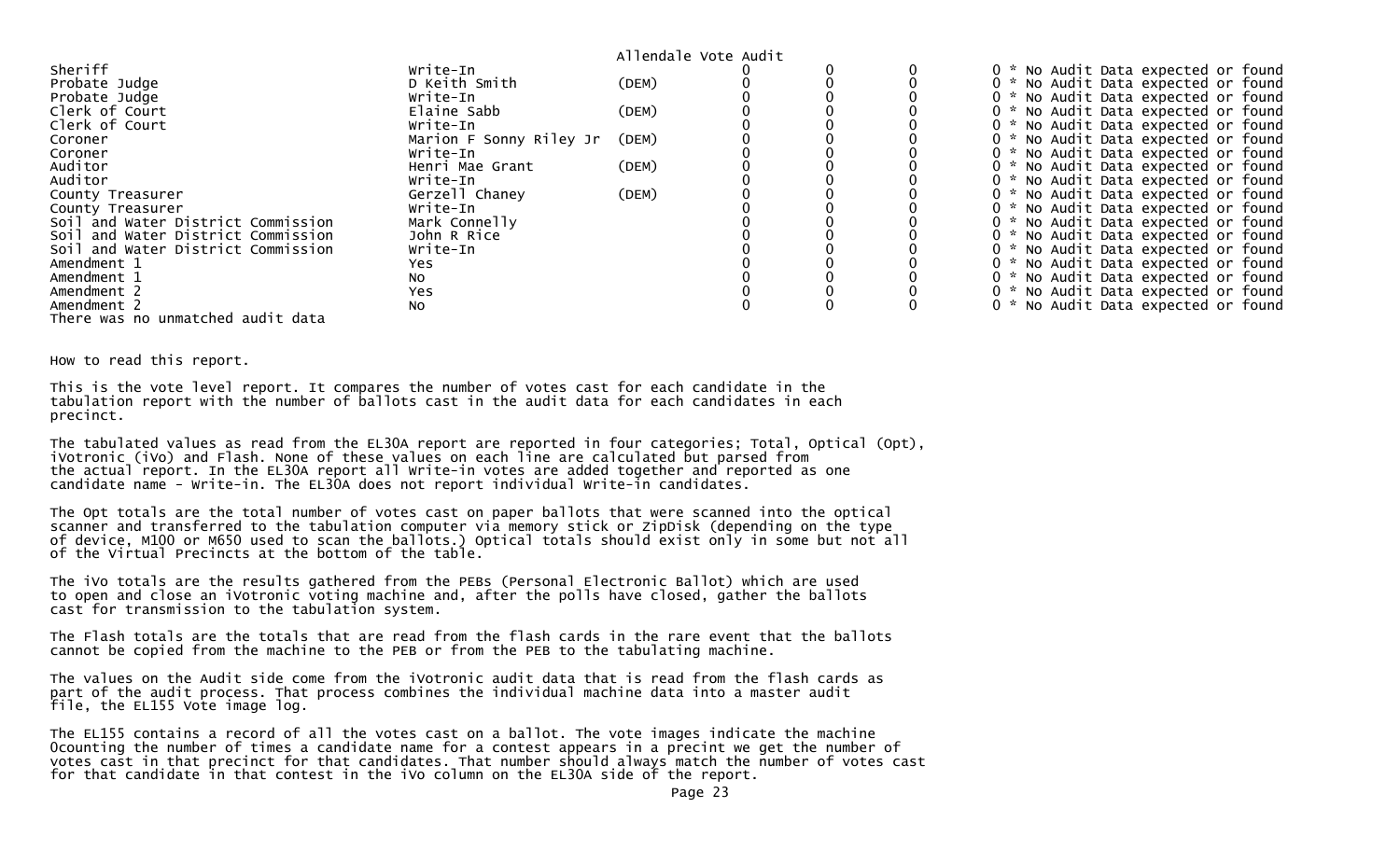|                                    |                         | Allendale Vote Audit |  |                                          |
|------------------------------------|-------------------------|----------------------|--|------------------------------------------|
| Sheriff                            | Write-In                |                      |  | 0 * No Audit Data expected or found      |
| Probate Judge                      | D Keith Smith           | (DEM)                |  | 0 * No Audit Data expected or found      |
| Probate Judge                      | Write-In                |                      |  | 0 * No Audit Data expected or found      |
| Clerk of Court                     | Elaine Sabb             | (DEM)                |  | No Audit Data expected or found          |
| Clerk of Court                     | Write-In                |                      |  | No Audit Data expected or found<br>$0 *$ |
| Coroner                            | Marion F Sonny Riley Jr | (DEM)                |  | 0 * No Audit Data expected or found      |
| Coroner                            | Write-In                |                      |  | No Audit Data expected or found<br>$0 *$ |
| Auditor                            | Henri Mae Grant         | (DEM)                |  | 0 * No Audit Data expected or found      |
| Auditor                            | Write-In                |                      |  | 0 * No Audit Data expected or found      |
| County Treasurer                   | Gerzell Chaney          | (DEM)                |  | No Audit Data expected or found<br>$0 *$ |
| County Treasurer                   | Write-In                |                      |  | 0 * No Audit Data expected or found      |
| Soil and Water District Commission | Mark Connelly           |                      |  | No Audit Data expected or found<br>0 *   |
| Soil and Water District Commission | John R Rice             |                      |  | No Audit Data expected or found<br>$0 *$ |
| Soil and Water District Commission | Write-In                |                      |  | No Audit Data expected or found          |
| Amendment 1                        | Yes                     |                      |  | No Audit Data expected or found          |
| Amendment 1                        | NO.                     |                      |  | 0 * No Audit Data expected or found      |
| Amendment 2                        | Yes                     |                      |  | 0 * No Audit Data expected or found      |
| Amendment 2                        | No                      |                      |  | 0 * No Audit Data expected or found      |
| There was no unmatched audit data  |                         |                      |  |                                          |

How to read this report.

This is the vote level report. It compares the number of votes cast for each candidate in the tabulation report with the number of ballots cast in the audit data for each candidates in each precinct.

The tabulated values as read from the EL30A report are reported in four categories; Total, Optical (Opt), iVotronic (iVo) and Flash. None of these values on each line are calculated but parsed from the actual report. In the EL30A report all Write-in votes are added together and reported as one candidate name - Write-in. The EL30A does not report individual Write-in candidates.

The Opt totals are the total number of votes cast on paper ballots that were scanned into the optical scanner and transferred to the tabulation computer via memory stick or ZipDisk (depending on the type of device, M100 or M650 used to scan the ballots.) Optical totals should exist only in some but not all of the Virtual Precincts at the bottom of the table.

The iVo totals are the results gathered from the PEBs (Personal Electronic Ballot) which are used to open and close an iVotronic voting machine and, after the polls have closed, gather the ballots cast for transmission to the tabulation system.

The Flash totals are the totals that are read from the flash cards in the rare event that the ballots cannot be copied from the machine to the PEB or from the PEB to the tabulating machine.

The values on the Audit side come from the iVotronic audit data that is read from the flash cards as part of the audit process. That process combines the individual machine data into a master audit file, the EL155 Vote image log.

The EL155 contains a record of all the votes cast on a ballot. The vote images indicate the machine 0counting the number of times a candidate name for a contest appears in a precint we get the number of votes cast in that precinct for that candidates. That number should always match the number of votes cast for that candidate in that contest in the iVo column on the EL30A side of the report.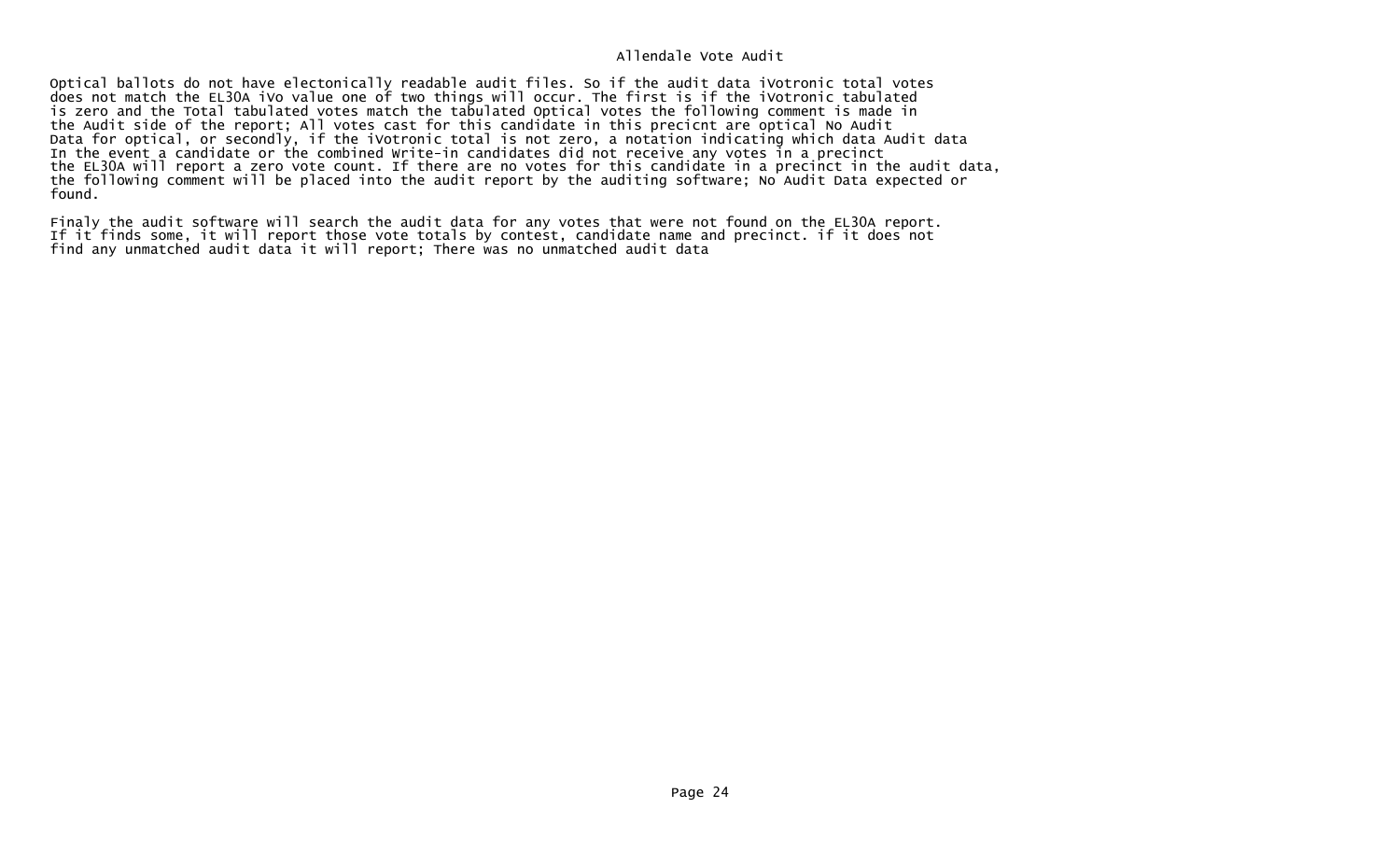Optical ballots do not have electonically readable audit files. So if the audit data iVotronic total votes does not match the EL30A iVo value one of two things will occur. The first is if the iVotronic tabulated is zero and the Total tabulated votes match the tabulated Optical votes the following comment is made in the Audit side of the report; All votes cast for this candidate in this precicnt are optical No Audit Data for optical, or secondly, if the iVotronic total is not zero, a notation indicating which data Audit data In the event a candidate or the combined Write-in candidates did not receive any votes in a precinct the EL30A will report a zero vote count. If there are no votes for this candidate in a precinct in the audit data, the following comment will be placed into the audit report by the auditing software; No Audit Data expected or found.

Finaly the audit software will search the audit data for any votes that were not found on the EL30A report. If it finds some, it will report those vote totals by contest, candidate name and precinct. if it does not find any unmatched audit data it will report; There was no unmatched audit data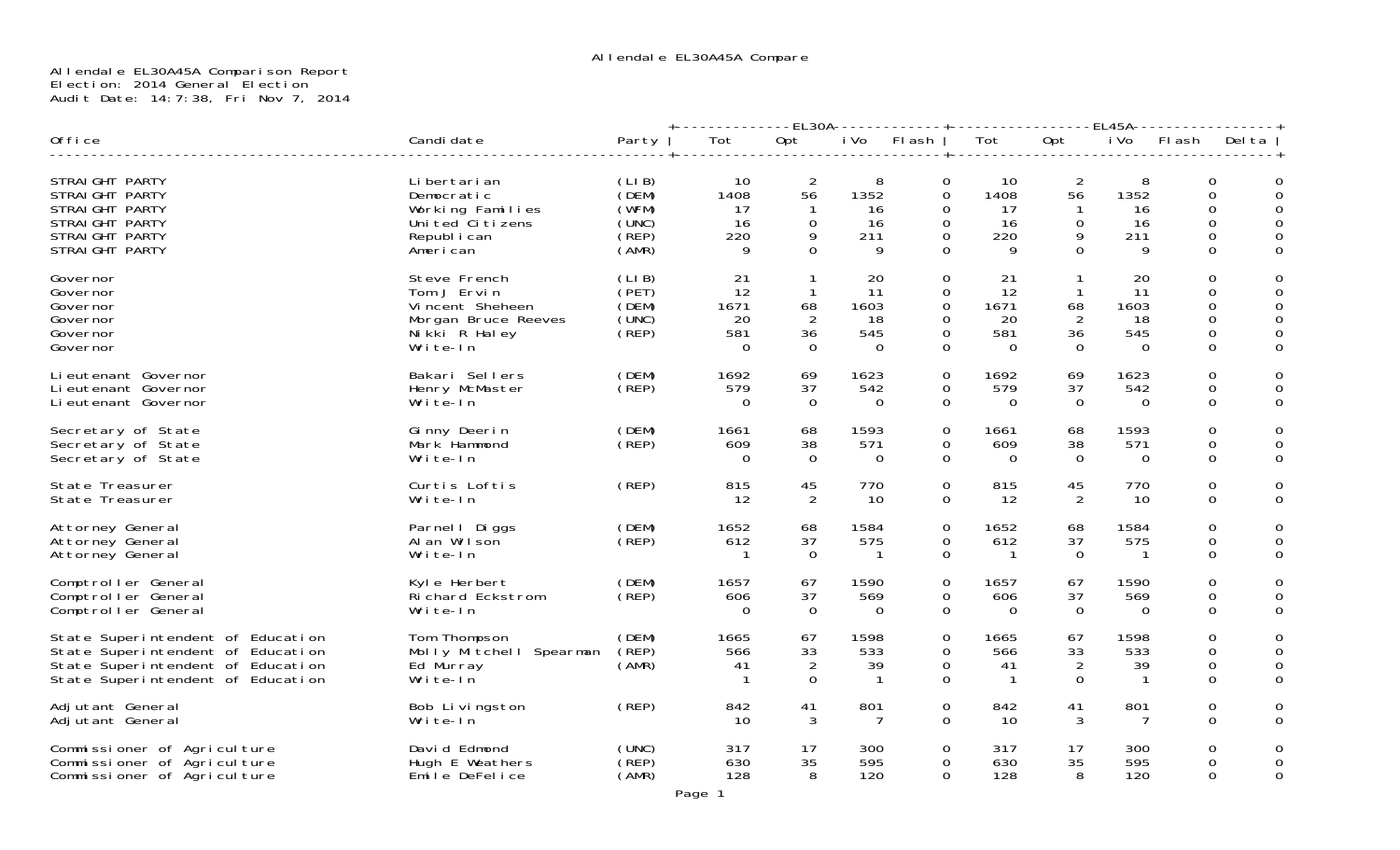# Allendale EL30A45A Comparison Report Election: 2014 General Election Audit Date: 14:7:38, Fri Nov 7, 2014

|                                                                                                                                                  |                                                                                                    |                                                    | -EL30A-------------+<br><b>EL45A-</b>     |                                                      |                                           |                                                                                  |                                            |                                                          |                                             |                                                                         |                                   |
|--------------------------------------------------------------------------------------------------------------------------------------------------|----------------------------------------------------------------------------------------------------|----------------------------------------------------|-------------------------------------------|------------------------------------------------------|-------------------------------------------|----------------------------------------------------------------------------------|--------------------------------------------|----------------------------------------------------------|---------------------------------------------|-------------------------------------------------------------------------|-----------------------------------|
| Office                                                                                                                                           | Candi date                                                                                         | Party                                              | Tot                                       | Opt                                                  | i Vo                                      | FI ash                                                                           | Tot                                        | Opt                                                      | i Vo                                        | FI ash                                                                  | Del ta                            |
| STRAIGHT PARTY<br>STRAIGHT PARTY<br>STRAIGHT PARTY<br>STRAIGHT PARTY<br>STRAIGHT PARTY<br>STRAIGHT PARTY                                         | Li bertari an<br>Democratic<br>Working Families<br>United Citizens<br>Republ i can<br>American     | (LIB)<br>(DEM)<br>(WFM)<br>(UNC)<br>(REP)<br>(AMR) | 10<br>1408<br>17<br>16<br>220<br>9        | 2<br>56<br>$\Omega$<br>9<br>$\Omega$                 | 8<br>1352<br>16<br>16<br>211<br>9         | 0<br>0<br>0<br>$\Omega$<br>$\mathbf{O}$<br>$\Omega$                              | 10<br>1408<br>17<br>16<br>220<br>9         | 2<br>56<br>$\mathbf{1}$<br>$\Omega$<br>9<br>$\Omega$     | 8<br>1352<br>16<br>-16<br>211<br>9          | $\Omega$<br>$\Omega$<br>0<br>$\Omega$<br>0<br>$\Omega$                  | 0<br>$\Omega$<br>0<br>0<br>0      |
| Governor<br>Governor<br>Governor<br>Governor<br>Governor<br>Governor                                                                             | Steve French<br>Tom J Ervin<br>Vincent Sheheen<br>Morgan Bruce Reeves<br>Nikki R Haley<br>Write-In | (LIB)<br>(PET)<br>(DEM)<br>(UNC)<br>$($ REP $)$    | 21<br>12<br>1671<br>20<br>581<br>$\Omega$ | $\mathbf{1}$<br>$\mathbf{1}$<br>68<br>36<br>$\Omega$ | 20<br>11<br>1603<br>18<br>545<br>$\Omega$ | $\Omega$<br>$\mathbf 0$<br>$\overline{0}$<br>$\Omega$<br>$\mathbf 0$<br>$\Omega$ | 21<br>12<br>1671<br>-20<br>581<br>$\Omega$ | $\mathbf 1$<br>$\mathbf{1}$<br>68<br>2<br>36<br>$\Omega$ | 20<br>-11<br>1603<br>-18<br>545<br>$\Omega$ | $\Omega$<br>$\Omega$<br>$\Omega$<br>$\Omega$<br>$\mathbf 0$<br>$\Omega$ | 0<br>0<br>0<br>0<br>0<br>$\Omega$ |
| Lieutenant Governor<br>Li eutenant Governor<br>Li eutenant Governor                                                                              | Bakari Sellers<br>Henry McMaster<br>Write-In                                                       | (DEM)<br>(REP)                                     | 1692<br>579<br>$\Omega$                   | 69<br>37<br>$\Omega$                                 | 1623<br>542<br>$\Omega$                   | $\mathbf 0$<br>0<br>$\Omega$                                                     | 1692<br>579<br>$\Omega$                    | 69<br>37<br>$\Omega$                                     | 1623<br>542<br>$\Omega$                     | $\Omega$<br>0<br>$\Omega$                                               | 0<br>$\Omega$                     |
| Secretary of State<br>Secretary of State<br>Secretary of State                                                                                   | Ginny Deerin<br>Mark Hammond<br>Write-In                                                           | (DEM)<br>(REF)                                     | 1661<br>609<br>$\Omega$                   | 68<br>38<br>$\Omega$                                 | 1593<br>571<br>$\Omega$                   | $\Omega$<br>$\Omega$<br>$\Omega$                                                 | 1661<br>609<br>$\Omega$                    | 68<br>38<br>$\Omega$                                     | 1593<br>571<br>$\Omega$                     | $\Omega$<br>$\Omega$<br>0                                               | 0<br>0<br>0                       |
| State Treasurer<br>State Treasurer                                                                                                               | Curtis Loftis<br>Write-In                                                                          | (REP)                                              | 815<br>12                                 | 45<br>$\overline{2}$                                 | 770<br>10                                 | $\mathbf 0$<br>$\Omega$                                                          | 815<br>12                                  | 45<br>2                                                  | 770<br>10                                   | 0<br>$\Omega$                                                           | 0<br>0                            |
| Attorney General<br>Attorney General<br>Attorney General                                                                                         | Parnel   Diggs<br>Al an Wilson<br>Write-In                                                         | (DEM)<br>(REF)                                     | 1652<br>612<br>-1                         | 68<br>37<br>$\Omega$                                 | 1584<br>575<br>-1                         | $\mathbf 0$<br>$\mathbf 0$<br>$\Omega$                                           | 1652<br>612<br>-1                          | 68<br>37<br>$\Omega$                                     | 1584<br>575<br>-1                           | $\Omega$<br>0<br>$\Omega$                                               | 0<br>0<br>$\Omega$                |
| Comptroller General<br>Comptroller General<br>Comptroller General                                                                                | Kyle Herbert<br>Richard Eckstrom<br>Write-In                                                       | (DEM)<br>(REP)                                     | 1657<br>606<br>$\Omega$                   | 67<br>37<br>$\Omega$                                 | 1590<br>569<br>$\Omega$                   | $\mathbf 0$<br>$\Omega$<br>$\Omega$                                              | 1657<br>606<br>$\Omega$                    | 67<br>37<br>$\Omega$                                     | 1590<br>569<br>$\Omega$                     | $\Omega$<br>$\Omega$<br>$\Omega$                                        | 0<br>0<br>0                       |
| State Superintendent of Education<br>State Superintendent of Education<br>State Superintendent of Education<br>State Superintendent of Education | Tom Thompson<br>Molly Mitchell Spearman<br>Ed Murray<br>Write-In                                   | (DEM)<br>(REF)<br>(AMR)                            | 1665<br>566<br>41                         | 67<br>33<br>2<br>$\Omega$                            | 1598<br>533<br>39<br>-1                   | $\mathbf 0$<br>$\Omega$<br>$\mathbf 0$<br>$\Omega$                               | 1665<br>566<br>41<br>$\mathbf{1}$          | 67<br>33<br>2<br>$\Omega$                                | 1598<br>533<br>39<br>-1                     | 0<br>$\Omega$<br>$\mathbf 0$<br>$\Omega$                                | 0<br>$\Omega$<br>0<br>0           |
| Adjutant General<br>Adjutant General                                                                                                             | Bob Livingston<br>Write-In                                                                         | (REP)                                              | 842<br>10                                 | 41<br>3                                              | 801<br>7                                  | $\mathbf 0$<br>$\Omega$                                                          | 842<br>10                                  | 41<br>3                                                  | 801<br>-7                                   | 0<br>$\Omega$                                                           | 0<br>0                            |
| Commissioner of Agriculture<br>Commissioner of Agriculture<br>Commissioner of Agriculture                                                        | David Edmond<br>Hugh E Weathers<br>Emile DeFelice                                                  | (UNC)<br>(REF)<br>$(\overline{AMR})$               | 317<br>630<br>128                         | 17<br>35<br>8                                        | 300<br>595<br>120                         | $\mathbf 0$<br>$\mathbf 0$<br>$\Omega$                                           | 317<br>630<br>128                          | 17<br>35<br>8                                            | 300<br>595<br>120                           | $\Omega$<br>0<br>$\Omega$                                               | 0<br>0<br>0                       |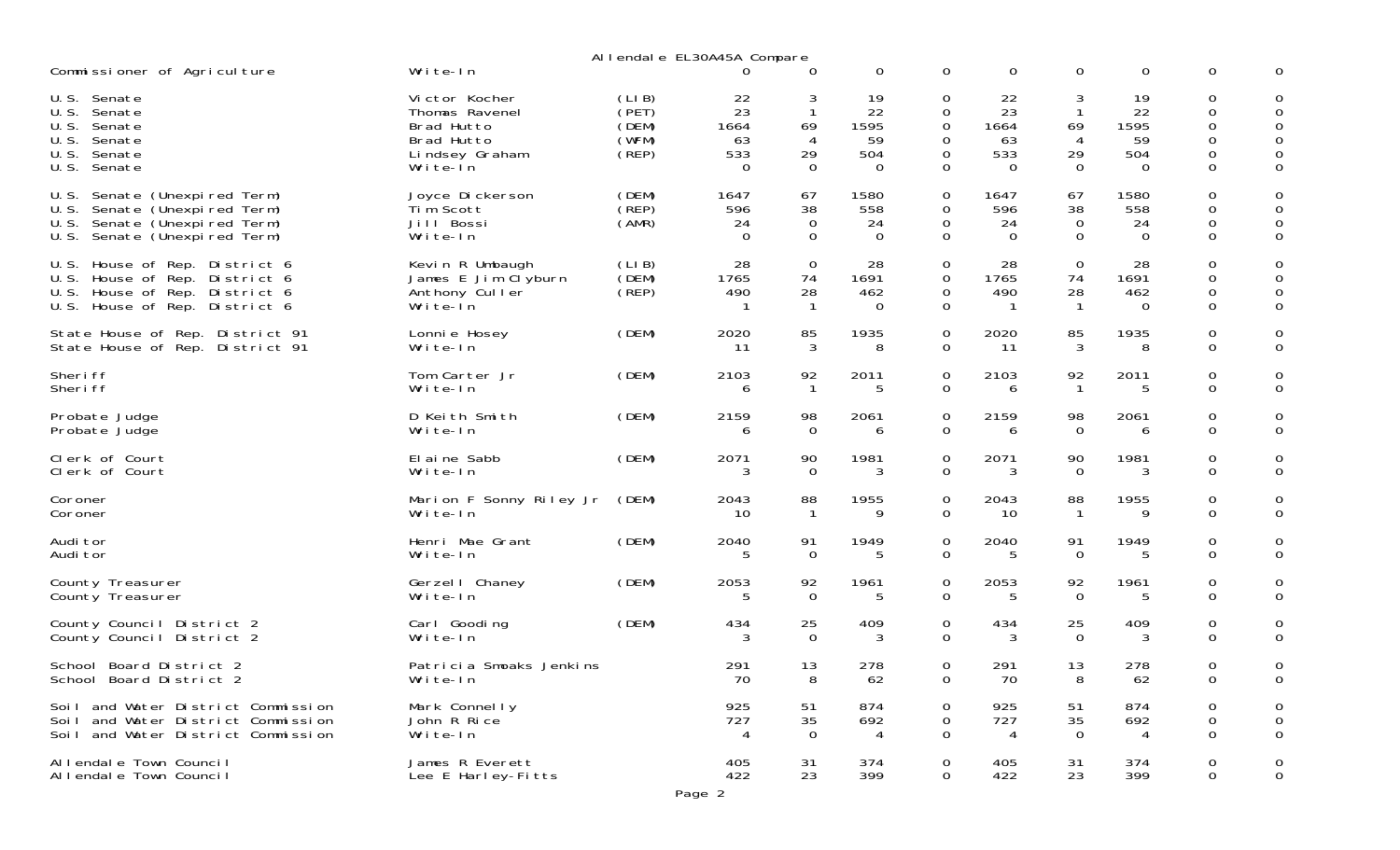| Commissioner of Agriculture                                                                                                               | Write-In                                                                                  |                                           | Allendale EL30A45A Compare                | 0                                       | 0                                         | $\mathbf 0$                                 | $\mathbf 0$                               | 0                                   | 0                                  | 0                                         | 0                               |
|-------------------------------------------------------------------------------------------------------------------------------------------|-------------------------------------------------------------------------------------------|-------------------------------------------|-------------------------------------------|-----------------------------------------|-------------------------------------------|---------------------------------------------|-------------------------------------------|-------------------------------------|------------------------------------|-------------------------------------------|---------------------------------|
| Senate<br>U.S.<br>U.S.<br>Senate<br>U.S.<br>Senate<br>U.S.<br>Senate<br>U.S.<br>Senate<br>U.S.<br>Senate                                  | Victor Kocher<br>Thomas Ravenel<br>Brad Hutto<br>Brad Hutto<br>Lindsey Graham<br>Write-In | (LIB)<br>(PET)<br>(DEM)<br>(WFM)<br>(REF) | 22<br>23<br>1664<br>63<br>533<br>$\Omega$ | 3<br>$\mathbf{1}$<br>69<br>4<br>29<br>0 | 19<br>22<br>1595<br>59<br>504<br>$\Omega$ | 0<br>0<br>$\mathbf 0$<br>0<br>0<br>0        | 22<br>23<br>1664<br>63<br>533<br>$\Omega$ | 3<br>1<br>69<br>4<br>29<br>$\Omega$ | 19<br>22<br>1595<br>59<br>504<br>0 | 0<br>0<br>$\boldsymbol{0}$<br>0<br>0<br>0 | 0<br>0<br>0<br>0<br>0           |
| Senate (Unexpired Term)<br>U.S.<br>U.S.<br>Senate (Unexpired Term)<br>Senate (Unexpired Term)<br>U.S.<br>U.S.<br>Senate (Unexpired Term)  | Joyce Dickerson<br>Tim Scott<br>Jill Bossi<br>Write-In                                    | (DEM)<br>(REP)<br>(AMR)                   | 1647<br>596<br>24<br>$\Omega$             | 67<br>38<br>0<br>$\Omega$               | 1580<br>558<br>24<br>0                    | 0<br>$\mathbf 0$<br>0<br>$\Omega$           | 1647<br>596<br>24<br>$\Omega$             | 67<br>38<br>0<br>$\Omega$           | 1580<br>558<br>24<br>$\Omega$      | 0<br>0<br>0<br>$\overline{O}$             | 0<br>0<br>$\mathsf 0$           |
| House of Rep. District 6<br>U.S.<br>U.S.<br>House of Rep. District 6<br>U.S.<br>House of Rep. District 6<br>U.S. House of Rep. District 6 | Kevin R Umbaugh<br>James E Jim Clyburn<br>Anthony Culler<br>Write-In                      | (LIB)<br>(DEM)<br>(REP)                   | 28<br>1765<br>490                         | $\mathbf 0$<br>74<br>28<br>$\mathbf{1}$ | 28<br>1691<br>462<br>0                    | 0<br>$\mathbf 0$<br>$\mathbf 0$<br>$\Omega$ | 28<br>1765<br>490                         | 0<br>74<br>28                       | 28<br>1691<br>462<br>0             | 0<br>0<br>0<br>$\Omega$                   | 0<br>0<br>$\mathbf 0$           |
| State House of Rep. District 91<br>State House of Rep. District 91                                                                        | Lonni e Hosey<br>Write-In                                                                 | (DEM)                                     | 2020<br>11                                | 85<br>3                                 | 1935<br>8                                 | 0<br>0                                      | 2020<br>11                                | 85<br>3                             | 1935<br>8                          | 0<br>0                                    | 0<br>0                          |
| Sheri ff<br>Sheri ff                                                                                                                      | Tom Carter Jr<br>Write-In                                                                 | (DEM)                                     | 2103<br><sub>6</sub>                      | 92<br>$\mathbf{1}$                      | 2011<br>.5                                | $\mathbf 0$<br>$\mathbf 0$                  | 2103<br>6                                 | 92<br>-1                            | 2011<br>5                          | 0<br>$\Omega$                             | 0<br>$\mathbf 0$                |
| Probate Judge<br>Probate Judge                                                                                                            | D Keith Smith<br>Write-In                                                                 | (DEM)                                     | 2159<br>6                                 | 98<br>0                                 | 2061<br>6                                 | $\mathbf 0$<br>$\mathbf 0$                  | 2159<br>6                                 | 98<br>$\Omega$                      | 2061<br>6                          | 0<br>$\Omega$                             | 0<br>$\mathbf 0$                |
| Clerk of Court<br>Clerk of Court                                                                                                          | El ai ne Sabb<br>Write-In                                                                 | (DEM)                                     | 2071                                      | 90<br>$\Omega$                          | 1981<br>3                                 | $\mathbf 0$<br>$\Omega$                     | 2071<br>3                                 | 90<br>$\Omega$                      | 1981<br>3                          | 0<br>$\Omega$                             | 0<br>$\mathbf 0$                |
| Coroner<br>Coroner                                                                                                                        | Marion F Sonny Riley Jr<br>Write-In                                                       | (DEM)                                     | 2043<br>10                                | 88<br>$\mathbf{1}$                      | 1955<br>q                                 | $\mathbf 0$<br>$\mathbf 0$                  | 2043<br>10                                | 88                                  | 1955<br>q                          | 0<br>$\mathbf{O}$                         | 0<br>$\mathbf{O}$               |
| Audi tor<br>Audi tor                                                                                                                      | Henri Mae Grant<br>Write-In                                                               | (DEM)                                     | 2040<br>5                                 | 91<br>$\Omega$                          | 1949<br>.5                                | $\mathbf 0$<br>$\Omega$                     | 2040                                      | 91<br>$\Omega$                      | 1949<br>5                          | 0<br>$\Omega$                             | 0<br>$\mathbf 0$                |
| County Treasurer<br>County Treasurer                                                                                                      | Gerzel I Chaney<br>Write-In                                                               | (DEM)                                     | 2053                                      | 92<br>$\Omega$                          | 1961<br>5                                 | 0<br>$\overline{0}$                         | 2053                                      | 92<br>$\Omega$                      | 1961<br>.5                         | 0<br>$\overline{O}$                       | 0<br>$\mathbf{O}$               |
| County Council District 2<br>County Council District 2                                                                                    | Carl Gooding<br>Write-In                                                                  | (DEM)                                     | 434                                       | 25<br>$\Omega$                          | 409<br>3                                  | $\mathbf 0$<br>$\Omega$                     | 434<br>3                                  | 25<br>$\Omega$                      | 409<br>3                           | 0<br>$\Omega$                             | 0<br>0                          |
| School Board District 2<br>School Board District 2                                                                                        | Patricia Smoaks Jenkins<br>Write-In                                                       |                                           | 291<br>70                                 | 13<br>8                                 | 278<br>62                                 | 0<br>0                                      | 291<br>70                                 | 13<br>8                             | 278<br>62                          | 0<br>0                                    | 0<br>0                          |
| Soil and Water District Commission<br>Soil and Water District Commission<br>Soil and Water District Commission                            | Mark Connelly<br>John R Rice<br>Write-In                                                  |                                           | 925<br>727<br>4                           | 51<br>35<br>$\overline{0}$              | 874<br>692<br>$\overline{4}$              | $\mathbf 0$<br>$\mathbf 0$<br>$\mathbf 0$   | 925<br>727<br>$\overline{4}$              | 51<br>35<br>$\mathbf 0$             | 874<br>692<br>$\overline{4}$       | 0<br>$\mathbf 0$<br>$\mathbf 0$           | $\mathbf 0$<br>$\mathbf 0$<br>0 |
| Allendale Town Council<br>Allendale Town Council                                                                                          | James R Everett<br>Lee E Harley-Fitts                                                     |                                           | 405<br>422                                | 31<br>23                                | 374<br>399                                | $\mathbf 0$<br>$\overline{0}$               | 405<br>422                                | 31<br>23                            | 374<br>399                         | $\mathbf 0$<br>$\mathsf{O}$               | 0<br>$\mathbf 0$                |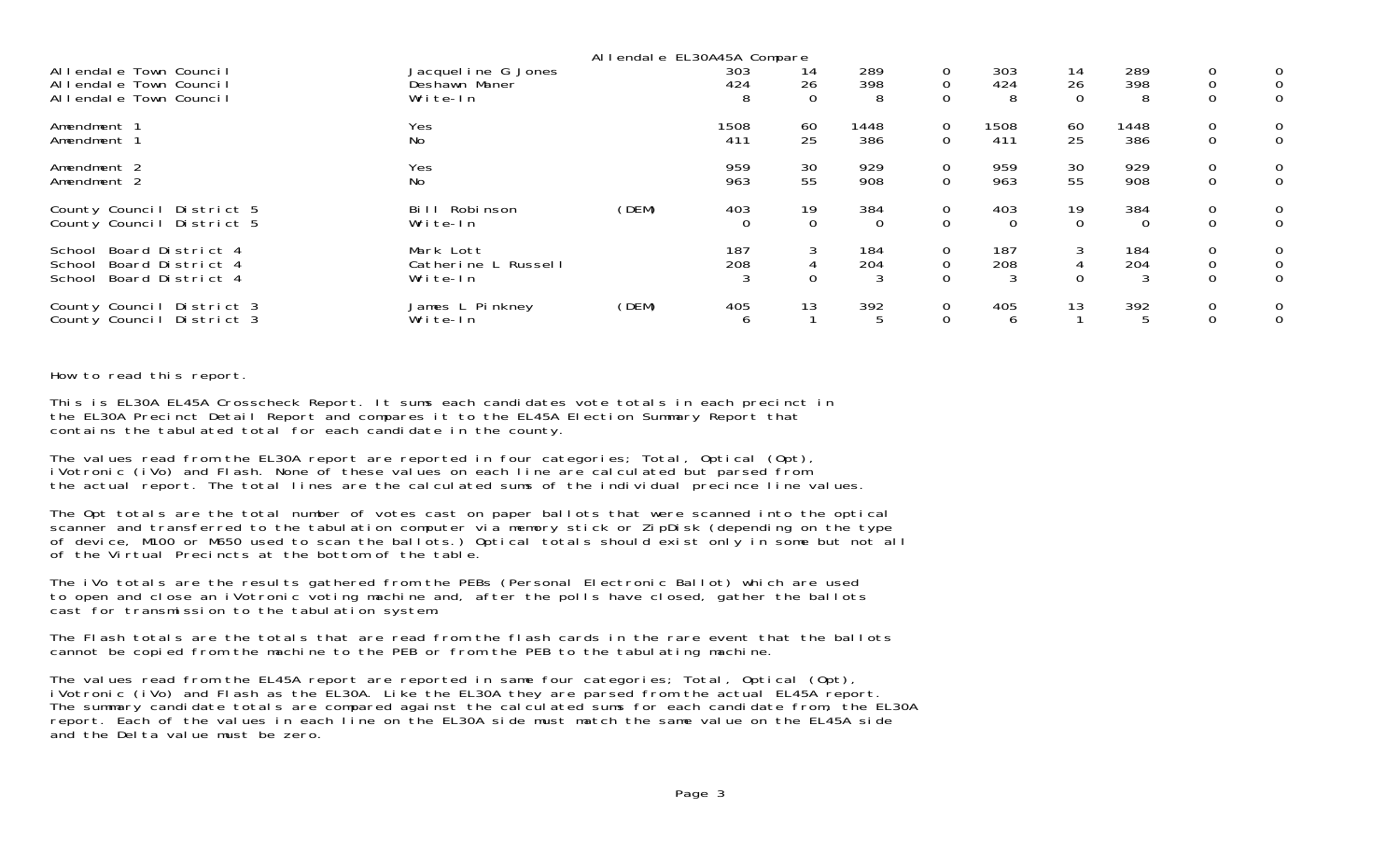|                                                                                  |                                              | Allendale EL30A45A Compare |            |             |                        |                              |                 |                |                 |                                               |                                                  |
|----------------------------------------------------------------------------------|----------------------------------------------|----------------------------|------------|-------------|------------------------|------------------------------|-----------------|----------------|-----------------|-----------------------------------------------|--------------------------------------------------|
| Allendale Town Council                                                           | Jacquel i ne G Jones                         |                            | 303        | 14          | 289                    | 0                            | 303             | 14             | 289             | $\mathbf 0$                                   | $\overline{0}$                                   |
| Allendale Town Council                                                           | Deshawn Maner                                |                            | 424        | 26          | 398                    | $\Omega$                     | 424             | 26             | 398             | $\mathbf 0$                                   | $\overline{0}$                                   |
| Allendale Town Council                                                           | Write-In                                     |                            | 8          | 0           | 8                      | $\Omega$                     | 8               | $\Omega$       | 8               | $\mathbf 0$                                   | $\overline{0}$                                   |
| Amendment 1                                                                      | Yes                                          |                            | 1508       | 60          | 1448                   | $\mathbf 0$                  | 1508            | 60             | 1448            | $\mathbf 0$                                   | $\overline{0}$                                   |
| Amendment 1                                                                      | No                                           |                            | 411        | 25          | 386                    | $\mathbf 0$                  | 411             | 25             | 386             | $\mathbf 0$                                   | $\mathbf{0}$                                     |
| Amendment 2                                                                      | Yes                                          |                            | 959        | 30          | 929                    | 0                            | 959             | 30             | 929             | $\mathbf 0$                                   | $\overline{0}$                                   |
| Amendment 2                                                                      | No                                           |                            | 963        | 55          | 908                    | $\overline{0}$               | 963             | 55             | 908             | $\mathbf 0$                                   | $\mathbf{0}$                                     |
| County Council District 5                                                        | Bill Robinson                                | (DEM)                      | 403        | 19          | 384                    | 0                            | 403             | 19             | 384             | $\mathbf 0$                                   | $\overline{0}$                                   |
| County Council District 5                                                        | Write-In                                     |                            | $\Omega$   | $\mathbf 0$ | $\Omega$               | $\Omega$                     | $\Omega$        | $\overline{0}$ | $\Omega$        | $\mathbf 0$                                   | $\mathbf{0}$                                     |
| School Board District 4<br>Board District 4<br>School<br>School Board District 4 | Mark Lott<br>Catherine L Russell<br>Write-In |                            | 187<br>208 | 3<br>0      | 184<br>204<br>3        | 0<br>$\mathbf 0$<br>$\Omega$ | 187<br>208<br>3 | 3<br>$\Omega$  | 184<br>204<br>3 | $\mathbf 0$<br>$\overline{0}$<br>$\mathbf{0}$ | $\overline{0}$<br>$\overline{0}$<br>$\mathbf{0}$ |
| County Council District 3<br>County Council District 3                           | James L Pinkney<br>Write-In                  | (DEM)                      | 405<br>O   | 13          | 392<br>$5\overline{5}$ | $\mathbf 0$                  | 405<br>6        | 13             | 392<br>5        | $\mathbf 0$<br>$\mathbf 0$                    | $\overline{0}$<br>$\Omega$                       |

How to read this report.

This is EL30A EL45A Crosscheck Report. It sums each candidates vote totals in each precinct in the EL30A Precinct Detail Report and compares it to the EL45A Election Summary Report that contains the tabulated total for each candidate in the county.

The values read from the EL30A report are reported in four categories; Total, Optical (Opt), iVotronic (iVo) and Flash. None of these values on each line are calculated but parsed from the actual report. The total lines are the calculated sums of the individual precince line values.

The Opt totals are the total number of votes cast on paper ballots that were scanned into the optical scanner and transferred to the tabulation computer via memory stick or ZipDisk (depending on the type of device, M100 or M650 used to scan the ballots.) Optical totals should exist only in some but not all of the Virtual Precincts at the bottom of the table.

The iVo totals are the results gathered from the PEBs (Personal Electronic Ballot) which are used to open and close an iVotronic voting machine and, after the polls have closed, gather the ballots cast for transmission to the tabulation system.

The Flash totals are the totals that are read from the flash cards in the rare event that the ballots cannot be copied from the machine to the PEB or from the PEB to the tabulating machine.

The values read from the EL45A report are reported in same four categories; Total, Optical (Opt), iVotronic (iVo) and Flash as the EL30A. Like the EL30A they are parsed from the actual EL45A report. The summary candidate totals are compared against the calculated sums for each candidate from, the EL30A report. Each of the values in each line on the EL30A side must match the same value on the EL45A side and the Delta value must be zero.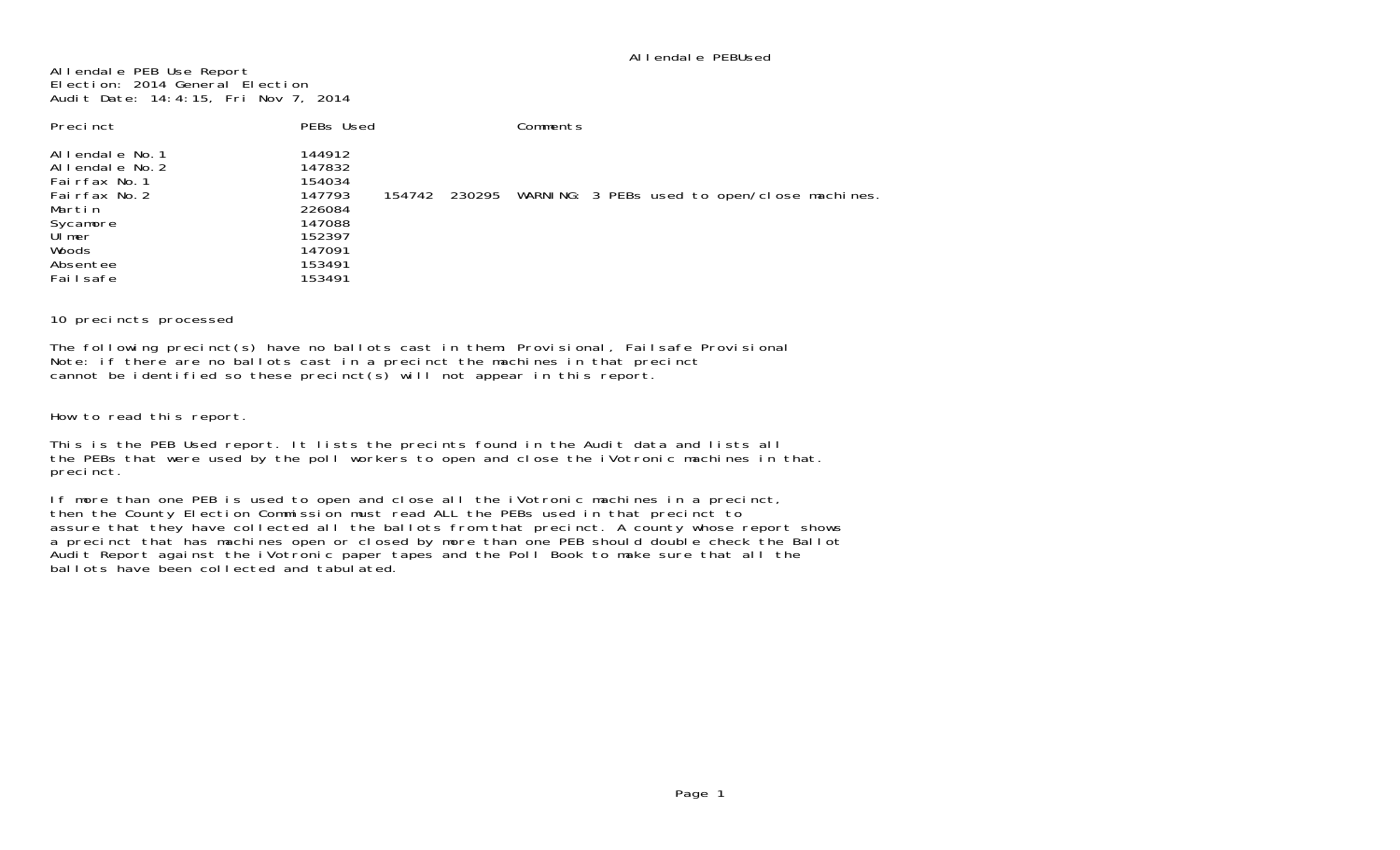Allendale PEB Use Report Election: 2014 General Election Audit Date: 14:4:15, Fri Nov 7, 2014

| Precinct                                                                                                                             | PEBs Used                                                                                        | Comments                                                  |
|--------------------------------------------------------------------------------------------------------------------------------------|--------------------------------------------------------------------------------------------------|-----------------------------------------------------------|
| Allendale No.1<br>Allendale No. 2<br>Fairfax No. 1<br>Fairfax No. 2<br>Martin<br>Sycamore<br>UI mer<br>Woods<br>Absentee<br>Failsafe | 144912<br>147832<br>154034<br>147793<br>226084<br>147088<br>152397<br>147091<br>153491<br>153491 | 154742 230295 WARNING: 3 PEBs used to open/close machines |

10 precincts processed

The following precinct(s) have no ballots cast in them: Provisional, Failsafe Provisional Note: if there are no ballots cast in a precinct the machines in that precinct cannot be identified so these precinct(s) will not appear in this report.

How to read this report.

This is the PEB Used report. It lists the precints found in the Audit data and lists all the PEBs that were used by the poll workers to open and close the iVotronic machines in that. precinct.

If more than one PEB is used to open and close all the iVotronic machines in a precinct, then the County Election Commission must read ALL the PEBs used in that precinct to assure that they have collected all the ballots from that precinct. A county whose report shows a precinct that has machines open or closed by more than one PEB should double check the Ballot Audit Report against the iVotronic paper tapes and the Poll Book to make sure that all the ballots have been collected and tabulated.